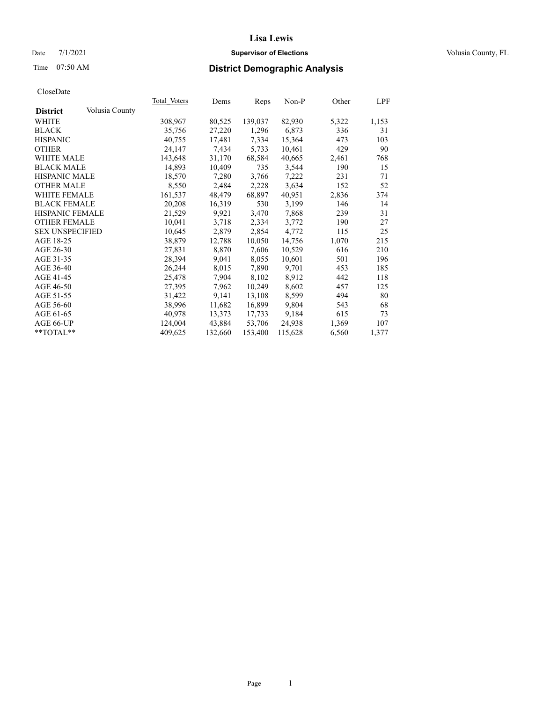### Date 7/1/2021 **Supervisor of Elections Supervisor of Elections** Volusia County, FL

# Time 07:50 AM **District Demographic Analysis**

|                        |                | Total Voters | Dems    | Reps    | Non-P   | Other | LPF   |
|------------------------|----------------|--------------|---------|---------|---------|-------|-------|
| <b>District</b>        | Volusia County |              |         |         |         |       |       |
| WHITE                  |                | 308,967      | 80,525  | 139,037 | 82,930  | 5,322 | 1,153 |
| <b>BLACK</b>           |                | 35,756       | 27,220  | 1,296   | 6,873   | 336   | 31    |
| <b>HISPANIC</b>        |                | 40,755       | 17,481  | 7,334   | 15,364  | 473   | 103   |
| <b>OTHER</b>           |                | 24,147       | 7,434   | 5,733   | 10,461  | 429   | 90    |
| WHITE MALE             |                | 143,648      | 31,170  | 68,584  | 40,665  | 2,461 | 768   |
| <b>BLACK MALE</b>      |                | 14,893       | 10,409  | 735     | 3,544   | 190   | 15    |
| <b>HISPANIC MALE</b>   |                | 18,570       | 7,280   | 3,766   | 7,222   | 231   | 71    |
| <b>OTHER MALE</b>      |                | 8,550        | 2,484   | 2,228   | 3,634   | 152   | 52    |
| <b>WHITE FEMALE</b>    |                | 161,537      | 48,479  | 68,897  | 40,951  | 2,836 | 374   |
| <b>BLACK FEMALE</b>    |                | 20,208       | 16,319  | 530     | 3,199   | 146   | 14    |
| <b>HISPANIC FEMALE</b> |                | 21,529       | 9,921   | 3,470   | 7,868   | 239   | 31    |
| <b>OTHER FEMALE</b>    |                | 10,041       | 3,718   | 2,334   | 3,772   | 190   | 27    |
| <b>SEX UNSPECIFIED</b> |                | 10,645       | 2,879   | 2,854   | 4,772   | 115   | 25    |
| AGE 18-25              |                | 38,879       | 12,788  | 10,050  | 14,756  | 1,070 | 215   |
| AGE 26-30              |                | 27,831       | 8,870   | 7,606   | 10,529  | 616   | 210   |
| AGE 31-35              |                | 28,394       | 9,041   | 8,055   | 10,601  | 501   | 196   |
| AGE 36-40              |                | 26,244       | 8,015   | 7,890   | 9,701   | 453   | 185   |
| AGE 41-45              |                | 25,478       | 7,904   | 8,102   | 8,912   | 442   | 118   |
| AGE 46-50              |                | 27,395       | 7,962   | 10,249  | 8,602   | 457   | 125   |
| AGE 51-55              |                | 31,422       | 9,141   | 13,108  | 8,599   | 494   | 80    |
| AGE 56-60              |                | 38,996       | 11,682  | 16,899  | 9,804   | 543   | 68    |
| AGE 61-65              |                | 40,978       | 13,373  | 17,733  | 9,184   | 615   | 73    |
| AGE 66-UP              |                | 124,004      | 43,884  | 53,706  | 24,938  | 1,369 | 107   |
| $*$ $TOTAL**$          |                | 409,625      | 132,660 | 153,400 | 115,628 | 6,560 | 1,377 |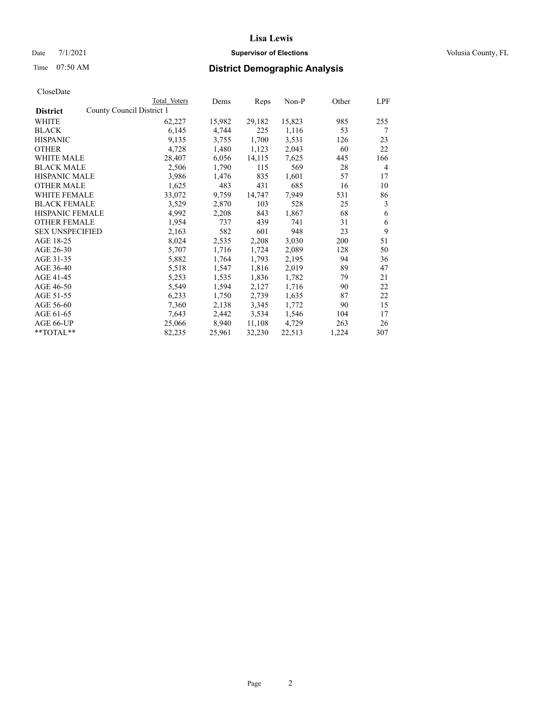### Date 7/1/2021 **Supervisor of Elections Supervisor of Elections** Volusia County, FL

| CloseDate |
|-----------|
|-----------|

|                                              | Total Voters | Dems   | Reps   | Non-P  | Other | LPF |
|----------------------------------------------|--------------|--------|--------|--------|-------|-----|
| County Council District 1<br><b>District</b> |              |        |        |        |       |     |
| WHITE                                        | 62,227       | 15,982 | 29,182 | 15,823 | 985   | 255 |
| <b>BLACK</b>                                 | 6,145        | 4,744  | 225    | 1,116  | 53    | 7   |
| <b>HISPANIC</b>                              | 9,135        | 3,755  | 1,700  | 3,531  | 126   | 23  |
| <b>OTHER</b>                                 | 4,728        | 1,480  | 1,123  | 2,043  | 60    | 22  |
| WHITE MALE                                   | 28,407       | 6,056  | 14,115 | 7,625  | 445   | 166 |
| <b>BLACK MALE</b>                            | 2,506        | 1,790  | 115    | 569    | 28    | 4   |
| <b>HISPANIC MALE</b>                         | 3,986        | 1,476  | 835    | 1,601  | 57    | 17  |
| <b>OTHER MALE</b>                            | 1,625        | 483    | 431    | 685    | 16    | 10  |
| <b>WHITE FEMALE</b>                          | 33,072       | 9,759  | 14,747 | 7,949  | 531   | 86  |
| <b>BLACK FEMALE</b>                          | 3,529        | 2,870  | 103    | 528    | 25    | 3   |
| HISPANIC FEMALE                              | 4,992        | 2,208  | 843    | 1,867  | 68    | 6   |
| <b>OTHER FEMALE</b>                          | 1,954        | 737    | 439    | 741    | 31    | 6   |
| <b>SEX UNSPECIFIED</b>                       | 2,163        | 582    | 601    | 948    | 23    | 9   |
| AGE 18-25                                    | 8,024        | 2,535  | 2,208  | 3,030  | 200   | 51  |
| AGE 26-30                                    | 5,707        | 1,716  | 1,724  | 2,089  | 128   | 50  |
| AGE 31-35                                    | 5,882        | 1,764  | 1,793  | 2,195  | 94    | 36  |
| AGE 36-40                                    | 5,518        | 1,547  | 1,816  | 2,019  | 89    | 47  |
| AGE 41-45                                    | 5,253        | 1,535  | 1,836  | 1,782  | 79    | 21  |
| AGE 46-50                                    | 5,549        | 1,594  | 2,127  | 1,716  | 90    | 22  |
| AGE 51-55                                    | 6,233        | 1,750  | 2,739  | 1,635  | 87    | 22  |
| AGE 56-60                                    | 7,360        | 2,138  | 3,345  | 1,772  | 90    | 15  |
| AGE 61-65                                    | 7,643        | 2,442  | 3,534  | 1,546  | 104   | 17  |
| AGE 66-UP                                    | 25,066       | 8,940  | 11,108 | 4,729  | 263   | 26  |
| **TOTAL**                                    | 82,235       | 25,961 | 32,230 | 22,513 | 1,224 | 307 |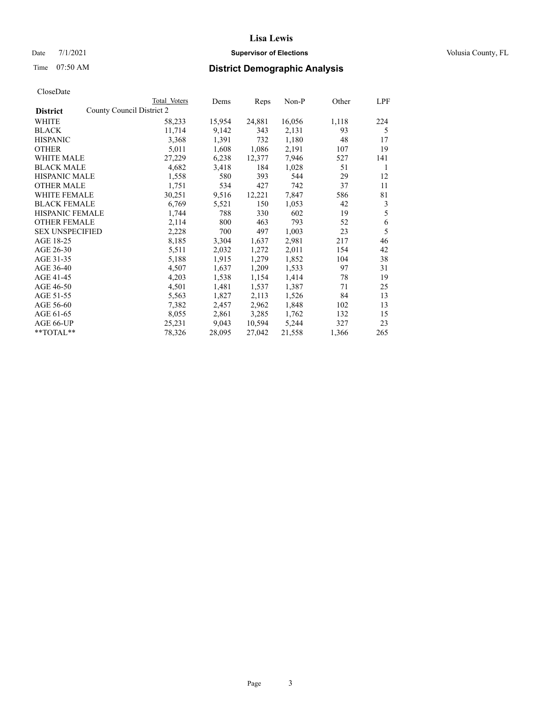### Date 7/1/2021 **Supervisor of Elections Supervisor of Elections** Volusia County, FL

# Time 07:50 AM **District Demographic Analysis**

|                        | Total Voters              | Dems   | Reps   | Non-P  | Other | LPF |
|------------------------|---------------------------|--------|--------|--------|-------|-----|
| <b>District</b>        | County Council District 2 |        |        |        |       |     |
| WHITE                  | 58,233                    | 15,954 | 24,881 | 16,056 | 1,118 | 224 |
| <b>BLACK</b>           | 11,714                    | 9,142  | 343    | 2,131  | 93    | 5   |
| <b>HISPANIC</b>        | 3,368                     | 1,391  | 732    | 1,180  | 48    | 17  |
| <b>OTHER</b>           | 5,011                     | 1,608  | 1,086  | 2,191  | 107   | 19  |
| <b>WHITE MALE</b>      | 27,229                    | 6,238  | 12,377 | 7,946  | 527   | 141 |
| <b>BLACK MALE</b>      | 4,682                     | 3,418  | 184    | 1,028  | 51    | 1   |
| <b>HISPANIC MALE</b>   | 1,558                     | 580    | 393    | 544    | 29    | 12  |
| <b>OTHER MALE</b>      | 1,751                     | 534    | 427    | 742    | 37    | 11  |
| <b>WHITE FEMALE</b>    | 30,251                    | 9,516  | 12,221 | 7,847  | 586   | 81  |
| <b>BLACK FEMALE</b>    | 6,769                     | 5,521  | 150    | 1,053  | 42    | 3   |
| <b>HISPANIC FEMALE</b> | 1,744                     | 788    | 330    | 602    | 19    | 5   |
| <b>OTHER FEMALE</b>    | 2,114                     | 800    | 463    | 793    | 52    | 6   |
| <b>SEX UNSPECIFIED</b> | 2,228                     | 700    | 497    | 1,003  | 23    | 5   |
| AGE 18-25              | 8,185                     | 3,304  | 1,637  | 2,981  | 217   | 46  |
| AGE 26-30              | 5,511                     | 2,032  | 1,272  | 2,011  | 154   | 42  |
| AGE 31-35              | 5,188                     | 1,915  | 1,279  | 1,852  | 104   | 38  |
| AGE 36-40              | 4,507                     | 1,637  | 1,209  | 1,533  | 97    | 31  |
| AGE 41-45              | 4,203                     | 1,538  | 1,154  | 1,414  | 78    | 19  |
| AGE 46-50              | 4,501                     | 1,481  | 1,537  | 1,387  | 71    | 25  |
| AGE 51-55              | 5,563                     | 1,827  | 2,113  | 1,526  | 84    | 13  |
| AGE 56-60              | 7,382                     | 2,457  | 2,962  | 1,848  | 102   | 13  |
| AGE 61-65              | 8,055                     | 2,861  | 3,285  | 1,762  | 132   | 15  |
| AGE 66-UP              | 25,231                    | 9,043  | 10,594 | 5,244  | 327   | 23  |
| **TOTAL**              | 78,326                    | 28,095 | 27,042 | 21,558 | 1,366 | 265 |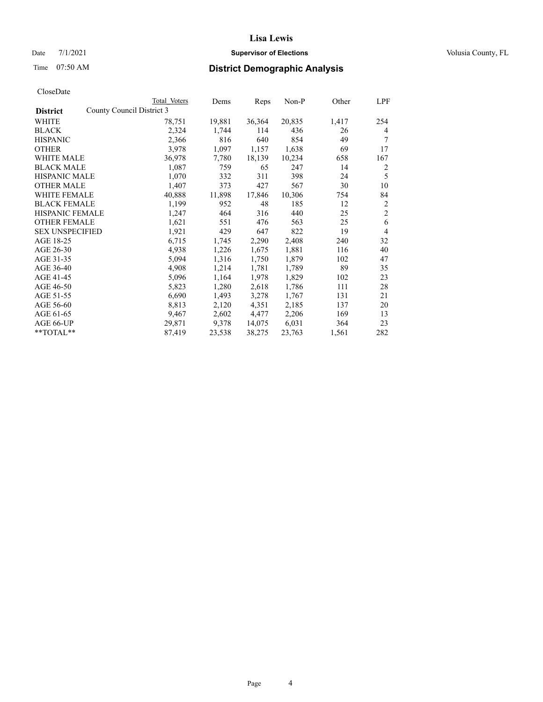### Date 7/1/2021 **Supervisor of Elections Supervisor of Elections** Volusia County, FL

| Total Voters | Dems                      | Reps   | Non-P  | Other | LPF            |
|--------------|---------------------------|--------|--------|-------|----------------|
|              |                           |        |        |       |                |
| 78,751       | 19,881                    | 36,364 | 20,835 | 1,417 | 254            |
| 2,324        | 1,744                     | 114    | 436    | 26    | 4              |
| 2,366        | 816                       | 640    | 854    | 49    | 7              |
| 3,978        | 1,097                     | 1,157  | 1,638  | 69    | 17             |
| 36,978       | 7,780                     | 18,139 | 10,234 | 658   | 167            |
| 1,087        | 759                       | 65     | 247    | 14    | 2              |
| 1,070        | 332                       | 311    | 398    | 24    | 5              |
| 1,407        | 373                       | 427    | 567    | 30    | 10             |
| 40,888       | 11,898                    | 17,846 | 10,306 | 754   | 84             |
| 1,199        | 952                       | 48     | 185    | 12    | $\overline{c}$ |
| 1,247        | 464                       | 316    | 440    | 25    | $\overline{c}$ |
| 1,621        | 551                       | 476    | 563    | 25    | 6              |
| 1,921        | 429                       | 647    | 822    | 19    | $\overline{4}$ |
| 6,715        | 1,745                     | 2,290  | 2,408  | 240   | 32             |
| 4,938        | 1,226                     | 1,675  | 1,881  | 116   | 40             |
| 5,094        | 1,316                     | 1,750  | 1,879  | 102   | 47             |
| 4,908        | 1,214                     | 1,781  | 1,789  | 89    | 35             |
| 5,096        | 1,164                     | 1,978  | 1,829  | 102   | 23             |
| 5,823        | 1,280                     | 2,618  | 1,786  | 111   | 28             |
| 6,690        | 1,493                     | 3,278  | 1,767  | 131   | 21             |
| 8,813        | 2,120                     | 4,351  | 2,185  | 137   | 20             |
| 9,467        | 2,602                     | 4,477  | 2,206  | 169   | 13             |
| 29,871       | 9,378                     | 14,075 | 6,031  | 364   | 23             |
| 87,419       | 23,538                    | 38,275 | 23,763 | 1,561 | 282            |
|              | County Council District 3 |        |        |       |                |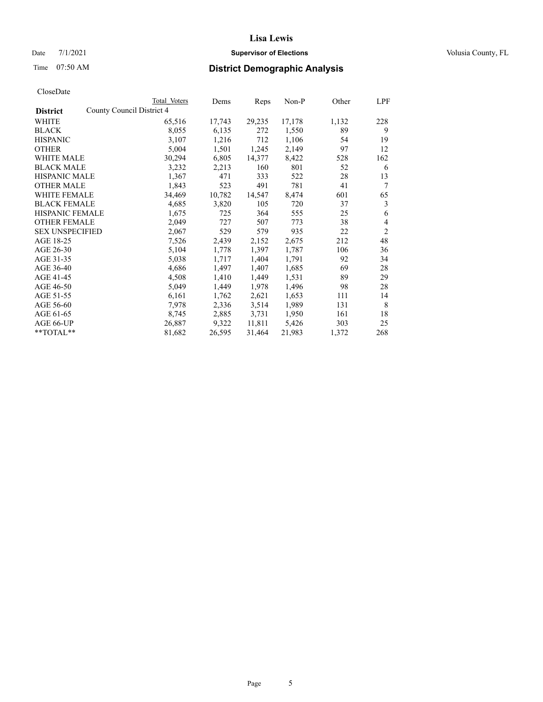Date 7/1/2021 **Supervisor of Elections Supervisor of Elections** Volusia County, FL

| CloseDate |
|-----------|
|-----------|

|                                              | Total Voters | Dems   | Reps   | Non-P  | Other | LPF            |
|----------------------------------------------|--------------|--------|--------|--------|-------|----------------|
| County Council District 4<br><b>District</b> |              |        |        |        |       |                |
| WHITE                                        | 65,516       | 17,743 | 29,235 | 17,178 | 1,132 | 228            |
| <b>BLACK</b>                                 | 8,055        | 6,135  | 272    | 1,550  | 89    | 9              |
| <b>HISPANIC</b>                              | 3,107        | 1,216  | 712    | 1,106  | 54    | 19             |
| <b>OTHER</b>                                 | 5,004        | 1,501  | 1,245  | 2,149  | 97    | 12             |
| <b>WHITE MALE</b>                            | 30,294       | 6,805  | 14,377 | 8,422  | 528   | 162            |
| <b>BLACK MALE</b>                            | 3,232        | 2,213  | 160    | 801    | 52    | 6              |
| <b>HISPANIC MALE</b>                         | 1,367        | 471    | 333    | 522    | 28    | 13             |
| <b>OTHER MALE</b>                            | 1,843        | 523    | 491    | 781    | 41    | 7              |
| <b>WHITE FEMALE</b>                          | 34,469       | 10,782 | 14,547 | 8,474  | 601   | 65             |
| <b>BLACK FEMALE</b>                          | 4,685        | 3,820  | 105    | 720    | 37    | 3              |
| HISPANIC FEMALE                              | 1,675        | 725    | 364    | 555    | 25    | 6              |
| <b>OTHER FEMALE</b>                          | 2,049        | 727    | 507    | 773    | 38    | $\overline{4}$ |
| <b>SEX UNSPECIFIED</b>                       | 2,067        | 529    | 579    | 935    | 22    | $\overline{2}$ |
| AGE 18-25                                    | 7,526        | 2,439  | 2,152  | 2,675  | 212   | 48             |
| AGE 26-30                                    | 5,104        | 1,778  | 1,397  | 1,787  | 106   | 36             |
| AGE 31-35                                    | 5,038        | 1,717  | 1,404  | 1,791  | 92    | 34             |
| AGE 36-40                                    | 4,686        | 1,497  | 1,407  | 1,685  | 69    | 28             |
| AGE 41-45                                    | 4,508        | 1,410  | 1,449  | 1,531  | 89    | 29             |
| AGE 46-50                                    | 5,049        | 1,449  | 1,978  | 1,496  | 98    | 28             |
| AGE 51-55                                    | 6,161        | 1,762  | 2,621  | 1,653  | 111   | 14             |
| AGE 56-60                                    | 7,978        | 2,336  | 3,514  | 1,989  | 131   | 8              |
| AGE 61-65                                    | 8,745        | 2,885  | 3,731  | 1,950  | 161   | 18             |
| AGE 66-UP                                    | 26,887       | 9,322  | 11,811 | 5,426  | 303   | 25             |
| **TOTAL**                                    | 81,682       | 26,595 | 31,464 | 21,983 | 1,372 | 268            |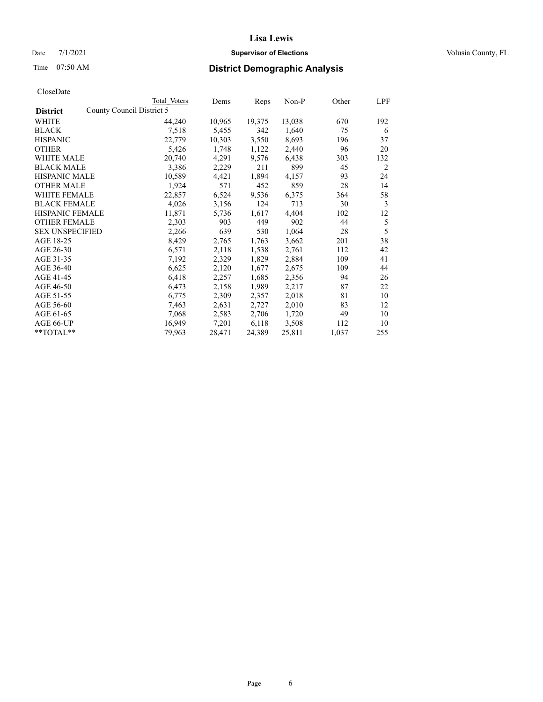### Date 7/1/2021 **Supervisor of Elections Supervisor of Elections** Volusia County, FL

|                                              | Total Voters | Dems   | Reps   | Non-P  | Other | LPF |
|----------------------------------------------|--------------|--------|--------|--------|-------|-----|
| County Council District 5<br><b>District</b> |              |        |        |        |       |     |
| WHITE                                        | 44,240       | 10,965 | 19,375 | 13,038 | 670   | 192 |
| <b>BLACK</b>                                 | 7,518        | 5,455  | 342    | 1,640  | 75    | 6   |
| <b>HISPANIC</b>                              | 22,779       | 10,303 | 3,550  | 8,693  | 196   | 37  |
| <b>OTHER</b>                                 | 5,426        | 1,748  | 1,122  | 2,440  | 96    | 20  |
| <b>WHITE MALE</b>                            | 20,740       | 4,291  | 9,576  | 6,438  | 303   | 132 |
| <b>BLACK MALE</b>                            | 3,386        | 2,229  | 211    | 899    | 45    | 2   |
| <b>HISPANIC MALE</b>                         | 10,589       | 4,421  | 1,894  | 4,157  | 93    | 24  |
| <b>OTHER MALE</b>                            | 1,924        | 571    | 452    | 859    | 28    | 14  |
| <b>WHITE FEMALE</b>                          | 22,857       | 6,524  | 9,536  | 6,375  | 364   | 58  |
| <b>BLACK FEMALE</b>                          | 4,026        | 3,156  | 124    | 713    | 30    | 3   |
| <b>HISPANIC FEMALE</b>                       | 11,871       | 5,736  | 1,617  | 4,404  | 102   | 12  |
| <b>OTHER FEMALE</b>                          | 2,303        | 903    | 449    | 902    | 44    | 5   |
| <b>SEX UNSPECIFIED</b>                       | 2,266        | 639    | 530    | 1,064  | 28    | 5   |
| AGE 18-25                                    | 8,429        | 2,765  | 1,763  | 3,662  | 201   | 38  |
| AGE 26-30                                    | 6,571        | 2,118  | 1,538  | 2,761  | 112   | 42  |
| AGE 31-35                                    | 7,192        | 2,329  | 1,829  | 2,884  | 109   | 41  |
| AGE 36-40                                    | 6,625        | 2,120  | 1,677  | 2,675  | 109   | 44  |
| AGE 41-45                                    | 6,418        | 2,257  | 1,685  | 2,356  | 94    | 26  |
| AGE 46-50                                    | 6,473        | 2,158  | 1,989  | 2,217  | 87    | 22  |
| AGE 51-55                                    | 6,775        | 2,309  | 2,357  | 2,018  | 81    | 10  |
| AGE 56-60                                    | 7,463        | 2,631  | 2,727  | 2,010  | 83    | 12  |
| AGE 61-65                                    | 7,068        | 2,583  | 2,706  | 1,720  | 49    | 10  |
| AGE 66-UP                                    | 16,949       | 7,201  | 6,118  | 3,508  | 112   | 10  |
| **TOTAL**                                    | 79,963       | 28,471 | 24,389 | 25,811 | 1,037 | 255 |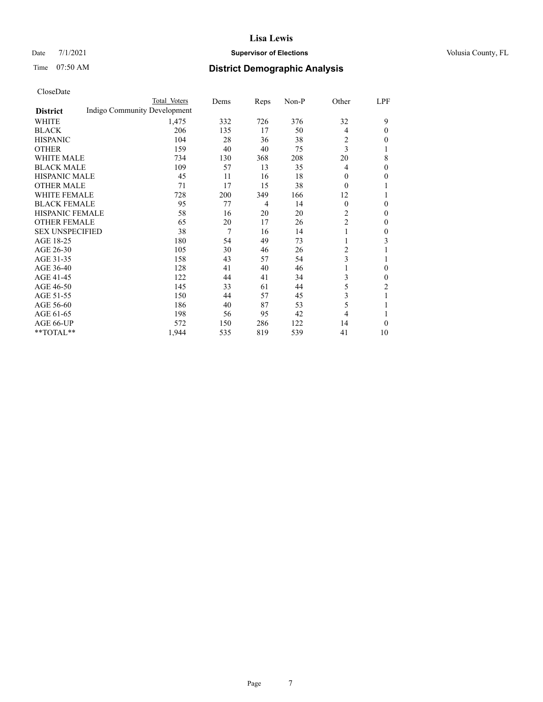### Date 7/1/2021 **Supervisor of Elections Supervisor of Elections** Volusia County, FL

# Time 07:50 AM **District Demographic Analysis**

|                        | Total Voters                 | Dems | Reps           | Non-P | Other          | LPF            |
|------------------------|------------------------------|------|----------------|-------|----------------|----------------|
| <b>District</b>        | Indigo Community Development |      |                |       |                |                |
| WHITE                  | 1,475                        | 332  | 726            | 376   | 32             | 9              |
| <b>BLACK</b>           | 206                          | 135  | 17             | 50    | 4              | 0              |
| <b>HISPANIC</b>        | 104                          | 28   | 36             | 38    | 2              | 0              |
| <b>OTHER</b>           | 159                          | 40   | 40             | 75    | 3              |                |
| <b>WHITE MALE</b>      | 734                          | 130  | 368            | 208   | 20             | 8              |
| <b>BLACK MALE</b>      | 109                          | 57   | 13             | 35    | 4              | 0              |
| <b>HISPANIC MALE</b>   | 45                           | 11   | 16             | 18    | $\theta$       | 0              |
| <b>OTHER MALE</b>      | 71                           | 17   | 15             | 38    | $\theta$       |                |
| <b>WHITE FEMALE</b>    | 728                          | 200  | 349            | 166   | 12             |                |
| <b>BLACK FEMALE</b>    | 95                           | 77   | $\overline{4}$ | 14    | $\theta$       | 0              |
| <b>HISPANIC FEMALE</b> | 58                           | 16   | 20             | 20    | 2              | 0              |
| <b>OTHER FEMALE</b>    | 65                           | 20   | 17             | 26    | $\overline{c}$ | 0              |
| <b>SEX UNSPECIFIED</b> | 38                           | 7    | 16             | 14    | 1              | 0              |
| AGE 18-25              | 180                          | 54   | 49             | 73    | 1              | 3              |
| AGE 26-30              | 105                          | 30   | 46             | 26    | 2              |                |
| AGE 31-35              | 158                          | 43   | 57             | 54    | 3              |                |
| AGE 36-40              | 128                          | 41   | 40             | 46    | 1              | 0              |
| AGE 41-45              | 122                          | 44   | 41             | 34    | 3              | 0              |
| AGE 46-50              | 145                          | 33   | 61             | 44    | 5              | $\overline{2}$ |
| AGE 51-55              | 150                          | 44   | 57             | 45    | 3              | 1              |
| AGE 56-60              | 186                          | 40   | 87             | 53    | 5              |                |
| AGE 61-65              | 198                          | 56   | 95             | 42    | $\overline{4}$ |                |
| AGE 66-UP              | 572                          | 150  | 286            | 122   | 14             | $\Omega$       |
| **TOTAL**              | 1,944                        | 535  | 819            | 539   | 41             | 10             |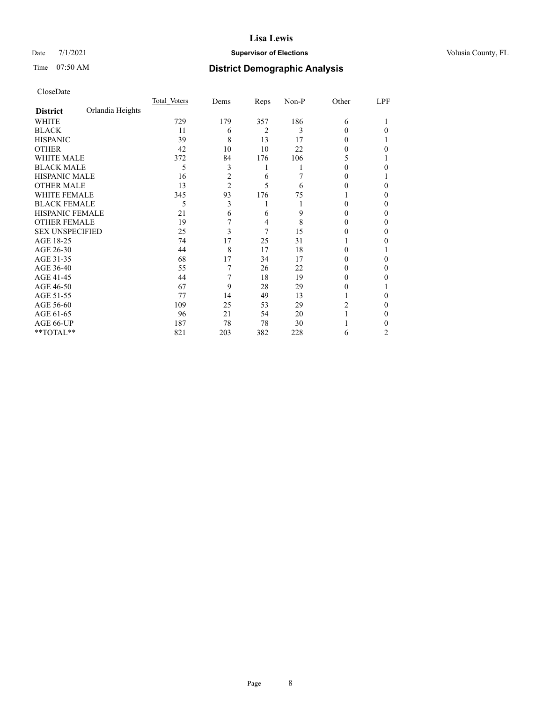### Date 7/1/2021 **Supervisor of Elections Supervisor of Elections** Volusia County, FL

# Time 07:50 AM **District Demographic Analysis**

|                        |                  | Total Voters | Dems           | Reps | Non-P | Other | LPF |
|------------------------|------------------|--------------|----------------|------|-------|-------|-----|
| <b>District</b>        | Orlandia Heights |              |                |      |       |       |     |
| WHITE                  |                  | 729          | 179            | 357  | 186   | 6     |     |
| <b>BLACK</b>           |                  | 11           | 6              | 2    | 3     | 0     | 0   |
| <b>HISPANIC</b>        |                  | 39           | 8              | 13   | 17    | 0     |     |
| <b>OTHER</b>           |                  | 42           | 10             | 10   | 22    | 0     | 0   |
| WHITE MALE             |                  | 372          | 84             | 176  | 106   | 5     |     |
| <b>BLACK MALE</b>      |                  | 5            | 3              | 1    |       | 0     | 0   |
| <b>HISPANIC MALE</b>   |                  | 16           | $\overline{c}$ | 6    |       | 0     |     |
| <b>OTHER MALE</b>      |                  | 13           | $\overline{2}$ | 5    | 6     | 0     | 0   |
| <b>WHITE FEMALE</b>    |                  | 345          | 93             | 176  | 75    |       | 0   |
| <b>BLACK FEMALE</b>    |                  | 5            | 3              | 1    |       | 0     | 0   |
| HISPANIC FEMALE        |                  | 21           | 6              | 6    | 9     | 0     | 0   |
| <b>OTHER FEMALE</b>    |                  | 19           | 7              | 4    | 8     | 0     | 0   |
| <b>SEX UNSPECIFIED</b> |                  | 25           | 3              | 7    | 15    | 0     | 0   |
| AGE 18-25              |                  | 74           | 17             | 25   | 31    |       | 0   |
| AGE 26-30              |                  | 44           | 8              | 17   | 18    | 0     |     |
| AGE 31-35              |                  | 68           | 17             | 34   | 17    | 0     | 0   |
| AGE 36-40              |                  | 55           | 7              | 26   | 22    | 0     | 0   |
| AGE 41-45              |                  | 44           | 7              | 18   | 19    |       | 0   |
| AGE 46-50              |                  | 67           | 9              | 28   | 29    | 0     |     |
| AGE 51-55              |                  | 77           | 14             | 49   | 13    |       | 0   |
| AGE 56-60              |                  | 109          | 25             | 53   | 29    | 2     | 0   |
| AGE 61-65              |                  | 96           | 21             | 54   | 20    |       | 0   |
| AGE 66-UP              |                  | 187          | 78             | 78   | 30    |       |     |
| **TOTAL**              |                  | 821          | 203            | 382  | 228   | 6     | 2   |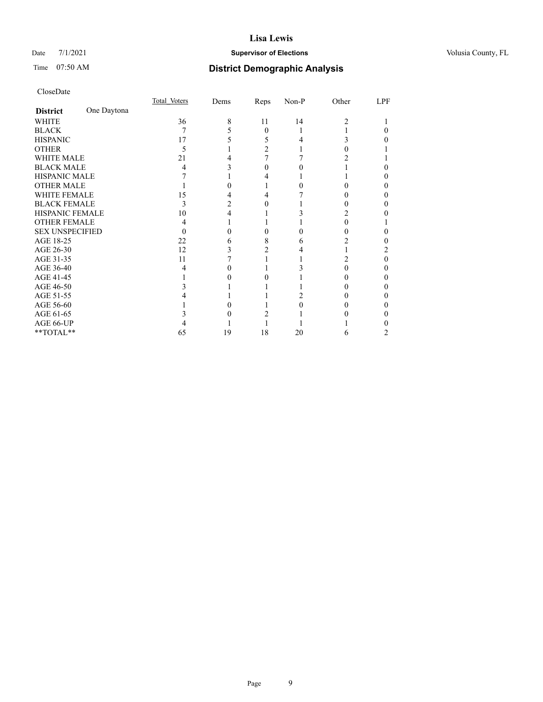### Date 7/1/2021 **Supervisor of Elections Supervisor of Elections** Volusia County, FL

# Time 07:50 AM **District Demographic Analysis**

|                        |             | Total Voters | Dems | Reps     | Non-P | Other | LPF |
|------------------------|-------------|--------------|------|----------|-------|-------|-----|
| <b>District</b>        | One Daytona |              |      |          |       |       |     |
| WHITE                  |             | 36           | 8    | 11       | 14    | 2     |     |
| <b>BLACK</b>           |             | 7            |      | $\Omega$ |       |       |     |
| <b>HISPANIC</b>        |             | 17           |      | 5        |       | 3     |     |
| <b>OTHER</b>           |             | 5            |      | 2        |       |       |     |
| <b>WHITE MALE</b>      |             | 21           |      |          |       |       |     |
| <b>BLACK MALE</b>      |             | 4            |      |          |       |       |     |
| <b>HISPANIC MALE</b>   |             |              |      |          |       |       |     |
| <b>OTHER MALE</b>      |             |              |      |          |       |       |     |
| <b>WHITE FEMALE</b>    |             | 15           |      |          |       |       |     |
| <b>BLACK FEMALE</b>    |             | 3            | 2    | 0        |       |       | 0   |
| HISPANIC FEMALE        |             | 10           |      |          |       |       |     |
| <b>OTHER FEMALE</b>    |             | 4            |      |          |       |       |     |
| <b>SEX UNSPECIFIED</b> |             | $\theta$     |      | 0        |       |       |     |
| AGE 18-25              |             | 22           | h    | 8        | 6     |       |     |
| AGE 26-30              |             | 12           |      |          |       |       |     |
| AGE 31-35              |             | 11           |      |          |       | 2     | 0   |
| AGE 36-40              |             | 4            |      |          |       | 0     | 0   |
| AGE 41-45              |             |              |      |          |       |       |     |
| AGE 46-50              |             |              |      |          |       |       |     |
| AGE 51-55              |             |              |      |          |       |       |     |
| AGE 56-60              |             |              |      |          |       |       |     |
| AGE 61-65              |             |              |      |          |       |       |     |
| AGE 66-UP              |             |              |      |          |       |       |     |
| **TOTAL**              |             | 65           | 19   | 18       | 20    | 6     |     |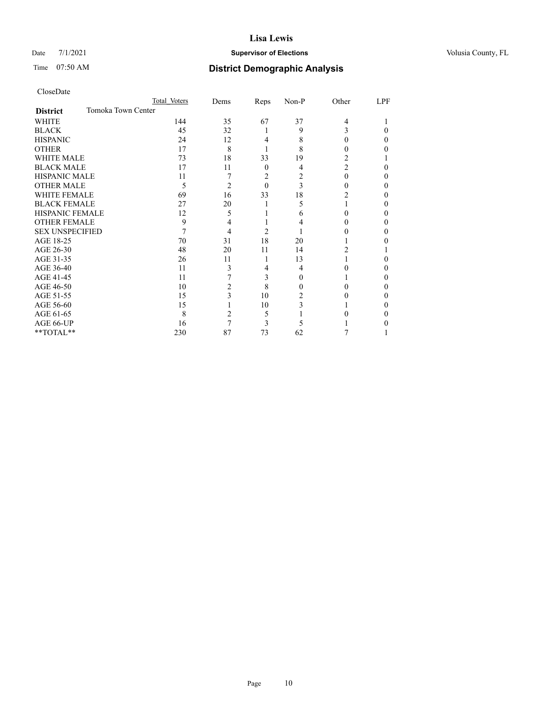### Date 7/1/2021 **Supervisor of Elections Supervisor of Elections** Volusia County, FL

### Time 07:50 AM **District Demographic Analysis**

|                                       | Total Voters | Dems | Reps     | Non-P    | Other          | LPF |
|---------------------------------------|--------------|------|----------|----------|----------------|-----|
| Tomoka Town Center<br><b>District</b> |              |      |          |          |                |     |
| <b>WHITE</b>                          | 144          | 35   | 67       | 37       | 4              |     |
| <b>BLACK</b>                          | 45           | 32   | 1        | 9        | 3              | 0   |
| <b>HISPANIC</b>                       | 24           | 12   | 4        | 8        | $\theta$       | 0   |
| <b>OTHER</b>                          | 17           | 8    |          | 8        | $_{0}$         | 0   |
| <b>WHITE MALE</b>                     | 73           | 18   | 33       | 19       | 2              |     |
| <b>BLACK MALE</b>                     | 17           | 11   | $\theta$ | 4        | $\overline{c}$ | 0   |
| <b>HISPANIC MALE</b>                  | 11           | 7    | 2        | 2        | 0              | 0   |
| <b>OTHER MALE</b>                     | 5            | 2    | $\theta$ | 3        | 0              | 0   |
| <b>WHITE FEMALE</b>                   | 69           | 16   | 33       | 18       | 2              | 0   |
| <b>BLACK FEMALE</b>                   | 27           | 20   | 1        | 5        |                | 0   |
| <b>HISPANIC FEMALE</b>                | 12           | 5    |          | 6        |                | 0   |
| <b>OTHER FEMALE</b>                   | 9            | 4    |          | 4        |                | 0   |
| <b>SEX UNSPECIFIED</b>                | 7            | 4    | 2        |          |                | 0   |
| AGE 18-25                             | 70           | 31   | 18       | 20       |                |     |
| AGE 26-30                             | 48           | 20   | 11       | 14       | 2              |     |
| AGE 31-35                             | 26           | 11   | 1        | 13       |                |     |
| AGE 36-40                             | 11           | 3    | 4        | 4        | $\theta$       | 0   |
| AGE 41-45                             | 11           | 7    | 3        | $\Omega$ |                | 0   |
| AGE 46-50                             | 10           | 2    | 8        | 0        |                | 0   |
| AGE 51-55                             | 15           | 3    | 10       | 2        |                | 0   |
| AGE 56-60                             | 15           |      | 10       | 3        |                | 0   |
| AGE 61-65                             | 8            | 2    | 5        |          |                | 0   |
| AGE 66-UP                             | 16           | 7    | 3        | 5        |                |     |
| **TOTAL**                             | 230          | 87   | 73       | 62       |                |     |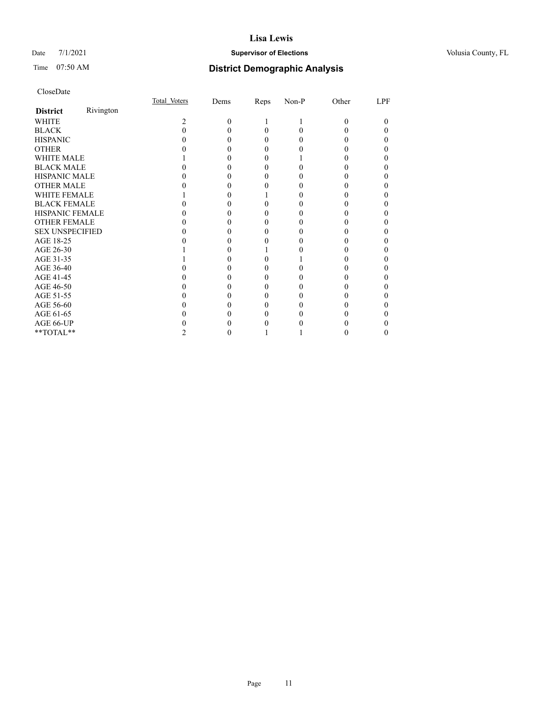### Date 7/1/2021 **Supervisor of Elections Supervisor of Elections** Volusia County, FL

|                        |           | Total Voters | Dems     | Reps | Non-P | Other | LPF |
|------------------------|-----------|--------------|----------|------|-------|-------|-----|
| <b>District</b>        | Rivington |              |          |      |       |       |     |
| <b>WHITE</b>           |           | 2            | $\Omega$ |      |       | 0     | 0   |
| <b>BLACK</b>           |           |              |          | 0    | 0     |       |     |
| <b>HISPANIC</b>        |           |              |          |      | 0     |       |     |
| <b>OTHER</b>           |           |              |          |      |       |       |     |
| <b>WHITE MALE</b>      |           |              |          |      |       |       |     |
| <b>BLACK MALE</b>      |           |              |          |      |       |       |     |
| <b>HISPANIC MALE</b>   |           |              |          |      |       |       |     |
| <b>OTHER MALE</b>      |           |              |          |      |       |       |     |
| <b>WHITE FEMALE</b>    |           |              |          |      |       |       |     |
| <b>BLACK FEMALE</b>    |           |              |          |      |       |       |     |
| <b>HISPANIC FEMALE</b> |           |              |          |      |       |       |     |
| <b>OTHER FEMALE</b>    |           |              |          |      |       |       |     |
| <b>SEX UNSPECIFIED</b> |           |              |          |      |       |       |     |
| AGE 18-25              |           |              |          |      |       |       |     |
| AGE 26-30              |           |              |          |      |       |       |     |
| AGE 31-35              |           |              |          |      |       |       |     |
| AGE 36-40              |           |              |          |      |       |       |     |
| AGE 41-45              |           |              |          |      |       |       |     |
| AGE 46-50              |           |              |          |      |       |       |     |
| AGE 51-55              |           |              |          |      |       |       |     |
| AGE 56-60              |           |              |          |      |       |       |     |
| AGE 61-65              |           |              |          |      |       |       |     |
| AGE 66-UP              |           |              |          |      |       |       |     |
| **TOTAL**              |           |              | 0        |      |       |       | 0   |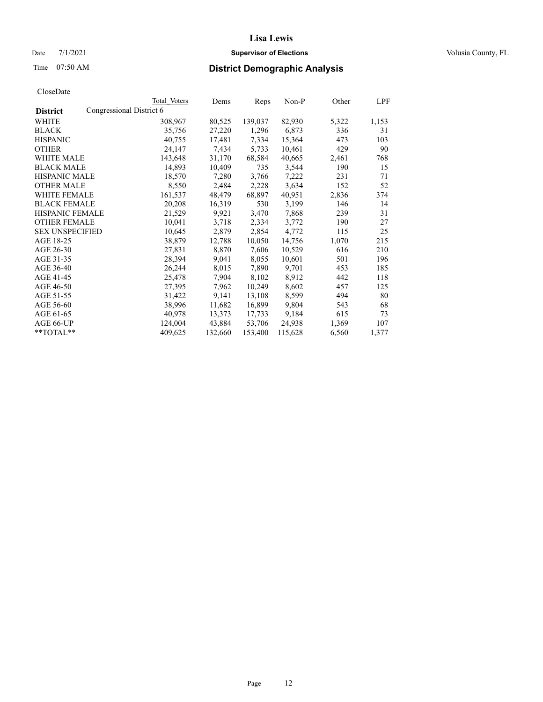### Date 7/1/2021 **Supervisor of Elections Supervisor of Elections** Volusia County, FL

| CloseDate |
|-----------|
|-----------|

|                                             | Total Voters | Dems    | Reps    | Non-P   | Other | LPF   |
|---------------------------------------------|--------------|---------|---------|---------|-------|-------|
| Congressional District 6<br><b>District</b> |              |         |         |         |       |       |
| WHITE                                       | 308,967      | 80,525  | 139,037 | 82,930  | 5,322 | 1,153 |
| <b>BLACK</b>                                | 35,756       | 27,220  | 1,296   | 6,873   | 336   | 31    |
| <b>HISPANIC</b>                             | 40,755       | 17,481  | 7,334   | 15,364  | 473   | 103   |
| <b>OTHER</b>                                | 24,147       | 7,434   | 5,733   | 10,461  | 429   | 90    |
| WHITE MALE                                  | 143,648      | 31,170  | 68,584  | 40,665  | 2,461 | 768   |
| <b>BLACK MALE</b>                           | 14,893       | 10,409  | 735     | 3,544   | 190   | 15    |
| <b>HISPANIC MALE</b>                        | 18,570       | 7,280   | 3,766   | 7,222   | 231   | 71    |
| <b>OTHER MALE</b>                           | 8,550        | 2,484   | 2,228   | 3,634   | 152   | 52    |
| <b>WHITE FEMALE</b>                         | 161,537      | 48,479  | 68,897  | 40,951  | 2,836 | 374   |
| <b>BLACK FEMALE</b>                         | 20,208       | 16,319  | 530     | 3,199   | 146   | 14    |
| HISPANIC FEMALE                             | 21,529       | 9,921   | 3,470   | 7,868   | 239   | 31    |
| <b>OTHER FEMALE</b>                         | 10,041       | 3,718   | 2,334   | 3,772   | 190   | 27    |
| <b>SEX UNSPECIFIED</b>                      | 10,645       | 2,879   | 2,854   | 4,772   | 115   | 25    |
| AGE 18-25                                   | 38,879       | 12,788  | 10,050  | 14,756  | 1,070 | 215   |
| AGE 26-30                                   | 27,831       | 8,870   | 7,606   | 10,529  | 616   | 210   |
| AGE 31-35                                   | 28,394       | 9,041   | 8,055   | 10,601  | 501   | 196   |
| AGE 36-40                                   | 26,244       | 8,015   | 7,890   | 9,701   | 453   | 185   |
| AGE 41-45                                   | 25,478       | 7,904   | 8,102   | 8,912   | 442   | 118   |
| AGE 46-50                                   | 27,395       | 7,962   | 10,249  | 8,602   | 457   | 125   |
| AGE 51-55                                   | 31,422       | 9,141   | 13,108  | 8,599   | 494   | 80    |
| AGE 56-60                                   | 38,996       | 11,682  | 16,899  | 9,804   | 543   | 68    |
| AGE 61-65                                   | 40,978       | 13,373  | 17,733  | 9,184   | 615   | 73    |
| AGE 66-UP                                   | 124,004      | 43,884  | 53,706  | 24,938  | 1,369 | 107   |
| $*$ TOTAL $*$                               | 409,625      | 132,660 | 153,400 | 115,628 | 6,560 | 1,377 |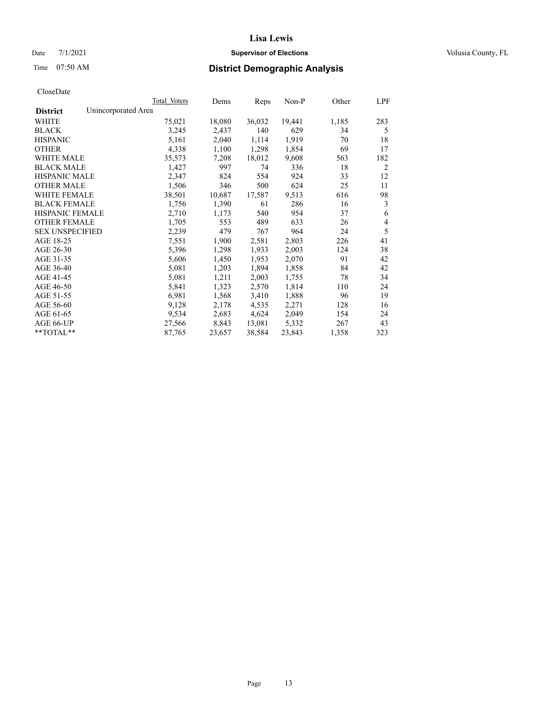### Date 7/1/2021 **Supervisor of Elections Supervisor of Elections** Volusia County, FL

### Time 07:50 AM **District Demographic Analysis**

|                        | Total Voters        | Dems   | Reps   | Non-P  | Other | LPF |
|------------------------|---------------------|--------|--------|--------|-------|-----|
| <b>District</b>        | Unincorporated Area |        |        |        |       |     |
| WHITE                  | 75,021              | 18,080 | 36,032 | 19,441 | 1,185 | 283 |
| <b>BLACK</b>           | 3,245               | 2,437  | 140    | 629    | 34    | 5   |
| <b>HISPANIC</b>        | 5,161               | 2,040  | 1,114  | 1,919  | 70    | 18  |
| <b>OTHER</b>           | 4,338               | 1,100  | 1,298  | 1,854  | 69    | 17  |
| <b>WHITE MALE</b>      | 35,573              | 7,208  | 18,012 | 9,608  | 563   | 182 |
| <b>BLACK MALE</b>      | 1,427               | 997    | 74     | 336    | 18    | 2   |
| <b>HISPANIC MALE</b>   | 2,347               | 824    | 554    | 924    | 33    | 12  |
| <b>OTHER MALE</b>      | 1,506               | 346    | 500    | 624    | 25    | 11  |
| <b>WHITE FEMALE</b>    | 38,501              | 10,687 | 17,587 | 9,513  | 616   | 98  |
| <b>BLACK FEMALE</b>    | 1,756               | 1,390  | 61     | 286    | 16    | 3   |
| <b>HISPANIC FEMALE</b> | 2,710               | 1,173  | 540    | 954    | 37    | 6   |
| <b>OTHER FEMALE</b>    | 1,705               | 553    | 489    | 633    | 26    | 4   |
| <b>SEX UNSPECIFIED</b> | 2,239               | 479    | 767    | 964    | 24    | 5   |
| AGE 18-25              | 7,551               | 1,900  | 2,581  | 2,803  | 226   | 41  |
| AGE 26-30              | 5,396               | 1,298  | 1,933  | 2,003  | 124   | 38  |
| AGE 31-35              | 5,606               | 1,450  | 1,953  | 2,070  | 91    | 42  |
| AGE 36-40              | 5,081               | 1,203  | 1,894  | 1,858  | 84    | 42  |
| AGE 41-45              | 5,081               | 1,211  | 2,003  | 1,755  | 78    | 34  |
| AGE 46-50              | 5,841               | 1,323  | 2,570  | 1,814  | 110   | 24  |
| AGE 51-55              | 6,981               | 1,568  | 3,410  | 1,888  | 96    | 19  |
| AGE 56-60              | 9,128               | 2,178  | 4,535  | 2,271  | 128   | 16  |
| AGE 61-65              | 9,534               | 2,683  | 4,624  | 2,049  | 154   | 24  |
| AGE 66-UP              | 27,566              | 8,843  | 13,081 | 5,332  | 267   | 43  |
| $*$ $TOTAL**$          | 87,765              | 23,657 | 38,584 | 23,843 | 1,358 | 323 |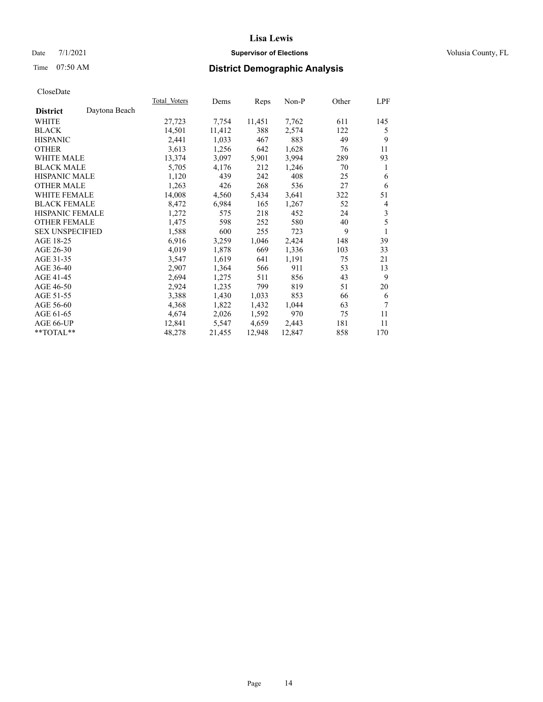### Date 7/1/2021 **Supervisor of Elections Supervisor of Elections** Volusia County, FL

# Time 07:50 AM **District Demographic Analysis**

|                        |               | Total Voters | Dems   | Reps   | $Non-P$ | Other | LPF |
|------------------------|---------------|--------------|--------|--------|---------|-------|-----|
| <b>District</b>        | Daytona Beach |              |        |        |         |       |     |
| WHITE                  |               | 27,723       | 7,754  | 11,451 | 7,762   | 611   | 145 |
| <b>BLACK</b>           |               | 14,501       | 11,412 | 388    | 2,574   | 122   | 5   |
| <b>HISPANIC</b>        |               | 2,441        | 1,033  | 467    | 883     | 49    | 9   |
| <b>OTHER</b>           |               | 3,613        | 1,256  | 642    | 1,628   | 76    | 11  |
| WHITE MALE             |               | 13,374       | 3,097  | 5,901  | 3,994   | 289   | 93  |
| <b>BLACK MALE</b>      |               | 5,705        | 4,176  | 212    | 1,246   | 70    | 1   |
| <b>HISPANIC MALE</b>   |               | 1,120        | 439    | 242    | 408     | 25    | 6   |
| <b>OTHER MALE</b>      |               | 1,263        | 426    | 268    | 536     | 27    | 6   |
| <b>WHITE FEMALE</b>    |               | 14,008       | 4,560  | 5,434  | 3,641   | 322   | 51  |
| <b>BLACK FEMALE</b>    |               | 8,472        | 6,984  | 165    | 1,267   | 52    | 4   |
| <b>HISPANIC FEMALE</b> |               | 1,272        | 575    | 218    | 452     | 24    | 3   |
| <b>OTHER FEMALE</b>    |               | 1,475        | 598    | 252    | 580     | 40    | 5   |
| <b>SEX UNSPECIFIED</b> |               | 1,588        | 600    | 255    | 723     | 9     | 1   |
| AGE 18-25              |               | 6,916        | 3,259  | 1,046  | 2,424   | 148   | 39  |
| AGE 26-30              |               | 4,019        | 1,878  | 669    | 1,336   | 103   | 33  |
| AGE 31-35              |               | 3,547        | 1,619  | 641    | 1,191   | 75    | 21  |
| AGE 36-40              |               | 2,907        | 1,364  | 566    | 911     | 53    | 13  |
| AGE 41-45              |               | 2,694        | 1,275  | 511    | 856     | 43    | 9   |
| AGE 46-50              |               | 2,924        | 1,235  | 799    | 819     | 51    | 20  |
| AGE 51-55              |               | 3,388        | 1,430  | 1,033  | 853     | 66    | 6   |
| AGE 56-60              |               | 4,368        | 1,822  | 1,432  | 1,044   | 63    | 7   |
| AGE 61-65              |               | 4,674        | 2,026  | 1,592  | 970     | 75    | 11  |
| AGE 66-UP              |               | 12,841       | 5,547  | 4,659  | 2,443   | 181   | 11  |
| $*$ TOTAL $*$          |               | 48,278       | 21,455 | 12,948 | 12,847  | 858   | 170 |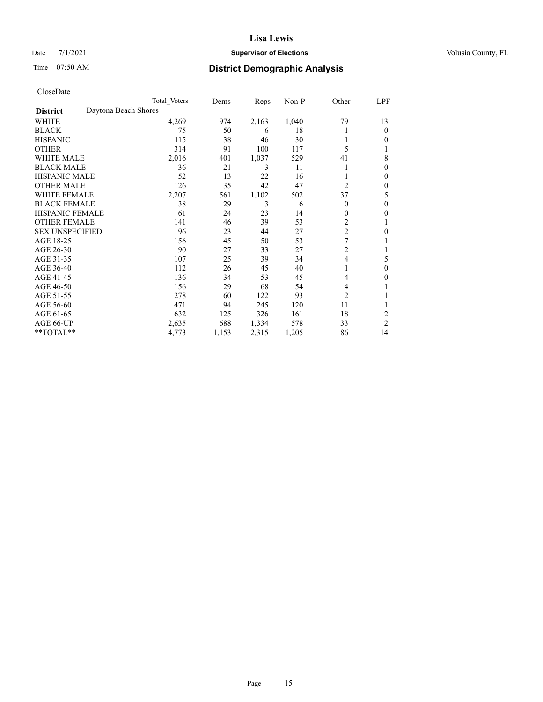### Date 7/1/2021 **Supervisor of Elections Supervisor of Elections** Volusia County, FL

# Time 07:50 AM **District Demographic Analysis**

|                        |                      | Total Voters | Dems  | Reps  | Non-P | Other          | LPF              |
|------------------------|----------------------|--------------|-------|-------|-------|----------------|------------------|
| <b>District</b>        | Daytona Beach Shores |              |       |       |       |                |                  |
| WHITE                  |                      | 4,269        | 974   | 2,163 | 1,040 | 79             | 13               |
| <b>BLACK</b>           |                      | 75           | 50    | 6     | 18    |                | $\mathbf{0}$     |
| <b>HISPANIC</b>        |                      | 115          | 38    | 46    | 30    |                | 0                |
| <b>OTHER</b>           |                      | 314          | 91    | 100   | 117   | 5              |                  |
| <b>WHITE MALE</b>      |                      | 2,016        | 401   | 1,037 | 529   | 41             | 8                |
| <b>BLACK MALE</b>      |                      | 36           | 21    | 3     | 11    |                | $\theta$         |
| <b>HISPANIC MALE</b>   |                      | 52           | 13    | 22    | 16    |                | $\theta$         |
| <b>OTHER MALE</b>      |                      | 126          | 35    | 42    | 47    | 2              | $\mathbf{0}$     |
| WHITE FEMALE           |                      | 2,207        | 561   | 1,102 | 502   | 37             | 5                |
| <b>BLACK FEMALE</b>    |                      | 38           | 29    | 3     | 6     | 0              | $\theta$         |
| <b>HISPANIC FEMALE</b> |                      | 61           | 24    | 23    | 14    | 0              | 0                |
| <b>OTHER FEMALE</b>    |                      | 141          | 46    | 39    | 53    | 2              | 1                |
| <b>SEX UNSPECIFIED</b> |                      | 96           | 23    | 44    | 27    | $\overline{2}$ | $\boldsymbol{0}$ |
| AGE 18-25              |                      | 156          | 45    | 50    | 53    | 7              |                  |
| AGE 26-30              |                      | 90           | 27    | 33    | 27    | 2              | 1                |
| AGE 31-35              |                      | 107          | 25    | 39    | 34    | 4              | 5                |
| AGE 36-40              |                      | 112          | 26    | 45    | 40    |                | 0                |
| AGE 41-45              |                      | 136          | 34    | 53    | 45    | 4              | 0                |
| AGE 46-50              |                      | 156          | 29    | 68    | 54    | 4              |                  |
| AGE 51-55              |                      | 278          | 60    | 122   | 93    | 2              |                  |
| AGE 56-60              |                      | 471          | 94    | 245   | 120   | 11             |                  |
| AGE 61-65              |                      | 632          | 125   | 326   | 161   | 18             | 2                |
| AGE 66-UP              |                      | 2,635        | 688   | 1,334 | 578   | 33             | $\overline{2}$   |
| **TOTAL**              |                      | 4,773        | 1,153 | 2,315 | 1,205 | 86             | 14               |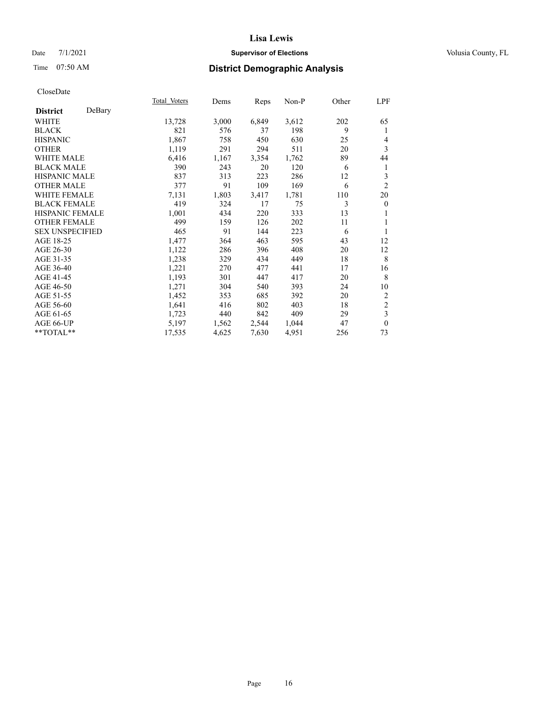### Date 7/1/2021 **Supervisor of Elections Supervisor of Elections** Volusia County, FL

# Time 07:50 AM **District Demographic Analysis**

|                        |        | Total Voters | Dems  | Reps  | Non-P | Other | LPF            |
|------------------------|--------|--------------|-------|-------|-------|-------|----------------|
| <b>District</b>        | DeBary |              |       |       |       |       |                |
| WHITE                  |        | 13,728       | 3,000 | 6,849 | 3,612 | 202   | 65             |
| <b>BLACK</b>           |        | 821          | 576   | 37    | 198   | 9     | 1              |
| <b>HISPANIC</b>        |        | 1,867        | 758   | 450   | 630   | 25    | 4              |
| <b>OTHER</b>           |        | 1,119        | 291   | 294   | 511   | 20    | 3              |
| WHITE MALE             |        | 6,416        | 1,167 | 3,354 | 1,762 | 89    | 44             |
| <b>BLACK MALE</b>      |        | 390          | 243   | 20    | 120   | 6     | 1              |
| <b>HISPANIC MALE</b>   |        | 837          | 313   | 223   | 286   | 12    | 3              |
| <b>OTHER MALE</b>      |        | 377          | 91    | 109   | 169   | 6     | $\overline{2}$ |
| <b>WHITE FEMALE</b>    |        | 7,131        | 1,803 | 3,417 | 1,781 | 110   | 20             |
| <b>BLACK FEMALE</b>    |        | 419          | 324   | 17    | 75    | 3     | $\mathbf{0}$   |
| <b>HISPANIC FEMALE</b> |        | 1,001        | 434   | 220   | 333   | 13    | 1              |
| <b>OTHER FEMALE</b>    |        | 499          | 159   | 126   | 202   | 11    | 1              |
| <b>SEX UNSPECIFIED</b> |        | 465          | 91    | 144   | 223   | 6     | 1              |
| AGE 18-25              |        | 1,477        | 364   | 463   | 595   | 43    | 12             |
| AGE 26-30              |        | 1,122        | 286   | 396   | 408   | 20    | 12             |
| AGE 31-35              |        | 1,238        | 329   | 434   | 449   | 18    | 8              |
| AGE 36-40              |        | 1,221        | 270   | 477   | 441   | 17    | 16             |
| AGE 41-45              |        | 1,193        | 301   | 447   | 417   | 20    | 8              |
| AGE 46-50              |        | 1,271        | 304   | 540   | 393   | 24    | 10             |
| AGE 51-55              |        | 1,452        | 353   | 685   | 392   | 20    | $\overline{2}$ |
| AGE 56-60              |        | 1,641        | 416   | 802   | 403   | 18    | $\sqrt{2}$     |
| AGE 61-65              |        | 1,723        | 440   | 842   | 409   | 29    | 3              |
| AGE 66-UP              |        | 5,197        | 1,562 | 2,544 | 1,044 | 47    | $\mathbf{0}$   |
| **TOTAL**              |        | 17,535       | 4,625 | 7,630 | 4,951 | 256   | 73             |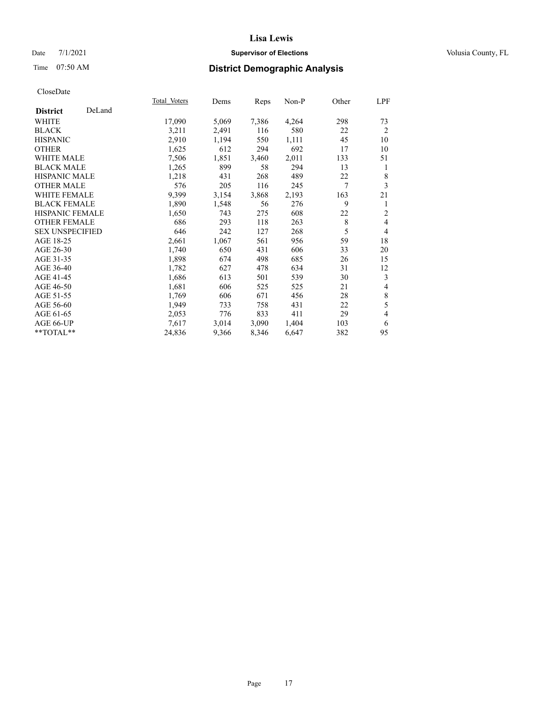### Date 7/1/2021 **Supervisor of Elections Supervisor of Elections** Volusia County, FL

# Time 07:50 AM **District Demographic Analysis**

|                        |        | Total Voters | Dems  | Reps  | Non-P | Other | LPF            |
|------------------------|--------|--------------|-------|-------|-------|-------|----------------|
| <b>District</b>        | DeLand |              |       |       |       |       |                |
| WHITE                  |        | 17,090       | 5,069 | 7,386 | 4,264 | 298   | 73             |
| <b>BLACK</b>           |        | 3,211        | 2,491 | 116   | 580   | 22    | 2              |
| <b>HISPANIC</b>        |        | 2,910        | 1,194 | 550   | 1,111 | 45    | 10             |
| <b>OTHER</b>           |        | 1,625        | 612   | 294   | 692   | 17    | 10             |
| <b>WHITE MALE</b>      |        | 7,506        | 1,851 | 3,460 | 2,011 | 133   | 51             |
| <b>BLACK MALE</b>      |        | 1,265        | 899   | 58    | 294   | 13    | 1              |
| HISPANIC MALE          |        | 1,218        | 431   | 268   | 489   | 22    | 8              |
| <b>OTHER MALE</b>      |        | 576          | 205   | 116   | 245   | 7     | 3              |
| <b>WHITE FEMALE</b>    |        | 9,399        | 3,154 | 3,868 | 2,193 | 163   | 21             |
| <b>BLACK FEMALE</b>    |        | 1,890        | 1,548 | 56    | 276   | 9     | 1              |
| HISPANIC FEMALE        |        | 1,650        | 743   | 275   | 608   | 22    | $\overline{2}$ |
| <b>OTHER FEMALE</b>    |        | 686          | 293   | 118   | 263   | 8     | $\overline{4}$ |
| <b>SEX UNSPECIFIED</b> |        | 646          | 242   | 127   | 268   | 5     | $\overline{4}$ |
| AGE 18-25              |        | 2,661        | 1,067 | 561   | 956   | 59    | 18             |
| AGE 26-30              |        | 1,740        | 650   | 431   | 606   | 33    | 20             |
| AGE 31-35              |        | 1,898        | 674   | 498   | 685   | 26    | 15             |
| AGE 36-40              |        | 1,782        | 627   | 478   | 634   | 31    | 12             |
| AGE 41-45              |        | 1,686        | 613   | 501   | 539   | 30    | 3              |
| AGE 46-50              |        | 1,681        | 606   | 525   | 525   | 21    | 4              |
| AGE 51-55              |        | 1,769        | 606   | 671   | 456   | 28    | $\,$ $\,$      |
| AGE 56-60              |        | 1,949        | 733   | 758   | 431   | 22    | 5              |
| AGE 61-65              |        | 2,053        | 776   | 833   | 411   | 29    | $\overline{4}$ |
| AGE 66-UP              |        | 7,617        | 3,014 | 3,090 | 1,404 | 103   | 6              |
| $*$ TOTAL $*$          |        | 24,836       | 9,366 | 8,346 | 6,647 | 382   | 95             |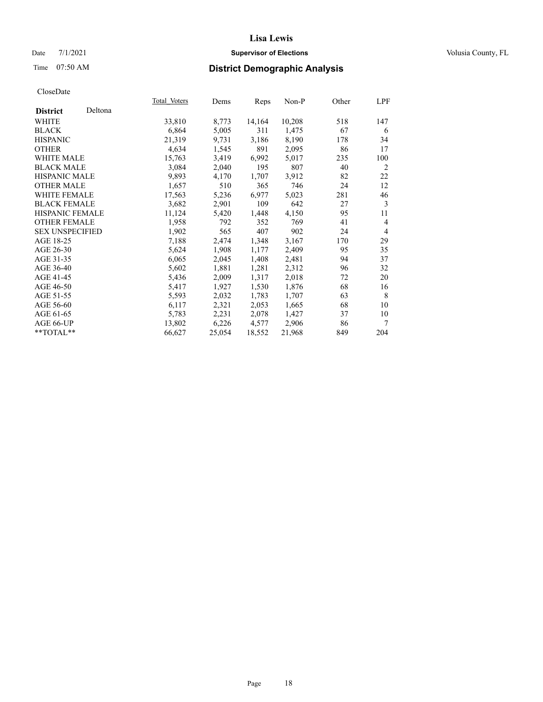### Date 7/1/2021 **Supervisor of Elections Supervisor of Elections** Volusia County, FL

# Time 07:50 AM **District Demographic Analysis**

|                        |         | Total Voters | Dems   | Reps   | $Non-P$ | Other | LPF            |
|------------------------|---------|--------------|--------|--------|---------|-------|----------------|
| <b>District</b>        | Deltona |              |        |        |         |       |                |
| WHITE                  |         | 33,810       | 8,773  | 14,164 | 10,208  | 518   | 147            |
| <b>BLACK</b>           |         | 6,864        | 5,005  | 311    | 1,475   | 67    | 6              |
| <b>HISPANIC</b>        |         | 21,319       | 9,731  | 3,186  | 8,190   | 178   | 34             |
| <b>OTHER</b>           |         | 4,634        | 1,545  | 891    | 2,095   | 86    | 17             |
| WHITE MALE             |         | 15,763       | 3,419  | 6,992  | 5,017   | 235   | 100            |
| <b>BLACK MALE</b>      |         | 3,084        | 2,040  | 195    | 807     | 40    | 2              |
| <b>HISPANIC MALE</b>   |         | 9,893        | 4,170  | 1,707  | 3,912   | 82    | 22             |
| <b>OTHER MALE</b>      |         | 1,657        | 510    | 365    | 746     | 24    | 12             |
| <b>WHITE FEMALE</b>    |         | 17,563       | 5,236  | 6,977  | 5,023   | 281   | 46             |
| <b>BLACK FEMALE</b>    |         | 3,682        | 2,901  | 109    | 642     | 27    | 3              |
| <b>HISPANIC FEMALE</b> |         | 11,124       | 5,420  | 1,448  | 4,150   | 95    | 11             |
| <b>OTHER FEMALE</b>    |         | 1,958        | 792    | 352    | 769     | 41    | $\overline{4}$ |
| <b>SEX UNSPECIFIED</b> |         | 1,902        | 565    | 407    | 902     | 24    | $\overline{4}$ |
| AGE 18-25              |         | 7,188        | 2,474  | 1,348  | 3,167   | 170   | 29             |
| AGE 26-30              |         | 5,624        | 1,908  | 1,177  | 2,409   | 95    | 35             |
| AGE 31-35              |         | 6,065        | 2,045  | 1,408  | 2,481   | 94    | 37             |
| AGE 36-40              |         | 5,602        | 1,881  | 1,281  | 2,312   | 96    | 32             |
| AGE 41-45              |         | 5,436        | 2,009  | 1,317  | 2,018   | 72    | 20             |
| AGE 46-50              |         | 5,417        | 1,927  | 1,530  | 1,876   | 68    | 16             |
| AGE 51-55              |         | 5,593        | 2,032  | 1,783  | 1,707   | 63    | 8              |
| AGE 56-60              |         | 6,117        | 2,321  | 2,053  | 1,665   | 68    | 10             |
| AGE 61-65              |         | 5,783        | 2,231  | 2,078  | 1,427   | 37    | 10             |
| AGE 66-UP              |         | 13,802       | 6,226  | 4,577  | 2,906   | 86    | 7              |
| $*$ TOTAL $*$          |         | 66,627       | 25,054 | 18,552 | 21,968  | 849   | 204            |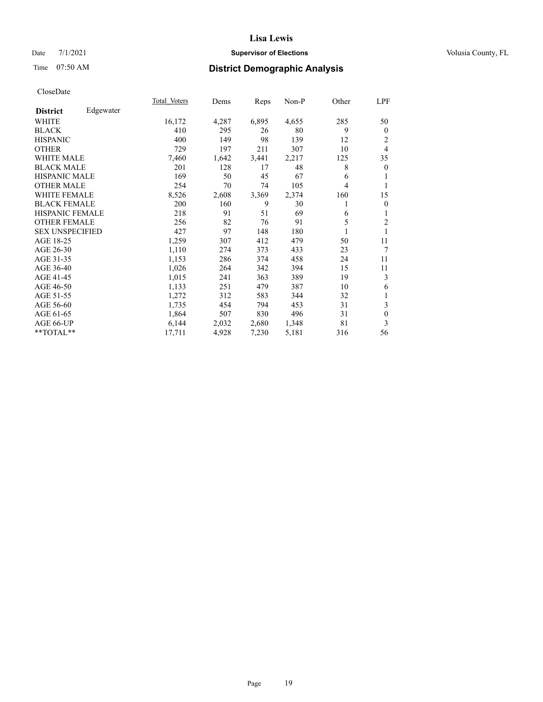### Date 7/1/2021 **Supervisor of Elections Supervisor of Elections** Volusia County, FL

# Time 07:50 AM **District Demographic Analysis**

|                        |           | Total Voters | Dems  | Reps  | Non-P | Other | LPF            |
|------------------------|-----------|--------------|-------|-------|-------|-------|----------------|
| <b>District</b>        | Edgewater |              |       |       |       |       |                |
| WHITE                  |           | 16,172       | 4,287 | 6,895 | 4,655 | 285   | 50             |
| <b>BLACK</b>           |           | 410          | 295   | 26    | 80    | 9     | $\theta$       |
| <b>HISPANIC</b>        |           | 400          | 149   | 98    | 139   | 12    | 2              |
| <b>OTHER</b>           |           | 729          | 197   | 211   | 307   | 10    | $\overline{4}$ |
| <b>WHITE MALE</b>      |           | 7,460        | 1,642 | 3,441 | 2,217 | 125   | 35             |
| <b>BLACK MALE</b>      |           | 201          | 128   | 17    | 48    | 8     | $\overline{0}$ |
| <b>HISPANIC MALE</b>   |           | 169          | 50    | 45    | 67    | 6     | 1              |
| <b>OTHER MALE</b>      |           | 254          | 70    | 74    | 105   | 4     | 1              |
| <b>WHITE FEMALE</b>    |           | 8,526        | 2,608 | 3,369 | 2,374 | 160   | 15             |
| <b>BLACK FEMALE</b>    |           | 200          | 160   | 9     | 30    | 1     | $\overline{0}$ |
| <b>HISPANIC FEMALE</b> |           | 218          | 91    | 51    | 69    | 6     | 1              |
| <b>OTHER FEMALE</b>    |           | 256          | 82    | 76    | 91    | 5     | $\overline{2}$ |
| <b>SEX UNSPECIFIED</b> |           | 427          | 97    | 148   | 180   | 1     | 1              |
| AGE 18-25              |           | 1,259        | 307   | 412   | 479   | 50    | 11             |
| AGE 26-30              |           | 1,110        | 274   | 373   | 433   | 23    | 7              |
| AGE 31-35              |           | 1,153        | 286   | 374   | 458   | 24    | 11             |
| AGE 36-40              |           | 1,026        | 264   | 342   | 394   | 15    | 11             |
| AGE 41-45              |           | 1,015        | 241   | 363   | 389   | 19    | 3              |
| AGE 46-50              |           | 1,133        | 251   | 479   | 387   | 10    | 6              |
| AGE 51-55              |           | 1,272        | 312   | 583   | 344   | 32    | 1              |
| AGE 56-60              |           | 1,735        | 454   | 794   | 453   | 31    | 3              |
| AGE 61-65              |           | 1,864        | 507   | 830   | 496   | 31    | $\mathbf{0}$   |
| AGE 66-UP              |           | 6,144        | 2,032 | 2,680 | 1,348 | 81    | 3              |
| **TOTAL**              |           | 17,711       | 4,928 | 7,230 | 5,181 | 316   | 56             |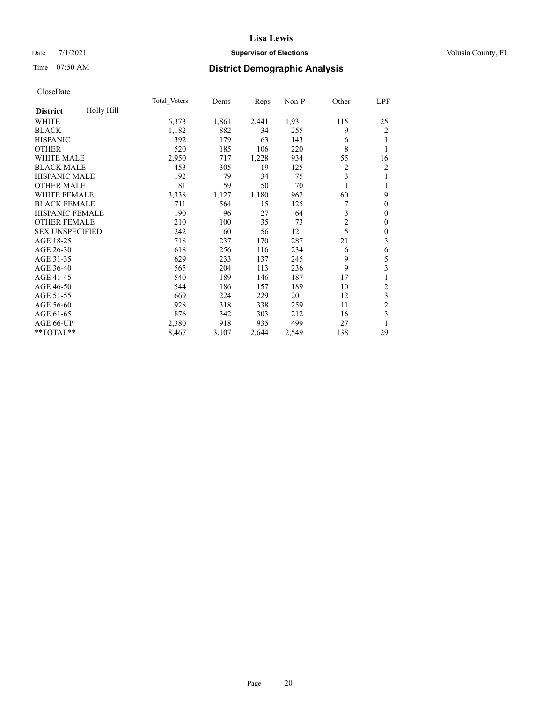### Date 7/1/2021 **Supervisor of Elections Supervisor of Elections** Volusia County, FL

# Time 07:50 AM **District Demographic Analysis**

|                        |            | Total Voters | Dems  | Reps  | Non-P | Other          | LPF              |
|------------------------|------------|--------------|-------|-------|-------|----------------|------------------|
| <b>District</b>        | Holly Hill |              |       |       |       |                |                  |
| WHITE                  |            | 6,373        | 1,861 | 2,441 | 1,931 | 115            | 25               |
| <b>BLACK</b>           |            | 1,182        | 882   | 34    | 255   | 9              | $\overline{c}$   |
| <b>HISPANIC</b>        |            | 392          | 179   | 63    | 143   | 6              | 1                |
| <b>OTHER</b>           |            | 520          | 185   | 106   | 220   | 8              | 1                |
| WHITE MALE             |            | 2,950        | 717   | 1,228 | 934   | 55             | 16               |
| <b>BLACK MALE</b>      |            | 453          | 305   | 19    | 125   | 2              | $\overline{c}$   |
| <b>HISPANIC MALE</b>   |            | 192          | 79    | 34    | 75    | 3              | 1                |
| <b>OTHER MALE</b>      |            | 181          | 59    | 50    | 70    |                | 1                |
| <b>WHITE FEMALE</b>    |            | 3,338        | 1,127 | 1,180 | 962   | 60             | 9                |
| <b>BLACK FEMALE</b>    |            | 711          | 564   | 15    | 125   |                | $\theta$         |
| <b>HISPANIC FEMALE</b> |            | 190          | 96    | 27    | 64    | 3              | $\theta$         |
| <b>OTHER FEMALE</b>    |            | 210          | 100   | 35    | 73    | $\overline{2}$ | $\theta$         |
| <b>SEX UNSPECIFIED</b> |            | 242          | 60    | 56    | 121   | 5              | $\boldsymbol{0}$ |
| AGE 18-25              |            | 718          | 237   | 170   | 287   | 21             | 3                |
| AGE 26-30              |            | 618          | 256   | 116   | 234   | 6              | 6                |
| AGE 31-35              |            | 629          | 233   | 137   | 245   | 9              | 5                |
| AGE 36-40              |            | 565          | 204   | 113   | 236   | 9              | 3                |
| AGE 41-45              |            | 540          | 189   | 146   | 187   | 17             | 1                |
| AGE 46-50              |            | 544          | 186   | 157   | 189   | 10             | $\overline{c}$   |
| AGE 51-55              |            | 669          | 224   | 229   | 201   | 12             | 3                |
| AGE 56-60              |            | 928          | 318   | 338   | 259   | 11             | $\overline{c}$   |
| AGE 61-65              |            | 876          | 342   | 303   | 212   | 16             | 3                |
| AGE 66-UP              |            | 2,380        | 918   | 935   | 499   | 27             | 1                |
| **TOTAL**              |            | 8,467        | 3,107 | 2,644 | 2,549 | 138            | 29               |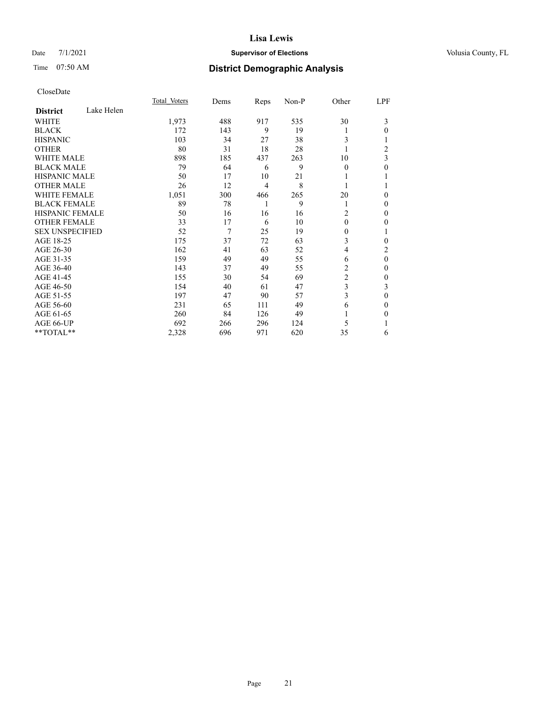### Date  $7/1/2021$  **Supervisor of Elections** Volusia County, FL

# Time 07:50 AM **District Demographic Analysis**

|                        | Total Voters |       | Dems | Reps           | Non-P | Other          | LPF            |
|------------------------|--------------|-------|------|----------------|-------|----------------|----------------|
| <b>District</b>        | Lake Helen   |       |      |                |       |                |                |
| WHITE                  |              | 1,973 | 488  | 917            | 535   | 30             | 3              |
| <b>BLACK</b>           |              | 172   | 143  | 9              | 19    | 1              | 0              |
| <b>HISPANIC</b>        |              | 103   | 34   | 27             | 38    | 3              |                |
| <b>OTHER</b>           |              | 80    | 31   | 18             | 28    | 1              | $\overline{c}$ |
| <b>WHITE MALE</b>      |              | 898   | 185  | 437            | 263   | 10             | 3              |
| <b>BLACK MALE</b>      |              | 79    | 64   | 6              | 9     | $\theta$       | 0              |
| <b>HISPANIC MALE</b>   |              | 50    | 17   | 10             | 21    | 1              |                |
| <b>OTHER MALE</b>      |              | 26    | 12   | $\overline{4}$ | 8     | 1              |                |
| <b>WHITE FEMALE</b>    |              | 1,051 | 300  | 466            | 265   | 20             | 0              |
| <b>BLACK FEMALE</b>    |              | 89    | 78   | 1              | 9     | 1              | 0              |
| <b>HISPANIC FEMALE</b> |              | 50    | 16   | 16             | 16    | 2              | 0              |
| <b>OTHER FEMALE</b>    |              | 33    | 17   | 6              | 10    | $\theta$       | 0              |
| <b>SEX UNSPECIFIED</b> |              | 52    | 7    | 25             | 19    | $\mathbf{0}$   |                |
| AGE 18-25              |              | 175   | 37   | 72             | 63    | 3              | 0              |
| AGE 26-30              |              | 162   | 41   | 63             | 52    | 4              | 2              |
| AGE 31-35              |              | 159   | 49   | 49             | 55    | 6              | $\theta$       |
| AGE 36-40              |              | 143   | 37   | 49             | 55    | 2              | 0              |
| AGE 41-45              |              | 155   | 30   | 54             | 69    | $\overline{c}$ | 0              |
| AGE 46-50              |              | 154   | 40   | 61             | 47    | 3              | 3              |
| AGE 51-55              |              | 197   | 47   | 90             | 57    | 3              | $\mathbf{0}$   |
| AGE 56-60              |              | 231   | 65   | 111            | 49    | 6              | 0              |
| AGE 61-65              |              | 260   | 84   | 126            | 49    | 1              | 0              |
| AGE 66-UP              |              | 692   | 266  | 296            | 124   | 5              |                |
| **TOTAL**              |              | 2,328 | 696  | 971            | 620   | 35             | 6              |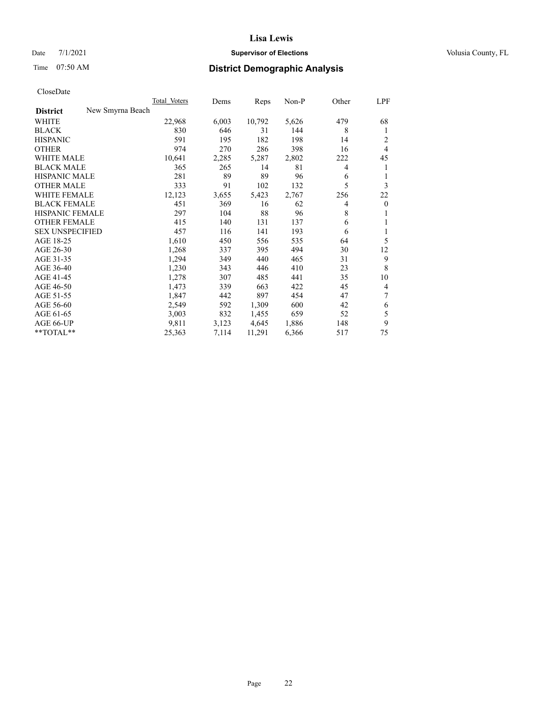### Date  $7/1/2021$  **Supervisor of Elections** Volusia County, FL

# Time 07:50 AM **District Demographic Analysis**

|                                     | Total Voters | Dems  | Reps   | Non-P | Other | <b>LPF</b>     |
|-------------------------------------|--------------|-------|--------|-------|-------|----------------|
| New Smyrna Beach<br><b>District</b> |              |       |        |       |       |                |
| WHITE                               | 22,968       | 6,003 | 10,792 | 5,626 | 479   | 68             |
| <b>BLACK</b>                        | 830          | 646   | 31     | 144   | 8     | 1              |
| <b>HISPANIC</b>                     | 591          | 195   | 182    | 198   | 14    | 2              |
| <b>OTHER</b>                        | 974          | 270   | 286    | 398   | 16    | $\overline{4}$ |
| <b>WHITE MALE</b>                   | 10,641       | 2,285 | 5,287  | 2,802 | 222   | 45             |
| <b>BLACK MALE</b>                   | 365          | 265   | 14     | 81    | 4     | 1              |
| <b>HISPANIC MALE</b>                | 281          | 89    | 89     | 96    | 6     | 1              |
| <b>OTHER MALE</b>                   | 333          | 91    | 102    | 132   | 5     | 3              |
| WHITE FEMALE                        | 12,123       | 3,655 | 5,423  | 2,767 | 256   | 22             |
| <b>BLACK FEMALE</b>                 | 451          | 369   | 16     | 62    | 4     | $\mathbf{0}$   |
| <b>HISPANIC FEMALE</b>              | 297          | 104   | 88     | 96    | 8     | 1              |
| <b>OTHER FEMALE</b>                 | 415          | 140   | 131    | 137   | 6     | 1              |
| <b>SEX UNSPECIFIED</b>              | 457          | 116   | 141    | 193   | 6     | 1              |
| AGE 18-25                           | 1,610        | 450   | 556    | 535   | 64    | 5              |
| AGE 26-30                           | 1,268        | 337   | 395    | 494   | 30    | 12             |
| AGE 31-35                           | 1,294        | 349   | 440    | 465   | 31    | 9              |
| AGE 36-40                           | 1,230        | 343   | 446    | 410   | 23    | 8              |
| AGE 41-45                           | 1,278        | 307   | 485    | 441   | 35    | 10             |
| AGE 46-50                           | 1,473        | 339   | 663    | 422   | 45    | $\overline{4}$ |
| AGE 51-55                           | 1,847        | 442   | 897    | 454   | 47    | 7              |
| AGE 56-60                           | 2,549        | 592   | 1,309  | 600   | 42    | 6              |
| AGE 61-65                           | 3,003        | 832   | 1,455  | 659   | 52    | 5              |
| AGE 66-UP                           | 9,811        | 3,123 | 4,645  | 1,886 | 148   | 9              |
| $*$ $*$ TOTAL $*$ $*$               | 25,363       | 7,114 | 11,291 | 6,366 | 517   | 75             |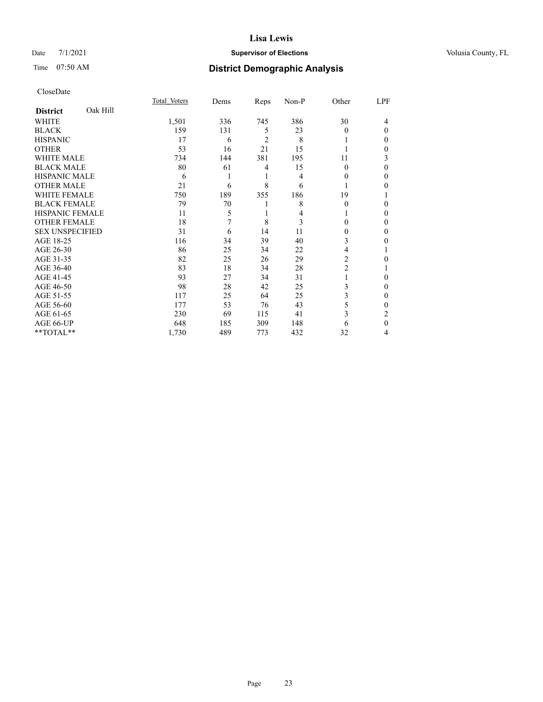### Date 7/1/2021 **Supervisor of Elections Supervisor of Elections** Volusia County, FL

# Time 07:50 AM **District Demographic Analysis**

|                        |          | Total Voters | Dems | Reps | Non-P | Other    | LPF          |
|------------------------|----------|--------------|------|------|-------|----------|--------------|
| <b>District</b>        | Oak Hill |              |      |      |       |          |              |
| WHITE                  |          | 1,501        | 336  | 745  | 386   | 30       | 4            |
| <b>BLACK</b>           |          | 159          | 131  | 5    | 23    | $\Omega$ | $\Omega$     |
| <b>HISPANIC</b>        |          | 17           | 6    | 2    | 8     |          | 0            |
| <b>OTHER</b>           |          | 53           | 16   | 21   | 15    |          | 0            |
| WHITE MALE             |          | 734          | 144  | 381  | 195   | 11       | 3            |
| <b>BLACK MALE</b>      |          | 80           | 61   | 4    | 15    | $\theta$ | $\Omega$     |
| <b>HISPANIC MALE</b>   |          | 6            | 1    | 1    | 4     | 0        | 0            |
| <b>OTHER MALE</b>      |          | 21           | 6    | 8    | 6     | 1        | 0            |
| WHITE FEMALE           |          | 750          | 189  | 355  | 186   | 19       |              |
| <b>BLACK FEMALE</b>    |          | 79           | 70   | 1    | 8     | $\Omega$ | 0            |
| <b>HISPANIC FEMALE</b> |          | 11           | 5    | 1    | 4     |          | 0            |
| <b>OTHER FEMALE</b>    |          | 18           | 7    | 8    | 3     | 0        | 0            |
| <b>SEX UNSPECIFIED</b> |          | 31           | 6    | 14   | 11    | $\Omega$ | 0            |
| AGE 18-25              |          | 116          | 34   | 39   | 40    | 3        | 0            |
| AGE 26-30              |          | 86           | 25   | 34   | 22    | 4        |              |
| AGE 31-35              |          | 82           | 25   | 26   | 29    | 2        | 0            |
| AGE 36-40              |          | 83           | 18   | 34   | 28    | 2        |              |
| AGE 41-45              |          | 93           | 27   | 34   | 31    |          | 0            |
| AGE 46-50              |          | 98           | 28   | 42   | 25    | 3        | 0            |
| AGE 51-55              |          | 117          | 25   | 64   | 25    | 3        | $\mathbf{0}$ |
| AGE 56-60              |          | 177          | 53   | 76   | 43    | 5        | 0            |
| AGE 61-65              |          | 230          | 69   | 115  | 41    | 3        | 2            |
| AGE 66-UP              |          | 648          | 185  | 309  | 148   | 6        | $\theta$     |
| **TOTAL**              |          | 1,730        | 489  | 773  | 432   | 32       | 4            |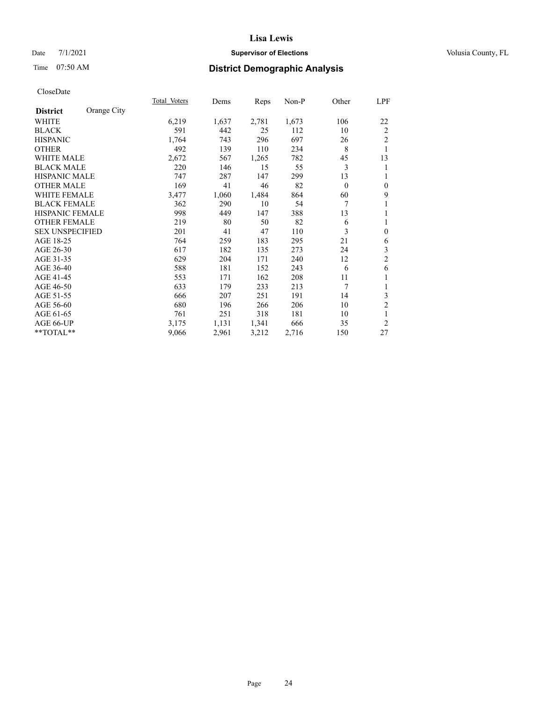### Date 7/1/2021 **Supervisor of Elections Supervisor of Elections** Volusia County, FL

# Time 07:50 AM **District Demographic Analysis**

|                        |             | Total Voters | Dems  | Reps  | Non-P | Other    | LPF            |
|------------------------|-------------|--------------|-------|-------|-------|----------|----------------|
| <b>District</b>        | Orange City |              |       |       |       |          |                |
| WHITE                  |             | 6,219        | 1,637 | 2,781 | 1,673 | 106      | 22             |
| <b>BLACK</b>           |             | 591          | 442   | 25    | 112   | 10       | 2              |
| <b>HISPANIC</b>        |             | 1,764        | 743   | 296   | 697   | 26       | $\overline{2}$ |
| <b>OTHER</b>           |             | 492          | 139   | 110   | 234   | 8        | 1              |
| WHITE MALE             |             | 2,672        | 567   | 1,265 | 782   | 45       | 13             |
| <b>BLACK MALE</b>      |             | 220          | 146   | 15    | 55    | 3        | 1              |
| <b>HISPANIC MALE</b>   |             | 747          | 287   | 147   | 299   | 13       | 1              |
| <b>OTHER MALE</b>      |             | 169          | 41    | 46    | 82    | $\theta$ | $\mathbf{0}$   |
| WHITE FEMALE           |             | 3,477        | 1,060 | 1,484 | 864   | 60       | 9              |
| <b>BLACK FEMALE</b>    |             | 362          | 290   | 10    | 54    | 7        | 1              |
| <b>HISPANIC FEMALE</b> |             | 998          | 449   | 147   | 388   | 13       | 1              |
| <b>OTHER FEMALE</b>    |             | 219          | 80    | 50    | 82    | 6        | 1              |
| <b>SEX UNSPECIFIED</b> |             | 201          | 41    | 47    | 110   | 3        | $\mathbf{0}$   |
| AGE 18-25              |             | 764          | 259   | 183   | 295   | 21       | 6              |
| AGE 26-30              |             | 617          | 182   | 135   | 273   | 24       | $\mathfrak{Z}$ |
| AGE 31-35              |             | 629          | 204   | 171   | 240   | 12       | $\overline{c}$ |
| AGE 36-40              |             | 588          | 181   | 152   | 243   | 6        | 6              |
| AGE 41-45              |             | 553          | 171   | 162   | 208   | 11       | 1              |
| AGE 46-50              |             | 633          | 179   | 233   | 213   | 7        | 1              |
| AGE 51-55              |             | 666          | 207   | 251   | 191   | 14       | 3              |
| AGE 56-60              |             | 680          | 196   | 266   | 206   | 10       | $\overline{c}$ |
| AGE 61-65              |             | 761          | 251   | 318   | 181   | 10       | 1              |
| AGE 66-UP              |             | 3,175        | 1,131 | 1,341 | 666   | 35       | $\overline{2}$ |
| **TOTAL**              |             | 9,066        | 2,961 | 3,212 | 2,716 | 150      | 27             |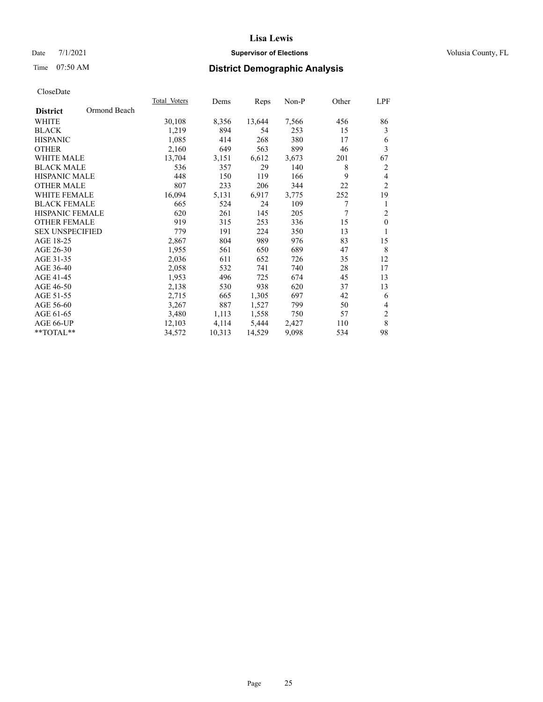### Date 7/1/2021 **Supervisor of Elections Supervisor of Elections** Volusia County, FL

# Time 07:50 AM **District Demographic Analysis**

|                                 | Total Voters | Dems   | Reps   | $Non-P$ | Other | LPF            |
|---------------------------------|--------------|--------|--------|---------|-------|----------------|
| Ormond Beach<br><b>District</b> |              |        |        |         |       |                |
| WHITE                           | 30,108       | 8,356  | 13,644 | 7,566   | 456   | 86             |
| <b>BLACK</b>                    | 1,219        | 894    | 54     | 253     | 15    | 3              |
| <b>HISPANIC</b>                 | 1,085        | 414    | 268    | 380     | 17    | 6              |
| <b>OTHER</b>                    | 2,160        | 649    | 563    | 899     | 46    | 3              |
| WHITE MALE                      | 13,704       | 3,151  | 6,612  | 3,673   | 201   | 67             |
| <b>BLACK MALE</b>               | 536          | 357    | 29     | 140     | 8     | 2              |
| <b>HISPANIC MALE</b>            | 448          | 150    | 119    | 166     | 9     | $\overline{4}$ |
| <b>OTHER MALE</b>               | 807          | 233    | 206    | 344     | 22    | 2              |
| WHITE FEMALE                    | 16,094       | 5,131  | 6,917  | 3,775   | 252   | 19             |
| <b>BLACK FEMALE</b>             | 665          | 524    | 24     | 109     | 7     | 1              |
| HISPANIC FEMALE                 | 620          | 261    | 145    | 205     | 7     | $\overline{2}$ |
| <b>OTHER FEMALE</b>             | 919          | 315    | 253    | 336     | 15    | $\mathbf{0}$   |
| <b>SEX UNSPECIFIED</b>          | 779          | 191    | 224    | 350     | 13    | 1              |
| AGE 18-25                       | 2,867        | 804    | 989    | 976     | 83    | 15             |
| AGE 26-30                       | 1,955        | 561    | 650    | 689     | 47    | 8              |
| AGE 31-35                       | 2,036        | 611    | 652    | 726     | 35    | 12             |
| AGE 36-40                       | 2,058        | 532    | 741    | 740     | 28    | 17             |
| AGE 41-45                       | 1,953        | 496    | 725    | 674     | 45    | 13             |
| AGE 46-50                       | 2,138        | 530    | 938    | 620     | 37    | 13             |
| AGE 51-55                       | 2,715        | 665    | 1,305  | 697     | 42    | 6              |
| AGE 56-60                       | 3,267        | 887    | 1,527  | 799     | 50    | $\overline{4}$ |
| AGE 61-65                       | 3,480        | 1,113  | 1,558  | 750     | 57    | $\overline{2}$ |
| AGE 66-UP                       | 12,103       | 4,114  | 5,444  | 2,427   | 110   | 8              |
| **TOTAL**                       | 34,572       | 10,313 | 14,529 | 9,098   | 534   | 98             |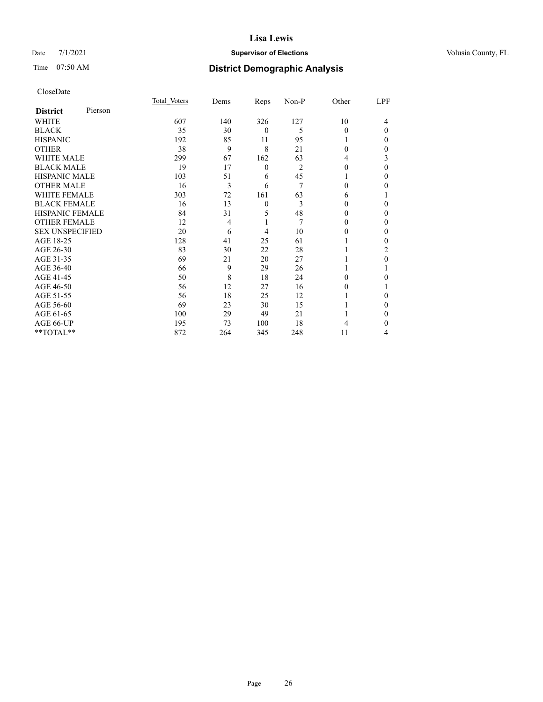### Date 7/1/2021 **Supervisor of Elections Supervisor of Elections** Volusia County, FL

| CloseDate |
|-----------|
|-----------|

|                        |         | Total Voters | Dems | Reps         | Non-P | Other | LPF |
|------------------------|---------|--------------|------|--------------|-------|-------|-----|
| <b>District</b>        | Pierson |              |      |              |       |       |     |
| WHITE                  |         | 607          | 140  | 326          | 127   | 10    | 4   |
| <b>BLACK</b>           |         | 35           | 30   | 0            | 5     | 0     | 0   |
| <b>HISPANIC</b>        |         | 192          | 85   | 11           | 95    |       | 0   |
| OTHER                  |         | 38           | 9    | 8            | 21    | 0     | 0   |
| <b>WHITE MALE</b>      |         | 299          | 67   | 162          | 63    | 4     | 3   |
| <b>BLACK MALE</b>      |         | 19           | 17   | 0            | 2     | 0     | 0   |
| <b>HISPANIC MALE</b>   |         | 103          | 51   | 6            | 45    |       | 0   |
| OTHER MALE             |         | 16           | 3    | 6            | 7     | 0     | 0   |
| <b>WHITE FEMALE</b>    |         | 303          | 72   | 161          | 63    | 6     |     |
| <b>BLACK FEMALE</b>    |         | 16           | 13   | $\mathbf{0}$ | 3     | 0     | 0   |
| <b>HISPANIC FEMALE</b> |         | 84           | 31   | 5            | 48    | 0     | 0   |
| <b>OTHER FEMALE</b>    |         | 12           | 4    |              | 7     | 0     | 0   |
| <b>SEX UNSPECIFIED</b> |         | 20           | 6    | 4            | 10    | 0     | 0   |
| AGE 18-25              |         | 128          | 41   | 25           | 61    |       | 0   |
| AGE 26-30              |         | 83           | 30   | 22           | 28    |       | 2   |
| AGE 31-35              |         | 69           | 21   | 20           | 27    |       | 0   |
| AGE 36-40              |         | 66           | 9    | 29           | 26    |       |     |
| AGE 41-45              |         | 50           | 8    | 18           | 24    | 0     | 0   |
| AGE 46-50              |         | 56           | 12   | 27           | 16    | 0     |     |
| AGE 51-55              |         | 56           | 18   | 25           | 12    |       | 0   |
| AGE 56-60              |         | 69           | 23   | 30           | 15    |       | 0   |
| AGE 61-65              |         | 100          | 29   | 49           | 21    |       | 0   |
| AGE 66-UP              |         | 195          | 73   | 100          | 18    |       | 0   |
| **TOTAL**              |         | 872          | 264  | 345          | 248   | 11    | 4   |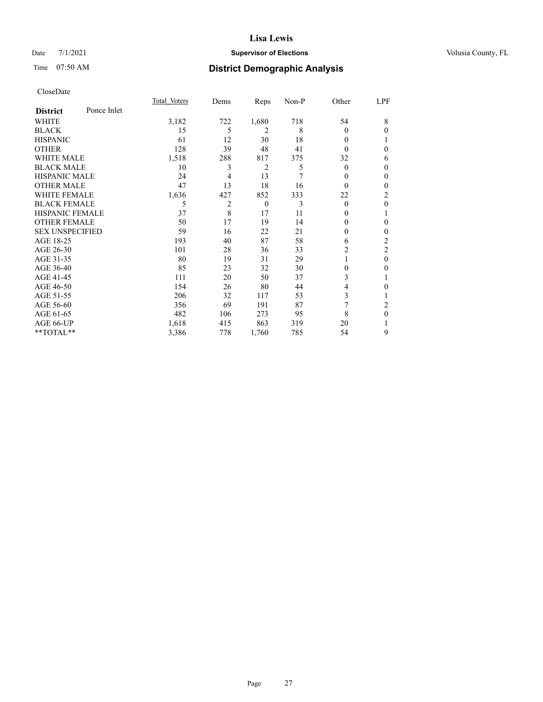### Date 7/1/2021 **Supervisor of Elections Supervisor of Elections** Volusia County, FL

# Time 07:50 AM **District Demographic Analysis**

|                        |             | Total Voters | Dems | Reps           | Non-P | Other    | LPF            |
|------------------------|-------------|--------------|------|----------------|-------|----------|----------------|
| <b>District</b>        | Ponce Inlet |              |      |                |       |          |                |
| WHITE                  |             | 3,182        | 722  | 1,680          | 718   | 54       | 8              |
| <b>BLACK</b>           |             | 15           | 5    | 2              | 8     | $\Omega$ | $\Omega$       |
| <b>HISPANIC</b>        |             | 61           | 12   | 30             | 18    | $\Omega$ |                |
| <b>OTHER</b>           |             | 128          | 39   | 48             | 41    | $\Omega$ | 0              |
| WHITE MALE             |             | 1,518        | 288  | 817            | 375   | 32       | 6              |
| <b>BLACK MALE</b>      |             | 10           | 3    | $\overline{2}$ | 5     | $\Omega$ | $\Omega$       |
| <b>HISPANIC MALE</b>   |             | 24           | 4    | 13             | 7     | 0        | $\mathbf{0}$   |
| <b>OTHER MALE</b>      |             | 47           | 13   | 18             | 16    | $\Omega$ | $\Omega$       |
| WHITE FEMALE           |             | 1,636        | 427  | 852            | 333   | 22       | $\overline{2}$ |
| <b>BLACK FEMALE</b>    |             | 5            | 2    | $\theta$       | 3     | $\theta$ | $\theta$       |
| <b>HISPANIC FEMALE</b> |             | 37           | 8    | 17             | 11    | 0        |                |
| <b>OTHER FEMALE</b>    |             | 50           | 17   | 19             | 14    | $\Omega$ | 0              |
| <b>SEX UNSPECIFIED</b> |             | 59           | 16   | 22             | 21    | 0        | $\theta$       |
| AGE 18-25              |             | 193          | 40   | 87             | 58    | 6        | $\overline{c}$ |
| AGE 26-30              |             | 101          | 28   | 36             | 33    | 2        | 2              |
| AGE 31-35              |             | 80           | 19   | 31             | 29    |          | $\theta$       |
| AGE 36-40              |             | 85           | 23   | 32             | 30    | 0        | 0              |
| AGE 41-45              |             | 111          | 20   | 50             | 37    | 3        |                |
| AGE 46-50              |             | 154          | 26   | 80             | 44    | 4        | 0              |
| AGE 51-55              |             | 206          | 32   | 117            | 53    | 3        |                |
| AGE 56-60              |             | 356          | 69   | 191            | 87    | 7        | 2              |
| AGE 61-65              |             | 482          | 106  | 273            | 95    | 8        | $\theta$       |
| AGE 66-UP              |             | 1,618        | 415  | 863            | 319   | 20       |                |
| **TOTAL**              |             | 3,386        | 778  | 1,760          | 785   | 54       | 9              |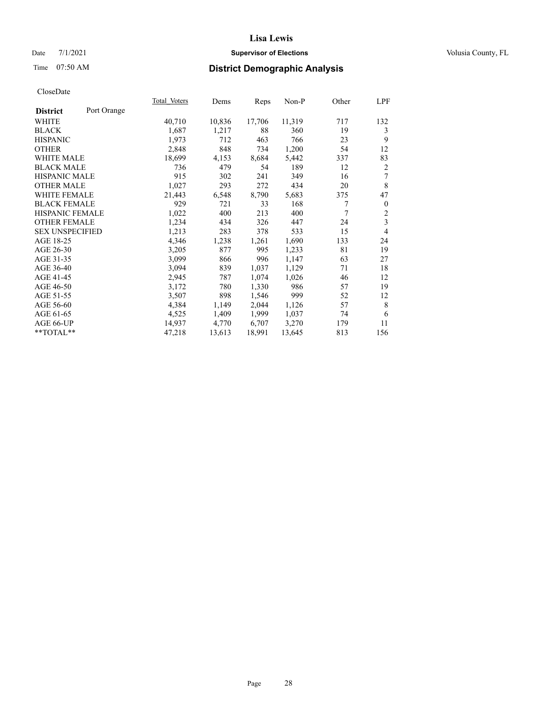### Date 7/1/2021 **Supervisor of Elections Supervisor of Elections** Volusia County, FL

# Time 07:50 AM **District Demographic Analysis**

|                        |             | Total Voters | Dems   | Reps   | Non-P  | Other | LPF              |
|------------------------|-------------|--------------|--------|--------|--------|-------|------------------|
| <b>District</b>        | Port Orange |              |        |        |        |       |                  |
| WHITE                  |             | 40,710       | 10,836 | 17,706 | 11,319 | 717   | 132              |
| <b>BLACK</b>           |             | 1,687        | 1,217  | 88     | 360    | 19    | 3                |
| <b>HISPANIC</b>        |             | 1,973        | 712    | 463    | 766    | 23    | 9                |
| <b>OTHER</b>           |             | 2,848        | 848    | 734    | 1,200  | 54    | 12               |
| <b>WHITE MALE</b>      |             | 18,699       | 4,153  | 8,684  | 5,442  | 337   | 83               |
| <b>BLACK MALE</b>      |             | 736          | 479    | 54     | 189    | 12    | 2                |
| <b>HISPANIC MALE</b>   |             | 915          | 302    | 241    | 349    | 16    | 7                |
| <b>OTHER MALE</b>      |             | 1,027        | 293    | 272    | 434    | 20    | 8                |
| <b>WHITE FEMALE</b>    |             | 21,443       | 6,548  | 8,790  | 5,683  | 375   | 47               |
| <b>BLACK FEMALE</b>    |             | 929          | 721    | 33     | 168    | 7     | $\boldsymbol{0}$ |
| <b>HISPANIC FEMALE</b> |             | 1,022        | 400    | 213    | 400    | 7     | $\sqrt{2}$       |
| <b>OTHER FEMALE</b>    |             | 1,234        | 434    | 326    | 447    | 24    | 3                |
| <b>SEX UNSPECIFIED</b> |             | 1,213        | 283    | 378    | 533    | 15    | 4                |
| AGE 18-25              |             | 4,346        | 1,238  | 1,261  | 1,690  | 133   | 24               |
| AGE 26-30              |             | 3,205        | 877    | 995    | 1,233  | 81    | 19               |
| AGE 31-35              |             | 3,099        | 866    | 996    | 1,147  | 63    | 27               |
| AGE 36-40              |             | 3,094        | 839    | 1,037  | 1,129  | 71    | 18               |
| AGE 41-45              |             | 2,945        | 787    | 1,074  | 1,026  | 46    | 12               |
| AGE 46-50              |             | 3,172        | 780    | 1,330  | 986    | 57    | 19               |
| AGE 51-55              |             | 3,507        | 898    | 1,546  | 999    | 52    | 12               |
| AGE 56-60              |             | 4,384        | 1,149  | 2,044  | 1,126  | 57    | $\,$ 8 $\,$      |
| AGE 61-65              |             | 4,525        | 1,409  | 1,999  | 1,037  | 74    | 6                |
| AGE 66-UP              |             | 14,937       | 4,770  | 6,707  | 3,270  | 179   | 11               |
| $**TOTAL**$            |             | 47,218       | 13,613 | 18,991 | 13,645 | 813   | 156              |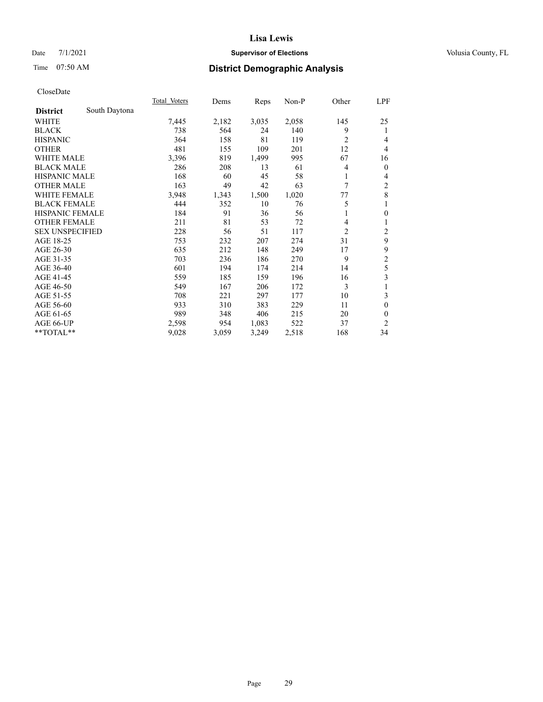### Date 7/1/2021 **Supervisor of Elections Supervisor of Elections** Volusia County, FL

# Time 07:50 AM **District Demographic Analysis**

|                        |               | Total Voters | Dems  | Reps  | Non-P | Other          | <u>LPF</u>              |
|------------------------|---------------|--------------|-------|-------|-------|----------------|-------------------------|
| <b>District</b>        | South Daytona |              |       |       |       |                |                         |
| WHITE                  |               | 7,445        | 2,182 | 3,035 | 2,058 | 145            | 25                      |
| <b>BLACK</b>           |               | 738          | 564   | 24    | 140   | 9              | 1                       |
| <b>HISPANIC</b>        |               | 364          | 158   | 81    | 119   | $\overline{2}$ | 4                       |
| <b>OTHER</b>           |               | 481          | 155   | 109   | 201   | 12             | 4                       |
| WHITE MALE             |               | 3,396        | 819   | 1,499 | 995   | 67             | 16                      |
| <b>BLACK MALE</b>      |               | 286          | 208   | 13    | 61    | 4              | $\mathbf{0}$            |
| <b>HISPANIC MALE</b>   |               | 168          | 60    | 45    | 58    | 1              | 4                       |
| <b>OTHER MALE</b>      |               | 163          | 49    | 42    | 63    | 7              | $\overline{c}$          |
| <b>WHITE FEMALE</b>    |               | 3,948        | 1,343 | 1,500 | 1,020 | 77             | 8                       |
| <b>BLACK FEMALE</b>    |               | 444          | 352   | 10    | 76    | 5              | 1                       |
| <b>HISPANIC FEMALE</b> |               | 184          | 91    | 36    | 56    | 1              | $\mathbf{0}$            |
| <b>OTHER FEMALE</b>    |               | 211          | 81    | 53    | 72    | 4              | 1                       |
| <b>SEX UNSPECIFIED</b> |               | 228          | 56    | 51    | 117   | $\overline{2}$ | $\overline{\mathbf{c}}$ |
| AGE 18-25              |               | 753          | 232   | 207   | 274   | 31             | 9                       |
| AGE 26-30              |               | 635          | 212   | 148   | 249   | 17             | 9                       |
| AGE 31-35              |               | 703          | 236   | 186   | 270   | 9              | $\overline{\mathbf{c}}$ |
| AGE 36-40              |               | 601          | 194   | 174   | 214   | 14             | 5                       |
| AGE 41-45              |               | 559          | 185   | 159   | 196   | 16             | 3                       |
| AGE 46-50              |               | 549          | 167   | 206   | 172   | 3              | 1                       |
| AGE 51-55              |               | 708          | 221   | 297   | 177   | 10             | 3                       |
| AGE 56-60              |               | 933          | 310   | 383   | 229   | 11             | $\theta$                |
| AGE 61-65              |               | 989          | 348   | 406   | 215   | 20             | $\theta$                |
| AGE 66-UP              |               | 2,598        | 954   | 1,083 | 522   | 37             | 2                       |
| **TOTAL**              |               | 9,028        | 3,059 | 3,249 | 2,518 | 168            | 34                      |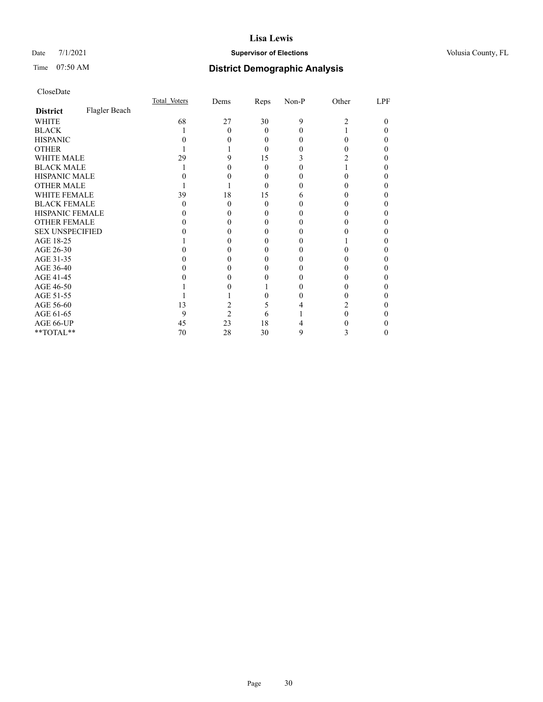### Date 7/1/2021 **Supervisor of Elections Supervisor of Elections** Volusia County, FL

# Time 07:50 AM **District Demographic Analysis**

|                        |               | Total Voters | Dems           | Reps     | Non-P | Other | LPF |
|------------------------|---------------|--------------|----------------|----------|-------|-------|-----|
| <b>District</b>        | Flagler Beach |              |                |          |       |       |     |
| WHITE                  |               | 68           | 27             | 30       | 9     | 2     | 0   |
| <b>BLACK</b>           |               |              | 0              | 0        |       |       |     |
| <b>HISPANIC</b>        |               |              |                | $\theta$ |       | 0     |     |
| <b>OTHER</b>           |               |              |                | 0        |       |       |     |
| WHITE MALE             |               | 29           |                | 15       |       |       |     |
| <b>BLACK MALE</b>      |               |              |                | 0        |       |       |     |
| <b>HISPANIC MALE</b>   |               |              |                | 0        |       |       |     |
| <b>OTHER MALE</b>      |               |              |                | 0        |       |       |     |
| <b>WHITE FEMALE</b>    |               | 39           | 18             | 15       |       |       |     |
| <b>BLACK FEMALE</b>    |               | $\mathbf{0}$ | 0              | $\theta$ |       |       |     |
| HISPANIC FEMALE        |               |              |                |          |       |       |     |
| <b>OTHER FEMALE</b>    |               |              |                | $_{0}$   |       |       |     |
| <b>SEX UNSPECIFIED</b> |               |              |                |          |       |       |     |
| AGE 18-25              |               |              |                |          |       |       |     |
| AGE 26-30              |               |              |                |          |       |       |     |
| AGE 31-35              |               |              |                |          |       |       |     |
| AGE 36-40              |               |              |                |          |       |       |     |
| AGE 41-45              |               |              |                |          |       |       |     |
| AGE 46-50              |               |              |                |          |       |       |     |
| AGE 51-55              |               |              |                |          |       |       |     |
| AGE 56-60              |               | 13           |                | ć.       |       |       |     |
| AGE 61-65              |               | 9            | $\mathfrak{D}$ | 6        |       |       |     |
| AGE 66-UP              |               | 45           | 23             | 18       |       |       |     |
| **TOTAL**              |               | 70           | 28             | 30       | 9     | 3     |     |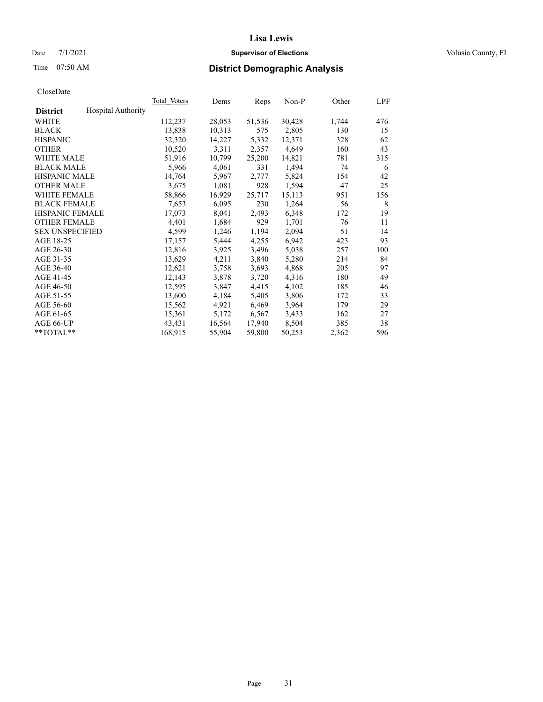### Date 7/1/2021 **Supervisor of Elections Supervisor of Elections** Volusia County, FL

# Time 07:50 AM **District Demographic Analysis**

|                        |                           | Total Voters | Dems   | Reps   | Non-P  | Other | LPF |
|------------------------|---------------------------|--------------|--------|--------|--------|-------|-----|
| <b>District</b>        | <b>Hospital Authority</b> |              |        |        |        |       |     |
| WHITE                  |                           | 112,237      | 28,053 | 51,536 | 30,428 | 1,744 | 476 |
| <b>BLACK</b>           |                           | 13,838       | 10,313 | 575    | 2,805  | 130   | 15  |
| <b>HISPANIC</b>        |                           | 32,320       | 14,227 | 5,332  | 12,371 | 328   | 62  |
| <b>OTHER</b>           |                           | 10,520       | 3,311  | 2,357  | 4,649  | 160   | 43  |
| WHITE MALE             |                           | 51,916       | 10,799 | 25,200 | 14,821 | 781   | 315 |
| <b>BLACK MALE</b>      |                           | 5,966        | 4,061  | 331    | 1,494  | 74    | 6   |
| <b>HISPANIC MALE</b>   |                           | 14,764       | 5,967  | 2,777  | 5,824  | 154   | 42  |
| <b>OTHER MALE</b>      |                           | 3,675        | 1,081  | 928    | 1,594  | 47    | 25  |
| <b>WHITE FEMALE</b>    |                           | 58,866       | 16,929 | 25,717 | 15,113 | 951   | 156 |
| <b>BLACK FEMALE</b>    |                           | 7,653        | 6,095  | 230    | 1,264  | 56    | 8   |
| <b>HISPANIC FEMALE</b> |                           | 17,073       | 8,041  | 2,493  | 6,348  | 172   | 19  |
| <b>OTHER FEMALE</b>    |                           | 4,401        | 1,684  | 929    | 1,701  | 76    | 11  |
| <b>SEX UNSPECIFIED</b> |                           | 4,599        | 1,246  | 1,194  | 2,094  | 51    | 14  |
| AGE 18-25              |                           | 17,157       | 5,444  | 4,255  | 6,942  | 423   | 93  |
| AGE 26-30              |                           | 12,816       | 3,925  | 3,496  | 5,038  | 257   | 100 |
| AGE 31-35              |                           | 13,629       | 4,211  | 3,840  | 5,280  | 214   | 84  |
| AGE 36-40              |                           | 12,621       | 3,758  | 3,693  | 4,868  | 205   | 97  |
| AGE 41-45              |                           | 12,143       | 3,878  | 3,720  | 4,316  | 180   | 49  |
| AGE 46-50              |                           | 12,595       | 3,847  | 4,415  | 4,102  | 185   | 46  |
| AGE 51-55              |                           | 13,600       | 4,184  | 5,405  | 3,806  | 172   | 33  |
| AGE 56-60              |                           | 15,562       | 4,921  | 6,469  | 3,964  | 179   | 29  |
| AGE 61-65              |                           | 15,361       | 5,172  | 6,567  | 3,433  | 162   | 27  |
| AGE 66-UP              |                           | 43,431       | 16,564 | 17,940 | 8,504  | 385   | 38  |
| $*$ TOTAL $*$          |                           | 168,915      | 55,904 | 59,800 | 50,253 | 2,362 | 596 |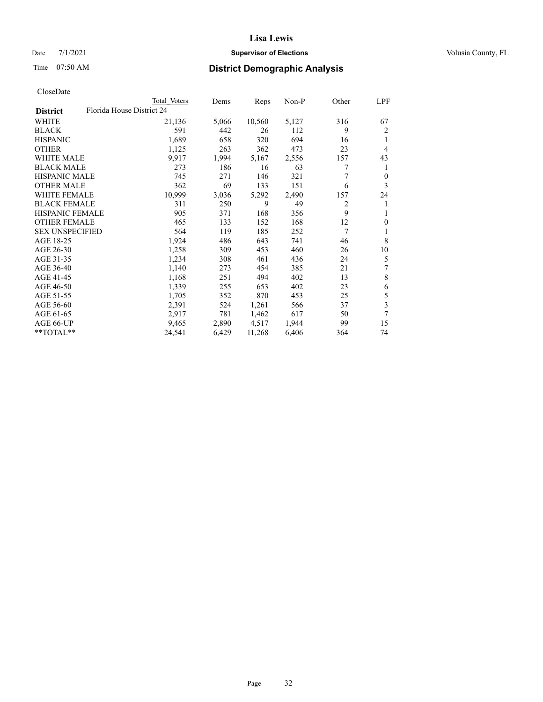### Date 7/1/2021 **Supervisor of Elections Supervisor of Elections** Volusia County, FL

| CloseDate |
|-----------|
|-----------|

|                        |                           | Total Voters | Dems  | Reps   | Non-P | Other | LPF            |
|------------------------|---------------------------|--------------|-------|--------|-------|-------|----------------|
| <b>District</b>        | Florida House District 24 |              |       |        |       |       |                |
| WHITE                  |                           | 21,136       | 5,066 | 10,560 | 5,127 | 316   | 67             |
| <b>BLACK</b>           |                           | 591          | 442   | 26     | 112   | 9     | $\overline{2}$ |
| <b>HISPANIC</b>        |                           | 1,689        | 658   | 320    | 694   | 16    | 1              |
| <b>OTHER</b>           |                           | 1,125        | 263   | 362    | 473   | 23    | $\overline{4}$ |
| <b>WHITE MALE</b>      |                           | 9,917        | 1,994 | 5,167  | 2,556 | 157   | 43             |
| <b>BLACK MALE</b>      |                           | 273          | 186   | 16     | 63    | 7     | 1              |
| <b>HISPANIC MALE</b>   |                           | 745          | 271   | 146    | 321   | 7     | $\theta$       |
| <b>OTHER MALE</b>      |                           | 362          | 69    | 133    | 151   | 6     | 3              |
| WHITE FEMALE           |                           | 10,999       | 3,036 | 5,292  | 2,490 | 157   | 24             |
| <b>BLACK FEMALE</b>    |                           | 311          | 250   | 9      | 49    | 2     | 1              |
| HISPANIC FEMALE        |                           | 905          | 371   | 168    | 356   | 9     | 1              |
| <b>OTHER FEMALE</b>    |                           | 465          | 133   | 152    | 168   | 12    | $\mathbf{0}$   |
| <b>SEX UNSPECIFIED</b> |                           | 564          | 119   | 185    | 252   | 7     | 1              |
| AGE 18-25              |                           | 1,924        | 486   | 643    | 741   | 46    | 8              |
| AGE 26-30              |                           | 1,258        | 309   | 453    | 460   | 26    | 10             |
| AGE 31-35              |                           | 1,234        | 308   | 461    | 436   | 24    | 5              |
| AGE 36-40              |                           | 1,140        | 273   | 454    | 385   | 21    | 7              |
| AGE 41-45              |                           | 1,168        | 251   | 494    | 402   | 13    | $\,$ 8 $\,$    |
| AGE 46-50              |                           | 1,339        | 255   | 653    | 402   | 23    | 6              |
| AGE 51-55              |                           | 1,705        | 352   | 870    | 453   | 25    | 5              |
| AGE 56-60              |                           | 2,391        | 524   | 1,261  | 566   | 37    | 3              |
| AGE 61-65              |                           | 2,917        | 781   | 1,462  | 617   | 50    | 7              |
| AGE 66-UP              |                           | 9,465        | 2,890 | 4,517  | 1,944 | 99    | 15             |
| **TOTAL**              |                           | 24,541       | 6,429 | 11,268 | 6,406 | 364   | 74             |
|                        |                           |              |       |        |       |       |                |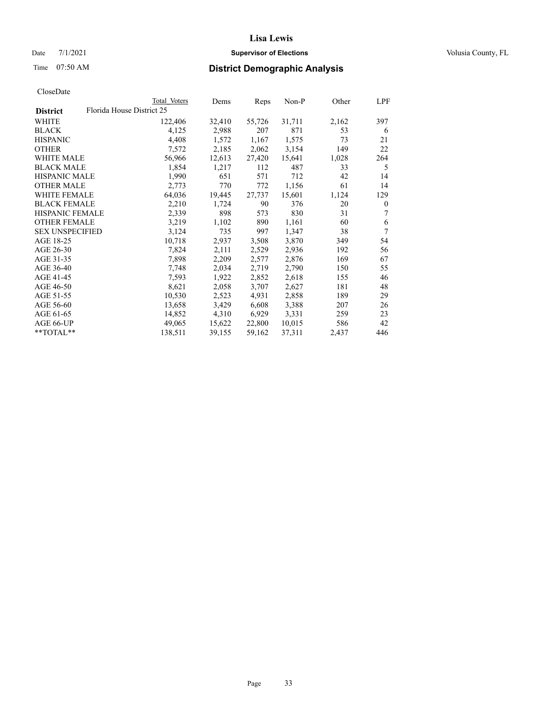### Date 7/1/2021 **Supervisor of Elections Supervisor of Elections** Volusia County, FL

# Time 07:50 AM **District Demographic Analysis**

|                        | Total Voters              | Dems   | Reps   | Non-P  | Other | LPF          |
|------------------------|---------------------------|--------|--------|--------|-------|--------------|
| <b>District</b>        | Florida House District 25 |        |        |        |       |              |
| WHITE                  | 122,406                   | 32,410 | 55,726 | 31,711 | 2,162 | 397          |
| <b>BLACK</b>           | 4,125                     | 2,988  | 207    | 871    | 53    | 6            |
| <b>HISPANIC</b>        | 4,408                     | 1,572  | 1,167  | 1,575  | 73    | 21           |
| <b>OTHER</b>           | 7,572                     | 2,185  | 2,062  | 3,154  | 149   | 22           |
| WHITE MALE             | 56,966                    | 12,613 | 27,420 | 15,641 | 1,028 | 264          |
| <b>BLACK MALE</b>      | 1,854                     | 1,217  | 112    | 487    | 33    | 5            |
| <b>HISPANIC MALE</b>   | 1,990                     | 651    | 571    | 712    | 42    | 14           |
| <b>OTHER MALE</b>      | 2,773                     | 770    | 772    | 1,156  | 61    | 14           |
| <b>WHITE FEMALE</b>    | 64,036                    | 19,445 | 27,737 | 15,601 | 1,124 | 129          |
| <b>BLACK FEMALE</b>    | 2,210                     | 1,724  | 90     | 376    | 20    | $\mathbf{0}$ |
| <b>HISPANIC FEMALE</b> | 2,339                     | 898    | 573    | 830    | 31    | 7            |
| <b>OTHER FEMALE</b>    | 3,219                     | 1,102  | 890    | 1,161  | 60    | 6            |
| <b>SEX UNSPECIFIED</b> | 3,124                     | 735    | 997    | 1,347  | 38    | 7            |
| AGE 18-25              | 10,718                    | 2,937  | 3,508  | 3,870  | 349   | 54           |
| AGE 26-30              | 7,824                     | 2,111  | 2,529  | 2,936  | 192   | 56           |
| AGE 31-35              | 7,898                     | 2,209  | 2,577  | 2,876  | 169   | 67           |
| AGE 36-40              | 7,748                     | 2,034  | 2,719  | 2,790  | 150   | 55           |
| AGE 41-45              | 7,593                     | 1,922  | 2,852  | 2,618  | 155   | 46           |
| AGE 46-50              | 8,621                     | 2,058  | 3,707  | 2,627  | 181   | 48           |
| AGE 51-55              | 10,530                    | 2,523  | 4,931  | 2,858  | 189   | 29           |
| AGE 56-60              | 13,658                    | 3,429  | 6,608  | 3,388  | 207   | 26           |
| AGE 61-65              | 14,852                    | 4,310  | 6,929  | 3,331  | 259   | 23           |
| AGE 66-UP              | 49,065                    | 15,622 | 22,800 | 10,015 | 586   | 42           |
| **TOTAL**              | 138,511                   | 39,155 | 59,162 | 37,311 | 2,437 | 446          |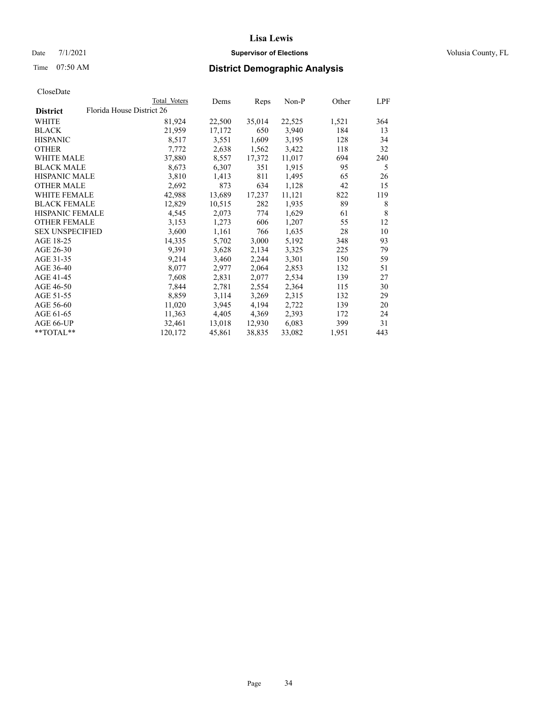### Date 7/1/2021 **Supervisor of Elections Supervisor of Elections** Volusia County, FL

|                                              | Total Voters | Dems   | Reps   | Non-P  | Other | LPF |
|----------------------------------------------|--------------|--------|--------|--------|-------|-----|
| Florida House District 26<br><b>District</b> |              |        |        |        |       |     |
| WHITE                                        | 81,924       | 22,500 | 35,014 | 22,525 | 1,521 | 364 |
| <b>BLACK</b>                                 | 21,959       | 17,172 | 650    | 3,940  | 184   | 13  |
| <b>HISPANIC</b>                              | 8,517        | 3,551  | 1,609  | 3,195  | 128   | 34  |
| <b>OTHER</b>                                 | 7,772        | 2,638  | 1,562  | 3,422  | 118   | 32  |
| WHITE MALE                                   | 37,880       | 8,557  | 17,372 | 11,017 | 694   | 240 |
| <b>BLACK MALE</b>                            | 8,673        | 6,307  | 351    | 1,915  | 95    | 5   |
| <b>HISPANIC MALE</b>                         | 3,810        | 1,413  | 811    | 1,495  | 65    | 26  |
| <b>OTHER MALE</b>                            | 2,692        | 873    | 634    | 1,128  | 42    | 15  |
| <b>WHITE FEMALE</b>                          | 42,988       | 13,689 | 17,237 | 11,121 | 822   | 119 |
| <b>BLACK FEMALE</b>                          | 12,829       | 10,515 | 282    | 1,935  | 89    | 8   |
| <b>HISPANIC FEMALE</b>                       | 4,545        | 2,073  | 774    | 1,629  | 61    | 8   |
| <b>OTHER FEMALE</b>                          | 3,153        | 1,273  | 606    | 1,207  | 55    | 12  |
| <b>SEX UNSPECIFIED</b>                       | 3,600        | 1,161  | 766    | 1,635  | 28    | 10  |
| AGE 18-25                                    | 14,335       | 5,702  | 3,000  | 5,192  | 348   | 93  |
| AGE 26-30                                    | 9,391        | 3,628  | 2,134  | 3,325  | 225   | 79  |
| AGE 31-35                                    | 9,214        | 3,460  | 2,244  | 3,301  | 150   | 59  |
| AGE 36-40                                    | 8,077        | 2,977  | 2,064  | 2,853  | 132   | 51  |
| AGE 41-45                                    | 7,608        | 2,831  | 2,077  | 2,534  | 139   | 27  |
| AGE 46-50                                    | 7,844        | 2,781  | 2,554  | 2,364  | 115   | 30  |
| AGE 51-55                                    | 8,859        | 3,114  | 3,269  | 2,315  | 132   | 29  |
| AGE 56-60                                    | 11,020       | 3,945  | 4,194  | 2,722  | 139   | 20  |
| AGE 61-65                                    | 11,363       | 4,405  | 4,369  | 2,393  | 172   | 24  |
| AGE 66-UP                                    | 32,461       | 13,018 | 12,930 | 6,083  | 399   | 31  |
| $*$ TOTAL $*$                                | 120,172      | 45,861 | 38,835 | 33,082 | 1,951 | 443 |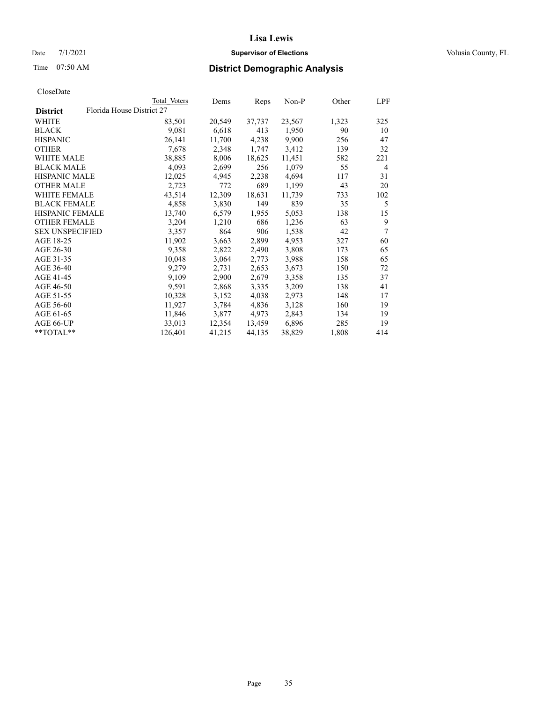### Date 7/1/2021 **Supervisor of Elections Supervisor of Elections** Volusia County, FL

| CloseDate |
|-----------|
|-----------|

|                        |                           | Total Voters | Dems   | Reps   | Non-P  | Other | LPF            |
|------------------------|---------------------------|--------------|--------|--------|--------|-------|----------------|
| <b>District</b>        | Florida House District 27 |              |        |        |        |       |                |
| WHITE                  |                           | 83,501       | 20,549 | 37,737 | 23,567 | 1,323 | 325            |
| <b>BLACK</b>           |                           | 9,081        | 6,618  | 413    | 1,950  | 90    | 10             |
| <b>HISPANIC</b>        |                           | 26,141       | 11,700 | 4,238  | 9,900  | 256   | 47             |
| <b>OTHER</b>           |                           | 7,678        | 2,348  | 1,747  | 3,412  | 139   | 32             |
| <b>WHITE MALE</b>      |                           | 38,885       | 8,006  | 18,625 | 11,451 | 582   | 221            |
| <b>BLACK MALE</b>      |                           | 4,093        | 2,699  | 256    | 1,079  | 55    | $\overline{4}$ |
| <b>HISPANIC MALE</b>   |                           | 12,025       | 4,945  | 2,238  | 4,694  | 117   | 31             |
| <b>OTHER MALE</b>      |                           | 2,723        | 772    | 689    | 1,199  | 43    | 20             |
| <b>WHITE FEMALE</b>    |                           | 43,514       | 12,309 | 18,631 | 11,739 | 733   | 102            |
| <b>BLACK FEMALE</b>    |                           | 4,858        | 3,830  | 149    | 839    | 35    | 5              |
| <b>HISPANIC FEMALE</b> |                           | 13,740       | 6,579  | 1,955  | 5,053  | 138   | 15             |
| <b>OTHER FEMALE</b>    |                           | 3,204        | 1,210  | 686    | 1,236  | 63    | 9              |
| <b>SEX UNSPECIFIED</b> |                           | 3,357        | 864    | 906    | 1,538  | 42    | $\tau$         |
| AGE 18-25              |                           | 11,902       | 3,663  | 2,899  | 4,953  | 327   | 60             |
| AGE 26-30              |                           | 9,358        | 2,822  | 2,490  | 3,808  | 173   | 65             |
| AGE 31-35              |                           | 10,048       | 3,064  | 2,773  | 3,988  | 158   | 65             |
| AGE 36-40              |                           | 9,279        | 2,731  | 2,653  | 3,673  | 150   | 72             |
| AGE 41-45              |                           | 9,109        | 2,900  | 2,679  | 3,358  | 135   | 37             |
| AGE 46-50              |                           | 9,591        | 2,868  | 3,335  | 3,209  | 138   | 41             |
| AGE 51-55              |                           | 10,328       | 3,152  | 4,038  | 2,973  | 148   | 17             |
| AGE 56-60              |                           | 11,927       | 3,784  | 4,836  | 3,128  | 160   | 19             |
| AGE 61-65              |                           | 11,846       | 3,877  | 4,973  | 2,843  | 134   | 19             |
| AGE 66-UP              |                           | 33,013       | 12,354 | 13,459 | 6,896  | 285   | 19             |
| **TOTAL**              |                           | 126,401      | 41,215 | 44,135 | 38,829 | 1,808 | 414            |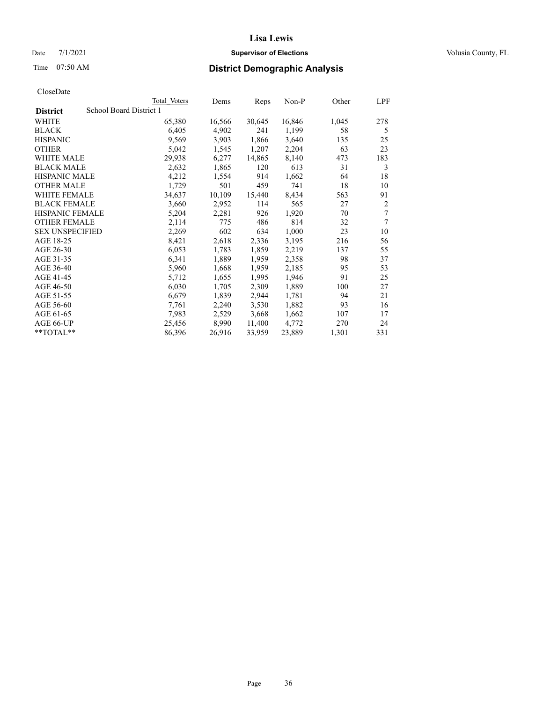### Date 7/1/2021 **Supervisor of Elections Supervisor of Elections** Volusia County, FL

# Time 07:50 AM **District Demographic Analysis**

|                        | Total Voters            | Dems   | Reps   | Non-P  | Other | LPF            |
|------------------------|-------------------------|--------|--------|--------|-------|----------------|
| <b>District</b>        | School Board District 1 |        |        |        |       |                |
| WHITE                  | 65,380                  | 16,566 | 30,645 | 16,846 | 1,045 | 278            |
| <b>BLACK</b>           | 6,405                   | 4,902  | 241    | 1,199  | 58    | 5              |
| <b>HISPANIC</b>        | 9,569                   | 3,903  | 1,866  | 3,640  | 135   | 25             |
| <b>OTHER</b>           | 5,042                   | 1,545  | 1,207  | 2,204  | 63    | 23             |
| WHITE MALE             | 29,938                  | 6,277  | 14,865 | 8,140  | 473   | 183            |
| <b>BLACK MALE</b>      | 2,632                   | 1,865  | 120    | 613    | 31    | 3              |
| <b>HISPANIC MALE</b>   | 4,212                   | 1,554  | 914    | 1,662  | 64    | 18             |
| <b>OTHER MALE</b>      | 1,729                   | 501    | 459    | 741    | 18    | 10             |
| WHITE FEMALE           | 34,637                  | 10,109 | 15,440 | 8,434  | 563   | 91             |
| <b>BLACK FEMALE</b>    | 3,660                   | 2,952  | 114    | 565    | 27    | $\overline{2}$ |
| <b>HISPANIC FEMALE</b> | 5,204                   | 2,281  | 926    | 1,920  | 70    | 7              |
| <b>OTHER FEMALE</b>    | 2,114                   | 775    | 486    | 814    | 32    | 7              |
| <b>SEX UNSPECIFIED</b> | 2,269                   | 602    | 634    | 1,000  | 23    | 10             |
| AGE 18-25              | 8,421                   | 2,618  | 2,336  | 3,195  | 216   | 56             |
| AGE 26-30              | 6,053                   | 1,783  | 1,859  | 2,219  | 137   | 55             |
| AGE 31-35              | 6,341                   | 1,889  | 1,959  | 2,358  | 98    | 37             |
| AGE 36-40              | 5,960                   | 1,668  | 1,959  | 2,185  | 95    | 53             |
| AGE 41-45              | 5,712                   | 1,655  | 1,995  | 1,946  | 91    | 25             |
| AGE 46-50              | 6,030                   | 1,705  | 2,309  | 1,889  | 100   | 27             |
| AGE 51-55              | 6,679                   | 1,839  | 2,944  | 1,781  | 94    | 21             |
| AGE 56-60              | 7,761                   | 2,240  | 3,530  | 1,882  | 93    | 16             |
| AGE 61-65              | 7,983                   | 2,529  | 3,668  | 1,662  | 107   | 17             |
| AGE 66-UP              | 25,456                  | 8,990  | 11,400 | 4.772  | 270   | 24             |
| **TOTAL**              | 86,396                  | 26,916 | 33,959 | 23,889 | 1,301 | 331            |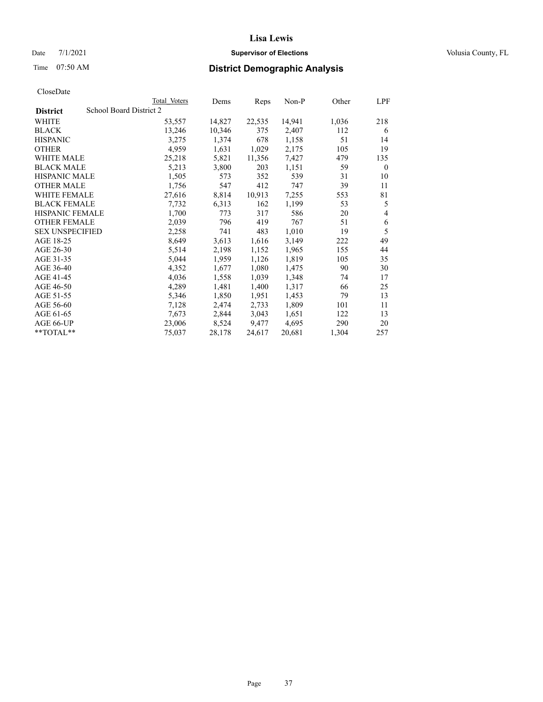# Date 7/1/2021 **Supervisor of Elections Supervisor of Elections** Volusia County, FL

| CloseDate |
|-----------|
|-----------|

|                        |                         | Total Voters | Dems   | Reps   | Non-P  | Other | LPF          |
|------------------------|-------------------------|--------------|--------|--------|--------|-------|--------------|
| <b>District</b>        | School Board District 2 |              |        |        |        |       |              |
| WHITE                  |                         | 53,557       | 14,827 | 22,535 | 14,941 | 1,036 | 218          |
| <b>BLACK</b>           |                         | 13,246       | 10,346 | 375    | 2,407  | 112   | 6            |
| <b>HISPANIC</b>        |                         | 3,275        | 1,374  | 678    | 1,158  | 51    | 14           |
| <b>OTHER</b>           |                         | 4,959        | 1,631  | 1,029  | 2,175  | 105   | 19           |
| <b>WHITE MALE</b>      |                         | 25,218       | 5,821  | 11,356 | 7,427  | 479   | 135          |
| <b>BLACK MALE</b>      |                         | 5,213        | 3,800  | 203    | 1,151  | 59    | $\mathbf{0}$ |
| <b>HISPANIC MALE</b>   |                         | 1,505        | 573    | 352    | 539    | 31    | 10           |
| <b>OTHER MALE</b>      |                         | 1,756        | 547    | 412    | 747    | 39    | 11           |
| <b>WHITE FEMALE</b>    |                         | 27,616       | 8,814  | 10,913 | 7,255  | 553   | 81           |
| <b>BLACK FEMALE</b>    |                         | 7,732        | 6,313  | 162    | 1,199  | 53    | 5            |
| <b>HISPANIC FEMALE</b> |                         | 1,700        | 773    | 317    | 586    | 20    | 4            |
| <b>OTHER FEMALE</b>    |                         | 2,039        | 796    | 419    | 767    | 51    | 6            |
| <b>SEX UNSPECIFIED</b> |                         | 2,258        | 741    | 483    | 1,010  | 19    | 5            |
| AGE 18-25              |                         | 8,649        | 3,613  | 1,616  | 3,149  | 222   | 49           |
| AGE 26-30              |                         | 5,514        | 2,198  | 1,152  | 1,965  | 155   | 44           |
| AGE 31-35              |                         | 5,044        | 1,959  | 1,126  | 1,819  | 105   | 35           |
| AGE 36-40              |                         | 4,352        | 1,677  | 1,080  | 1,475  | 90    | 30           |
| AGE 41-45              |                         | 4,036        | 1,558  | 1,039  | 1,348  | 74    | 17           |
| AGE 46-50              |                         | 4,289        | 1,481  | 1,400  | 1,317  | 66    | 25           |
| AGE 51-55              |                         | 5,346        | 1,850  | 1,951  | 1,453  | 79    | 13           |
| AGE 56-60              |                         | 7,128        | 2,474  | 2,733  | 1,809  | 101   | 11           |
| AGE 61-65              |                         | 7,673        | 2,844  | 3,043  | 1,651  | 122   | 13           |
| AGE 66-UP              |                         | 23,006       | 8,524  | 9,477  | 4,695  | 290   | 20           |
| **TOTAL**              |                         | 75,037       | 28,178 | 24,617 | 20,681 | 1,304 | 257          |
|                        |                         |              |        |        |        |       |              |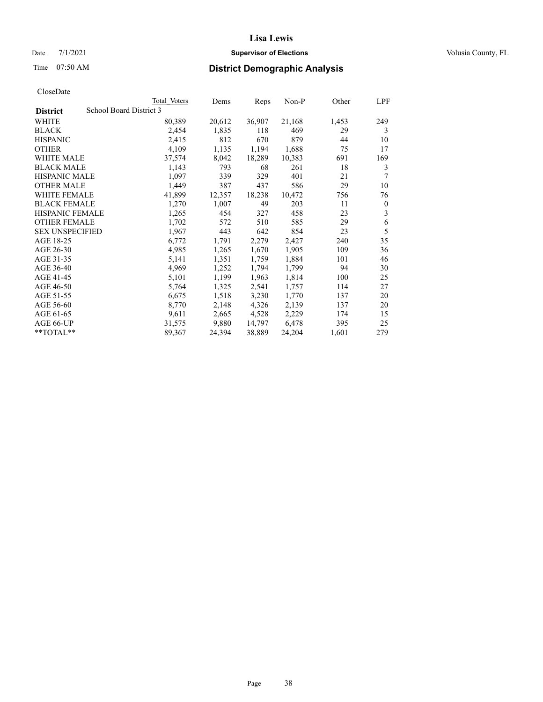# Date 7/1/2021 **Supervisor of Elections Supervisor of Elections** Volusia County, FL

# Time 07:50 AM **District Demographic Analysis**

|                        | Total Voters            | Dems   | Reps   | Non-P  | Other | LPF      |
|------------------------|-------------------------|--------|--------|--------|-------|----------|
| <b>District</b>        | School Board District 3 |        |        |        |       |          |
| WHITE                  | 80,389                  | 20,612 | 36,907 | 21,168 | 1,453 | 249      |
| <b>BLACK</b>           | 2,454                   | 1,835  | 118    | 469    | 29    | 3        |
| <b>HISPANIC</b>        | 2,415                   | 812    | 670    | 879    | 44    | 10       |
| <b>OTHER</b>           | 4,109                   | 1,135  | 1,194  | 1,688  | 75    | 17       |
| WHITE MALE             | 37,574                  | 8,042  | 18,289 | 10,383 | 691   | 169      |
| <b>BLACK MALE</b>      | 1,143                   | 793    | 68     | 261    | 18    | 3        |
| <b>HISPANIC MALE</b>   | 1,097                   | 339    | 329    | 401    | 21    | 7        |
| <b>OTHER MALE</b>      | 1,449                   | 387    | 437    | 586    | 29    | 10       |
| WHITE FEMALE           | 41,899                  | 12,357 | 18,238 | 10,472 | 756   | 76       |
| <b>BLACK FEMALE</b>    | 1,270                   | 1,007  | 49     | 203    | 11    | $\theta$ |
| <b>HISPANIC FEMALE</b> | 1,265                   | 454    | 327    | 458    | 23    | 3        |
| <b>OTHER FEMALE</b>    | 1,702                   | 572    | 510    | 585    | 29    | 6        |
| <b>SEX UNSPECIFIED</b> | 1,967                   | 443    | 642    | 854    | 23    | 5        |
| AGE 18-25              | 6,772                   | 1,791  | 2,279  | 2,427  | 240   | 35       |
| AGE 26-30              | 4,985                   | 1,265  | 1,670  | 1,905  | 109   | 36       |
| AGE 31-35              | 5,141                   | 1,351  | 1,759  | 1,884  | 101   | 46       |
| AGE 36-40              | 4,969                   | 1,252  | 1,794  | 1,799  | 94    | 30       |
| AGE 41-45              | 5,101                   | 1,199  | 1,963  | 1,814  | 100   | 25       |
| AGE 46-50              | 5,764                   | 1,325  | 2,541  | 1,757  | 114   | 27       |
| AGE 51-55              | 6,675                   | 1,518  | 3,230  | 1,770  | 137   | 20       |
| AGE 56-60              | 8,770                   | 2,148  | 4,326  | 2,139  | 137   | 20       |
| AGE 61-65              | 9,611                   | 2,665  | 4,528  | 2,229  | 174   | 15       |
| AGE 66-UP              | 31,575                  | 9,880  | 14,797 | 6,478  | 395   | 25       |
| **TOTAL**              | 89,367                  | 24,394 | 38,889 | 24,204 | 1,601 | 279      |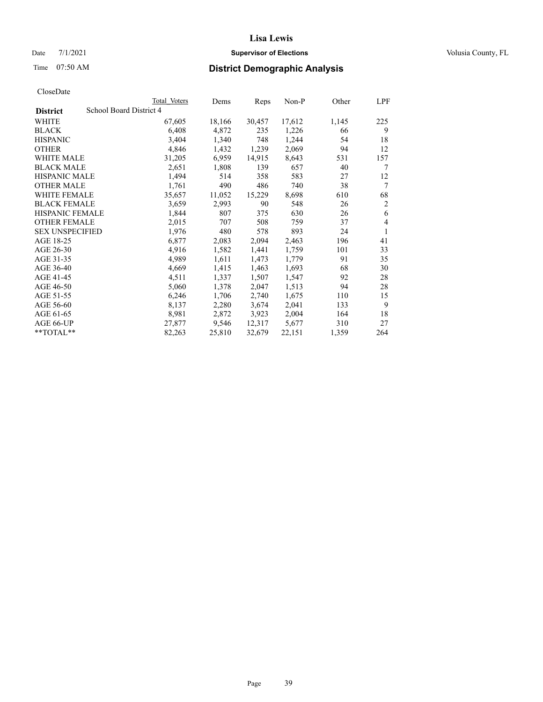# Date 7/1/2021 **Supervisor of Elections Supervisor of Elections** Volusia County, FL

# Time 07:50 AM **District Demographic Analysis**

|                        | Total Voters            | Dems   | Reps   | Non-P  | Other | LPF            |
|------------------------|-------------------------|--------|--------|--------|-------|----------------|
| <b>District</b>        | School Board District 4 |        |        |        |       |                |
| WHITE                  | 67,605                  | 18,166 | 30,457 | 17,612 | 1,145 | 225            |
| <b>BLACK</b>           | 6,408                   | 4,872  | 235    | 1,226  | 66    | 9              |
| <b>HISPANIC</b>        | 3,404                   | 1,340  | 748    | 1,244  | 54    | 18             |
| <b>OTHER</b>           | 4,846                   | 1,432  | 1,239  | 2,069  | 94    | 12             |
| WHITE MALE             | 31,205                  | 6,959  | 14,915 | 8,643  | 531   | 157            |
| <b>BLACK MALE</b>      | 2,651                   | 1,808  | 139    | 657    | 40    | 7              |
| <b>HISPANIC MALE</b>   | 1,494                   | 514    | 358    | 583    | 27    | 12             |
| <b>OTHER MALE</b>      | 1,761                   | 490    | 486    | 740    | 38    | 7              |
| WHITE FEMALE           | 35,657                  | 11,052 | 15,229 | 8,698  | 610   | 68             |
| <b>BLACK FEMALE</b>    | 3,659                   | 2,993  | 90     | 548    | 26    | $\overline{2}$ |
| <b>HISPANIC FEMALE</b> | 1,844                   | 807    | 375    | 630    | 26    | 6              |
| <b>OTHER FEMALE</b>    | 2,015                   | 707    | 508    | 759    | 37    | 4              |
| <b>SEX UNSPECIFIED</b> | 1,976                   | 480    | 578    | 893    | 24    | 1              |
| AGE 18-25              | 6,877                   | 2,083  | 2,094  | 2,463  | 196   | 41             |
| AGE 26-30              | 4,916                   | 1,582  | 1,441  | 1,759  | 101   | 33             |
| AGE 31-35              | 4,989                   | 1,611  | 1,473  | 1,779  | 91    | 35             |
| AGE 36-40              | 4,669                   | 1,415  | 1,463  | 1,693  | 68    | 30             |
| AGE 41-45              | 4,511                   | 1,337  | 1,507  | 1,547  | 92    | 28             |
| AGE 46-50              | 5,060                   | 1,378  | 2,047  | 1,513  | 94    | 28             |
| AGE 51-55              | 6,246                   | 1,706  | 2,740  | 1,675  | 110   | 15             |
| AGE 56-60              | 8,137                   | 2,280  | 3,674  | 2,041  | 133   | 9              |
| AGE 61-65              | 8,981                   | 2,872  | 3,923  | 2,004  | 164   | 18             |
| AGE 66-UP              | 27,877                  | 9,546  | 12,317 | 5,677  | 310   | 27             |
| $**TOTAL**$            | 82,263                  | 25,810 | 32,679 | 22,151 | 1,359 | 264            |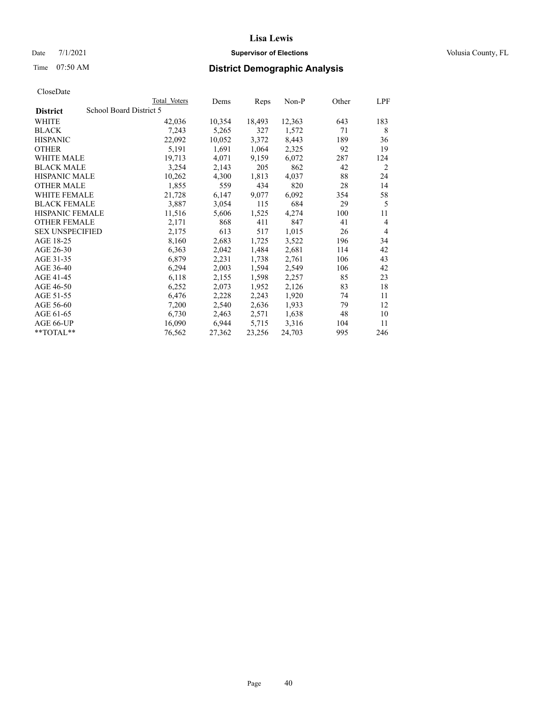# Date 7/1/2021 **Supervisor of Elections Supervisor of Elections** Volusia County, FL

# Time 07:50 AM **District Demographic Analysis**

|                        | Total Voters            | Dems   | Reps   | Non-P  | Other | LPF            |
|------------------------|-------------------------|--------|--------|--------|-------|----------------|
| <b>District</b>        | School Board District 5 |        |        |        |       |                |
| WHITE                  | 42,036                  | 10,354 | 18,493 | 12,363 | 643   | 183            |
| <b>BLACK</b>           | 7,243                   | 5,265  | 327    | 1,572  | 71    | 8              |
| <b>HISPANIC</b>        | 22,092                  | 10,052 | 3,372  | 8,443  | 189   | 36             |
| <b>OTHER</b>           | 5,191                   | 1,691  | 1,064  | 2,325  | 92    | 19             |
| WHITE MALE             | 19,713                  | 4,071  | 9,159  | 6,072  | 287   | 124            |
| <b>BLACK MALE</b>      | 3,254                   | 2,143  | 205    | 862    | 42    | 2              |
| <b>HISPANIC MALE</b>   | 10,262                  | 4,300  | 1,813  | 4,037  | 88    | 24             |
| <b>OTHER MALE</b>      | 1,855                   | 559    | 434    | 820    | 28    | 14             |
| WHITE FEMALE           | 21,728                  | 6,147  | 9,077  | 6,092  | 354   | 58             |
| <b>BLACK FEMALE</b>    | 3,887                   | 3,054  | 115    | 684    | 29    | 5              |
| <b>HISPANIC FEMALE</b> | 11,516                  | 5,606  | 1,525  | 4,274  | 100   | 11             |
| <b>OTHER FEMALE</b>    | 2,171                   | 868    | 411    | 847    | 41    | $\overline{4}$ |
| <b>SEX UNSPECIFIED</b> | 2,175                   | 613    | 517    | 1,015  | 26    | $\overline{4}$ |
| AGE 18-25              | 8,160                   | 2,683  | 1,725  | 3,522  | 196   | 34             |
| AGE 26-30              | 6,363                   | 2,042  | 1,484  | 2,681  | 114   | 42             |
| AGE 31-35              | 6,879                   | 2,231  | 1,738  | 2,761  | 106   | 43             |
| AGE 36-40              | 6,294                   | 2,003  | 1,594  | 2,549  | 106   | 42             |
| AGE 41-45              | 6,118                   | 2,155  | 1,598  | 2,257  | 85    | 23             |
| AGE 46-50              | 6,252                   | 2,073  | 1,952  | 2,126  | 83    | 18             |
| AGE 51-55              | 6,476                   | 2,228  | 2,243  | 1,920  | 74    | 11             |
| AGE 56-60              | 7,200                   | 2,540  | 2,636  | 1,933  | 79    | 12             |
| AGE 61-65              | 6,730                   | 2,463  | 2,571  | 1,638  | 48    | 10             |
| AGE 66-UP              | 16,090                  | 6,944  | 5,715  | 3,316  | 104   | 11             |
| **TOTAL**              | 76,562                  | 27,362 | 23,256 | 24,703 | 995   | 246            |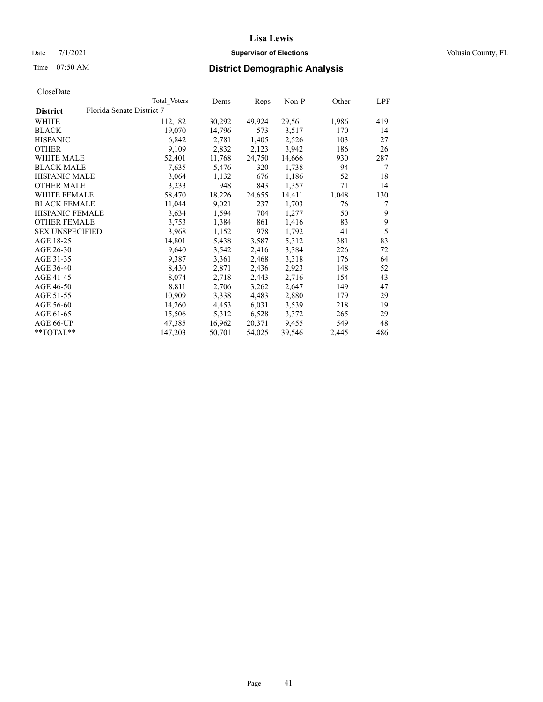Date 7/1/2021 **Supervisor of Elections Supervisor of Elections** Volusia County, FL

# Time 07:50 AM **District Demographic Analysis**

|                        |                           | Total Voters | Dems   | Reps   | Non-P  | Other | LPF |
|------------------------|---------------------------|--------------|--------|--------|--------|-------|-----|
| <b>District</b>        | Florida Senate District 7 |              |        |        |        |       |     |
| WHITE                  |                           | 112,182      | 30,292 | 49,924 | 29,561 | 1,986 | 419 |
| <b>BLACK</b>           |                           | 19,070       | 14,796 | 573    | 3,517  | 170   | 14  |
| <b>HISPANIC</b>        |                           | 6,842        | 2,781  | 1,405  | 2,526  | 103   | 27  |
| <b>OTHER</b>           |                           | 9,109        | 2,832  | 2,123  | 3,942  | 186   | 26  |
| WHITE MALE             |                           | 52,401       | 11,768 | 24,750 | 14,666 | 930   | 287 |
| <b>BLACK MALE</b>      |                           | 7,635        | 5,476  | 320    | 1,738  | 94    | 7   |
| <b>HISPANIC MALE</b>   |                           | 3,064        | 1,132  | 676    | 1,186  | 52    | 18  |
| <b>OTHER MALE</b>      |                           | 3,233        | 948    | 843    | 1,357  | 71    | 14  |
| <b>WHITE FEMALE</b>    |                           | 58,470       | 18,226 | 24,655 | 14,411 | 1,048 | 130 |
| <b>BLACK FEMALE</b>    |                           | 11,044       | 9,021  | 237    | 1,703  | 76    | 7   |
| <b>HISPANIC FEMALE</b> |                           | 3,634        | 1,594  | 704    | 1,277  | 50    | 9   |
| <b>OTHER FEMALE</b>    |                           | 3,753        | 1,384  | 861    | 1,416  | 83    | 9   |
| <b>SEX UNSPECIFIED</b> |                           | 3,968        | 1,152  | 978    | 1,792  | 41    | 5   |
| AGE 18-25              |                           | 14,801       | 5,438  | 3,587  | 5,312  | 381   | 83  |
| AGE 26-30              |                           | 9,640        | 3,542  | 2,416  | 3,384  | 226   | 72  |
| AGE 31-35              |                           | 9,387        | 3,361  | 2,468  | 3,318  | 176   | 64  |
| AGE 36-40              |                           | 8,430        | 2,871  | 2,436  | 2,923  | 148   | 52  |
| AGE 41-45              |                           | 8,074        | 2,718  | 2,443  | 2,716  | 154   | 43  |
| AGE 46-50              |                           | 8,811        | 2,706  | 3,262  | 2,647  | 149   | 47  |
| AGE 51-55              |                           | 10,909       | 3,338  | 4,483  | 2,880  | 179   | 29  |
| AGE 56-60              |                           | 14,260       | 4,453  | 6,031  | 3,539  | 218   | 19  |
| AGE 61-65              |                           | 15,506       | 5,312  | 6,528  | 3,372  | 265   | 29  |
| AGE 66-UP              |                           | 47,385       | 16,962 | 20,371 | 9,455  | 549   | 48  |
| $*$ TOTAL $*$          |                           | 147,203      | 50,701 | 54,025 | 39,546 | 2,445 | 486 |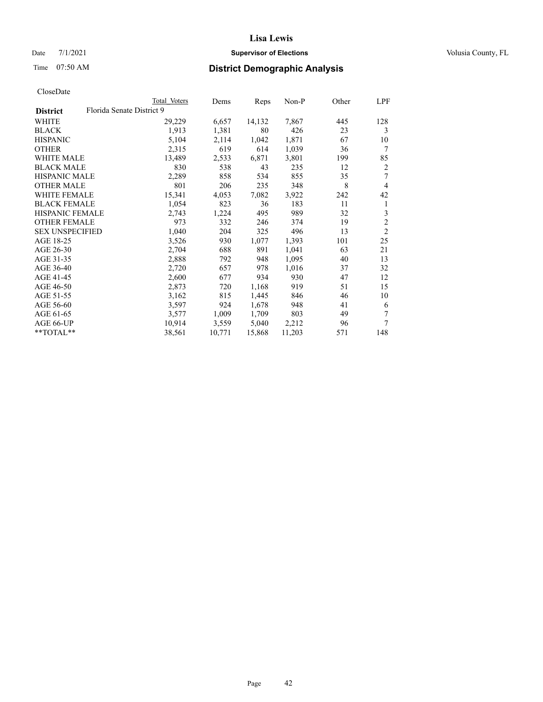# Date 7/1/2021 **Supervisor of Elections Supervisor of Elections** Volusia County, FL

# Time 07:50 AM **District Demographic Analysis**

|                        | Total Voters              | Dems   | Reps   | Non-P  | Other | LPF            |
|------------------------|---------------------------|--------|--------|--------|-------|----------------|
| <b>District</b>        | Florida Senate District 9 |        |        |        |       |                |
| WHITE                  | 29,229                    | 6,657  | 14,132 | 7,867  | 445   | 128            |
| <b>BLACK</b>           | 1,913                     | 1,381  | 80     | 426    | 23    | 3              |
| <b>HISPANIC</b>        | 5,104                     | 2,114  | 1,042  | 1,871  | 67    | 10             |
| <b>OTHER</b>           | 2,315                     | 619    | 614    | 1,039  | 36    | 7              |
| WHITE MALE             | 13,489                    | 2,533  | 6,871  | 3,801  | 199   | 85             |
| <b>BLACK MALE</b>      | 830                       | 538    | 43     | 235    | 12    | 2              |
| <b>HISPANIC MALE</b>   | 2,289                     | 858    | 534    | 855    | 35    | 7              |
| <b>OTHER MALE</b>      | 801                       | 206    | 235    | 348    | 8     | 4              |
| WHITE FEMALE           | 15,341                    | 4,053  | 7,082  | 3,922  | 242   | 42             |
| <b>BLACK FEMALE</b>    | 1,054                     | 823    | 36     | 183    | 11    | 1              |
| <b>HISPANIC FEMALE</b> | 2,743                     | 1,224  | 495    | 989    | 32    | 3              |
| <b>OTHER FEMALE</b>    | 973                       | 332    | 246    | 374    | 19    | $\overline{c}$ |
| <b>SEX UNSPECIFIED</b> | 1,040                     | 204    | 325    | 496    | 13    | $\overline{2}$ |
| AGE 18-25              | 3,526                     | 930    | 1,077  | 1,393  | 101   | 25             |
| AGE 26-30              | 2,704                     | 688    | 891    | 1,041  | 63    | 21             |
| AGE 31-35              | 2,888                     | 792    | 948    | 1,095  | 40    | 13             |
| AGE 36-40              | 2,720                     | 657    | 978    | 1,016  | 37    | 32             |
| AGE 41-45              | 2,600                     | 677    | 934    | 930    | 47    | 12             |
| AGE 46-50              | 2,873                     | 720    | 1,168  | 919    | 51    | 15             |
| AGE 51-55              | 3,162                     | 815    | 1,445  | 846    | 46    | 10             |
| AGE 56-60              | 3,597                     | 924    | 1,678  | 948    | 41    | 6              |
| AGE 61-65              | 3,577                     | 1,009  | 1,709  | 803    | 49    | 7              |
| AGE 66-UP              | 10,914                    | 3,559  | 5,040  | 2,212  | 96    | 7              |
| **TOTAL**              | 38,561                    | 10,771 | 15,868 | 11,203 | 571   | 148            |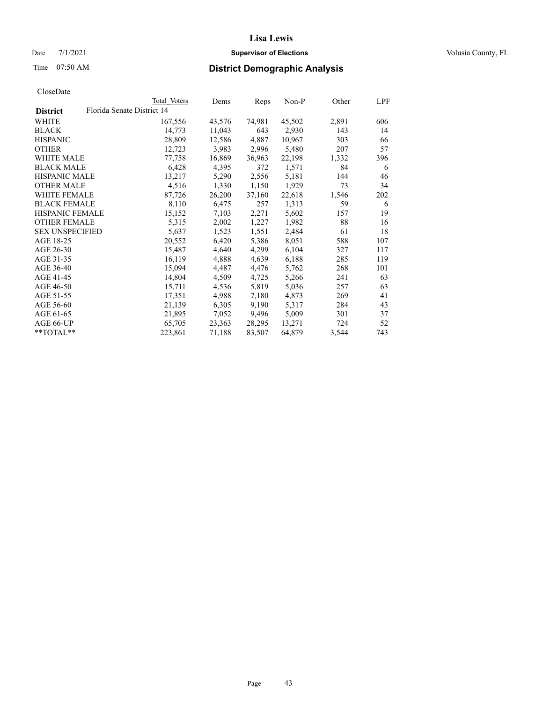# Date 7/1/2021 **Supervisor of Elections Supervisor of Elections** Volusia County, FL

|                        |                            | Total Voters | Dems   | Reps   | Non-P  | Other | LPF |
|------------------------|----------------------------|--------------|--------|--------|--------|-------|-----|
| <b>District</b>        | Florida Senate District 14 |              |        |        |        |       |     |
| WHITE                  |                            | 167,556      | 43,576 | 74,981 | 45,502 | 2,891 | 606 |
| <b>BLACK</b>           |                            | 14,773       | 11,043 | 643    | 2,930  | 143   | 14  |
| <b>HISPANIC</b>        |                            | 28,809       | 12,586 | 4,887  | 10,967 | 303   | 66  |
| <b>OTHER</b>           |                            | 12,723       | 3,983  | 2,996  | 5,480  | 207   | 57  |
| WHITE MALE             |                            | 77,758       | 16,869 | 36,963 | 22,198 | 1,332 | 396 |
| <b>BLACK MALE</b>      |                            | 6,428        | 4,395  | 372    | 1,571  | 84    | 6   |
| <b>HISPANIC MALE</b>   |                            | 13,217       | 5,290  | 2,556  | 5,181  | 144   | 46  |
| <b>OTHER MALE</b>      |                            | 4,516        | 1,330  | 1,150  | 1,929  | 73    | 34  |
| <b>WHITE FEMALE</b>    |                            | 87,726       | 26,200 | 37,160 | 22,618 | 1,546 | 202 |
| <b>BLACK FEMALE</b>    |                            | 8,110        | 6,475  | 257    | 1,313  | 59    | 6   |
| HISPANIC FEMALE        |                            | 15,152       | 7,103  | 2,271  | 5,602  | 157   | 19  |
| <b>OTHER FEMALE</b>    |                            | 5,315        | 2,002  | 1,227  | 1,982  | 88    | 16  |
| <b>SEX UNSPECIFIED</b> |                            | 5,637        | 1,523  | 1,551  | 2,484  | 61    | 18  |
| AGE 18-25              |                            | 20,552       | 6,420  | 5,386  | 8,051  | 588   | 107 |
| AGE 26-30              |                            | 15,487       | 4,640  | 4,299  | 6,104  | 327   | 117 |
| AGE 31-35              |                            | 16,119       | 4,888  | 4,639  | 6,188  | 285   | 119 |
| AGE 36-40              |                            | 15,094       | 4,487  | 4,476  | 5,762  | 268   | 101 |
| AGE 41-45              |                            | 14,804       | 4,509  | 4,725  | 5,266  | 241   | 63  |
| AGE 46-50              |                            | 15,711       | 4,536  | 5,819  | 5,036  | 257   | 63  |
| AGE 51-55              |                            | 17,351       | 4,988  | 7,180  | 4,873  | 269   | 41  |
| AGE 56-60              |                            | 21,139       | 6,305  | 9,190  | 5,317  | 284   | 43  |
| AGE 61-65              |                            | 21,895       | 7,052  | 9,496  | 5,009  | 301   | 37  |
| AGE 66-UP              |                            | 65,705       | 23,363 | 28,295 | 13,271 | 724   | 52  |
| $*$ $TOTAL**$          |                            | 223,861      | 71,188 | 83,507 | 64,879 | 3,544 | 743 |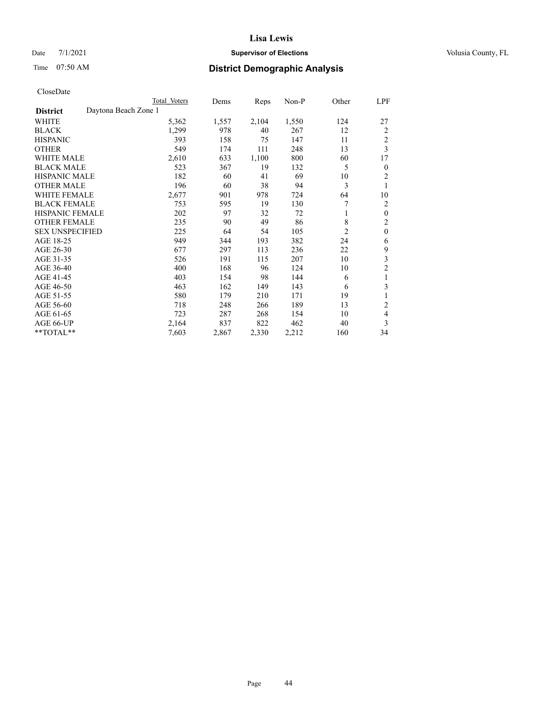# Date 7/1/2021 **Supervisor of Elections Supervisor of Elections** Volusia County, FL

|                                         | Total Voters | Dems  | Reps  | Non-P | Other          | LPF            |
|-----------------------------------------|--------------|-------|-------|-------|----------------|----------------|
| Daytona Beach Zone 1<br><b>District</b> |              |       |       |       |                |                |
| WHITE                                   | 5,362        | 1,557 | 2,104 | 1,550 | 124            | 27             |
| <b>BLACK</b>                            | 1,299        | 978   | 40    | 267   | 12             | 2              |
| <b>HISPANIC</b>                         | 393          | 158   | 75    | 147   | 11             | $\overline{c}$ |
| <b>OTHER</b>                            | 549          | 174   | 111   | 248   | 13             | 3              |
| <b>WHITE MALE</b>                       | 2,610        | 633   | 1,100 | 800   | 60             | 17             |
| <b>BLACK MALE</b>                       | 523          | 367   | 19    | 132   | 5              | $\theta$       |
| <b>HISPANIC MALE</b>                    | 182          | 60    | 41    | 69    | 10             | $\overline{2}$ |
| <b>OTHER MALE</b>                       | 196          | 60    | 38    | 94    | 3              | 1              |
| <b>WHITE FEMALE</b>                     | 2,677        | 901   | 978   | 724   | 64             | 10             |
| <b>BLACK FEMALE</b>                     | 753          | 595   | 19    | 130   | 7              | 2              |
| <b>HISPANIC FEMALE</b>                  | 202          | 97    | 32    | 72    | 1              | $\mathbf{0}$   |
| <b>OTHER FEMALE</b>                     | 235          | 90    | 49    | 86    | 8              | $\overline{2}$ |
| <b>SEX UNSPECIFIED</b>                  | 225          | 64    | 54    | 105   | $\mathfrak{2}$ | $\mathbf{0}$   |
| AGE 18-25                               | 949          | 344   | 193   | 382   | 24             | 6              |
| AGE 26-30                               | 677          | 297   | 113   | 236   | 22             | 9              |
| AGE 31-35                               | 526          | 191   | 115   | 207   | 10             | 3              |
| AGE 36-40                               | 400          | 168   | 96    | 124   | 10             | $\overline{c}$ |
| AGE 41-45                               | 403          | 154   | 98    | 144   | 6              | 1              |
| AGE 46-50                               | 463          | 162   | 149   | 143   | 6              | 3              |
| AGE 51-55                               | 580          | 179   | 210   | 171   | 19             | 1              |
| AGE 56-60                               | 718          | 248   | 266   | 189   | 13             | 2              |
| AGE 61-65                               | 723          | 287   | 268   | 154   | 10             | 4              |
| AGE 66-UP                               | 2,164        | 837   | 822   | 462   | 40             | 3              |
| **TOTAL**                               | 7,603        | 2,867 | 2,330 | 2,212 | 160            | 34             |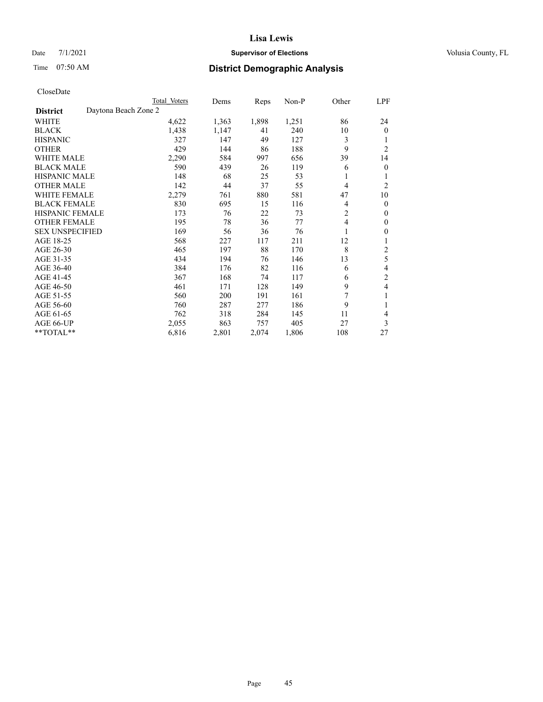# Date 7/1/2021 **Supervisor of Elections Supervisor of Elections** Volusia County, FL

# Time 07:50 AM **District Demographic Analysis**

|                                         | Total Voters | Dems  | Reps  | Non-P | Other          | LPF            |
|-----------------------------------------|--------------|-------|-------|-------|----------------|----------------|
| Daytona Beach Zone 2<br><b>District</b> |              |       |       |       |                |                |
| <b>WHITE</b>                            | 4,622        | 1,363 | 1,898 | 1,251 | 86             | 24             |
| <b>BLACK</b>                            | 1,438        | 1,147 | 41    | 240   | 10             | $\Omega$       |
| <b>HISPANIC</b>                         | 327          | 147   | 49    | 127   | 3              |                |
| <b>OTHER</b>                            | 429          | 144   | 86    | 188   | 9              | $\overline{c}$ |
| <b>WHITE MALE</b>                       | 2,290        | 584   | 997   | 656   | 39             | 14             |
| <b>BLACK MALE</b>                       | 590          | 439   | 26    | 119   | 6              | 0              |
| <b>HISPANIC MALE</b>                    | 148          | 68    | 25    | 53    |                |                |
| <b>OTHER MALE</b>                       | 142          | 44    | 37    | 55    | 4              | 2              |
| <b>WHITE FEMALE</b>                     | 2,279        | 761   | 880   | 581   | 47             | 10             |
| <b>BLACK FEMALE</b>                     | 830          | 695   | 15    | 116   | 4              | $\theta$       |
| <b>HISPANIC FEMALE</b>                  | 173          | 76    | 22    | 73    | $\overline{c}$ | 0              |
| <b>OTHER FEMALE</b>                     | 195          | 78    | 36    | 77    | 4              | 0              |
| <b>SEX UNSPECIFIED</b>                  | 169          | 56    | 36    | 76    |                | 0              |
| AGE 18-25                               | 568          | 227   | 117   | 211   | 12             |                |
| AGE 26-30                               | 465          | 197   | 88    | 170   | 8              | 2              |
| AGE 31-35                               | 434          | 194   | 76    | 146   | 13             | 5              |
| AGE 36-40                               | 384          | 176   | 82    | 116   | 6              | 4              |
| AGE 41-45                               | 367          | 168   | 74    | 117   | 6              | 2              |
| AGE 46-50                               | 461          | 171   | 128   | 149   | 9              | 4              |
| AGE 51-55                               | 560          | 200   | 191   | 161   | 7              | 1              |
| AGE 56-60                               | 760          | 287   | 277   | 186   | 9              | 1              |
| AGE 61-65                               | 762          | 318   | 284   | 145   | 11             | 4              |
| AGE 66-UP                               | 2,055        | 863   | 757   | 405   | 27             | 3              |
| **TOTAL**                               | 6,816        | 2,801 | 2,074 | 1,806 | 108            | 27             |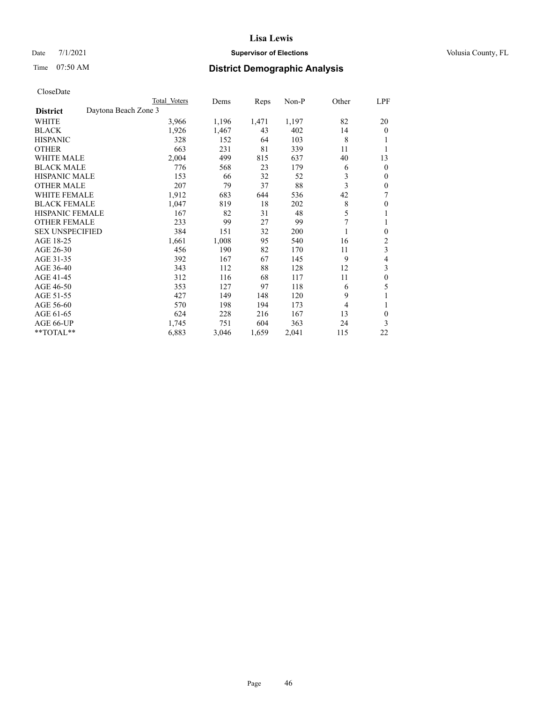# Date 7/1/2021 **Supervisor of Elections Supervisor of Elections** Volusia County, FL

# Time 07:50 AM **District Demographic Analysis**

|                                         | Total Voters | Dems  | Reps  | $Non-P$ | Other | <u>LPF</u>     |
|-----------------------------------------|--------------|-------|-------|---------|-------|----------------|
| Daytona Beach Zone 3<br><b>District</b> |              |       |       |         |       |                |
| WHITE                                   | 3,966        | 1,196 | 1,471 | 1,197   | 82    | 20             |
| <b>BLACK</b>                            | 1,926        | 1,467 | 43    | 402     | 14    | $\Omega$       |
| <b>HISPANIC</b>                         | 328          | 152   | 64    | 103     | 8     |                |
| <b>OTHER</b>                            | 663          | 231   | 81    | 339     | 11    |                |
| <b>WHITE MALE</b>                       | 2,004        | 499   | 815   | 637     | 40    | 13             |
| <b>BLACK MALE</b>                       | 776          | 568   | 23    | 179     | 6     | $\overline{0}$ |
| <b>HISPANIC MALE</b>                    | 153          | 66    | 32    | 52      | 3     | 0              |
| <b>OTHER MALE</b>                       | 207          | 79    | 37    | 88      | 3     | 0              |
| WHITE FEMALE                            | 1,912        | 683   | 644   | 536     | 42    | 7              |
| <b>BLACK FEMALE</b>                     | 1,047        | 819   | 18    | 202     | 8     | 0              |
| <b>HISPANIC FEMALE</b>                  | 167          | 82    | 31    | 48      | 5     |                |
| <b>OTHER FEMALE</b>                     | 233          | 99    | 27    | 99      | 7     |                |
| <b>SEX UNSPECIFIED</b>                  | 384          | 151   | 32    | 200     | 1     | 0              |
| AGE 18-25                               | 1,661        | 1,008 | 95    | 540     | 16    | 2              |
| AGE 26-30                               | 456          | 190   | 82    | 170     | 11    | 3              |
| AGE 31-35                               | 392          | 167   | 67    | 145     | 9     | 4              |
| AGE 36-40                               | 343          | 112   | 88    | 128     | 12    | 3              |
| AGE 41-45                               | 312          | 116   | 68    | 117     | 11    | $\theta$       |
| AGE 46-50                               | 353          | 127   | 97    | 118     | 6     | 5              |
| AGE 51-55                               | 427          | 149   | 148   | 120     | 9     |                |
| AGE 56-60                               | 570          | 198   | 194   | 173     | 4     | 1              |
| AGE 61-65                               | 624          | 228   | 216   | 167     | 13    | 0              |
| AGE 66-UP                               | 1,745        | 751   | 604   | 363     | 24    | 3              |
| **TOTAL**                               | 6,883        | 3,046 | 1,659 | 2,041   | 115   | 22             |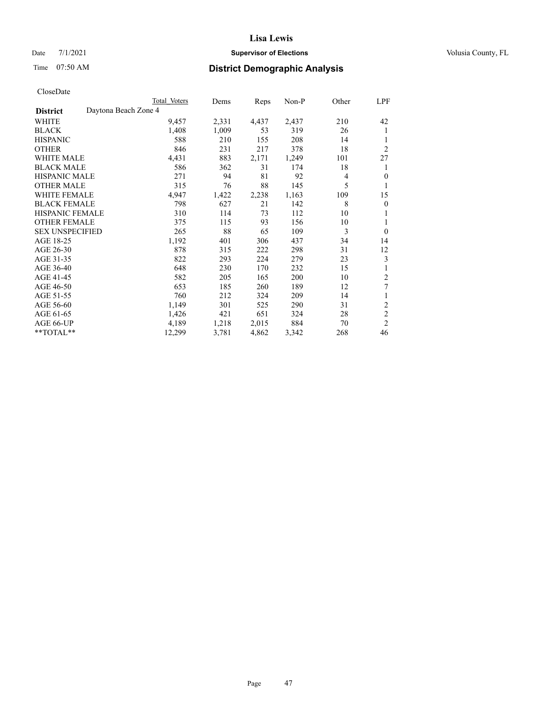# Date 7/1/2021 **Supervisor of Elections Supervisor of Elections** Volusia County, FL

# Time 07:50 AM **District Demographic Analysis**

|                        |                      | Total Voters | Dems  | Reps  | $Non-P$ | Other | LPF            |
|------------------------|----------------------|--------------|-------|-------|---------|-------|----------------|
| <b>District</b>        | Daytona Beach Zone 4 |              |       |       |         |       |                |
| WHITE                  |                      | 9,457        | 2,331 | 4,437 | 2,437   | 210   | 42             |
| <b>BLACK</b>           |                      | 1,408        | 1,009 | 53    | 319     | 26    | 1              |
| <b>HISPANIC</b>        |                      | 588          | 210   | 155   | 208     | 14    | 1              |
| <b>OTHER</b>           |                      | 846          | 231   | 217   | 378     | 18    | $\overline{2}$ |
| <b>WHITE MALE</b>      |                      | 4,431        | 883   | 2,171 | 1,249   | 101   | 27             |
| <b>BLACK MALE</b>      |                      | 586          | 362   | 31    | 174     | 18    | 1              |
| <b>HISPANIC MALE</b>   |                      | 271          | 94    | 81    | 92      | 4     | $\mathbf{0}$   |
| <b>OTHER MALE</b>      |                      | 315          | 76    | 88    | 145     | 5     | 1              |
| <b>WHITE FEMALE</b>    |                      | 4,947        | 1,422 | 2,238 | 1,163   | 109   | 15             |
| <b>BLACK FEMALE</b>    |                      | 798          | 627   | 21    | 142     | 8     | $\theta$       |
| <b>HISPANIC FEMALE</b> |                      | 310          | 114   | 73    | 112     | 10    | 1              |
| <b>OTHER FEMALE</b>    |                      | 375          | 115   | 93    | 156     | 10    | 1              |
| <b>SEX UNSPECIFIED</b> |                      | 265          | 88    | 65    | 109     | 3     | $\overline{0}$ |
| AGE 18-25              |                      | 1,192        | 401   | 306   | 437     | 34    | 14             |
| AGE 26-30              |                      | 878          | 315   | 222   | 298     | 31    | 12             |
| AGE 31-35              |                      | 822          | 293   | 224   | 279     | 23    | 3              |
| AGE 36-40              |                      | 648          | 230   | 170   | 232     | 15    | 1              |
| AGE 41-45              |                      | 582          | 205   | 165   | 200     | 10    | 2              |
| AGE 46-50              |                      | 653          | 185   | 260   | 189     | 12    | 7              |
| AGE 51-55              |                      | 760          | 212   | 324   | 209     | 14    | 1              |
| AGE 56-60              |                      | 1,149        | 301   | 525   | 290     | 31    | $\overline{c}$ |
| AGE 61-65              |                      | 1,426        | 421   | 651   | 324     | 28    | $\mathfrak{2}$ |
| AGE 66-UP              |                      | 4,189        | 1,218 | 2,015 | 884     | 70    | $\overline{2}$ |
| **TOTAL**              |                      | 12,299       | 3,781 | 4,862 | 3,342   | 268   | 46             |
|                        |                      |              |       |       |         |       |                |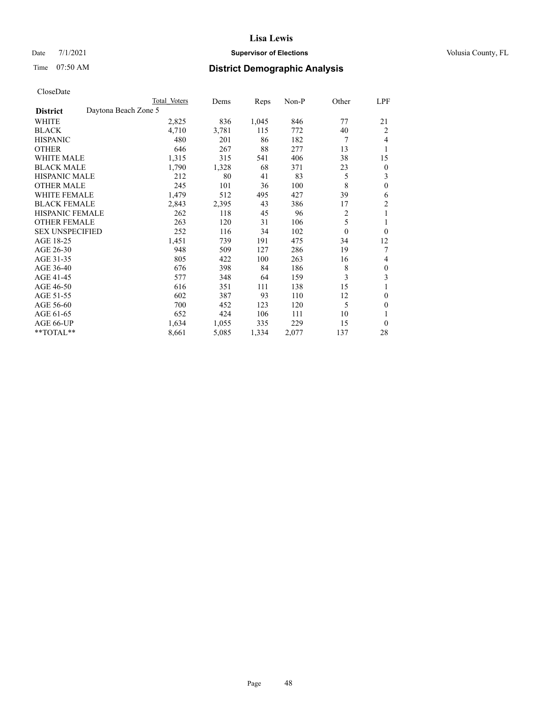# Date 7/1/2021 **Supervisor of Elections Supervisor of Elections** Volusia County, FL

# Time 07:50 AM **District Demographic Analysis**

|                        |                      | Total Voters | Dems  | Reps  | Non-P | Other          | LPF              |
|------------------------|----------------------|--------------|-------|-------|-------|----------------|------------------|
| <b>District</b>        | Daytona Beach Zone 5 |              |       |       |       |                |                  |
| WHITE                  |                      | 2,825        | 836   | 1,045 | 846   | 77             | 21               |
| <b>BLACK</b>           |                      | 4,710        | 3,781 | 115   | 772   | 40             | 2                |
| <b>HISPANIC</b>        |                      | 480          | 201   | 86    | 182   | 7              | 4                |
| <b>OTHER</b>           |                      | 646          | 267   | 88    | 277   | 13             | 1                |
| WHITE MALE             |                      | 1,315        | 315   | 541   | 406   | 38             | 15               |
| <b>BLACK MALE</b>      |                      | 1,790        | 1,328 | 68    | 371   | 23             | $\boldsymbol{0}$ |
| <b>HISPANIC MALE</b>   |                      | 212          | 80    | 41    | 83    | 5              | 3                |
| <b>OTHER MALE</b>      |                      | 245          | 101   | 36    | 100   | 8              | $\mathbf{0}$     |
| WHITE FEMALE           |                      | 1,479        | 512   | 495   | 427   | 39             | 6                |
| <b>BLACK FEMALE</b>    |                      | 2,843        | 2,395 | 43    | 386   | 17             | 2                |
| <b>HISPANIC FEMALE</b> |                      | 262          | 118   | 45    | 96    | $\overline{2}$ | 1                |
| <b>OTHER FEMALE</b>    |                      | 263          | 120   | 31    | 106   | 5              |                  |
| <b>SEX UNSPECIFIED</b> |                      | 252          | 116   | 34    | 102   | $\theta$       | $\theta$         |
| AGE 18-25              |                      | 1,451        | 739   | 191   | 475   | 34             | 12               |
| AGE 26-30              |                      | 948          | 509   | 127   | 286   | 19             | 7                |
| AGE 31-35              |                      | 805          | 422   | 100   | 263   | 16             | 4                |
| AGE 36-40              |                      | 676          | 398   | 84    | 186   | 8              | $\theta$         |
| AGE 41-45              |                      | 577          | 348   | 64    | 159   | 3              | 3                |
| AGE 46-50              |                      | 616          | 351   | 111   | 138   | 15             |                  |
| AGE 51-55              |                      | 602          | 387   | 93    | 110   | 12             | $\theta$         |
| AGE 56-60              |                      | 700          | 452   | 123   | 120   | 5              | $\theta$         |
| AGE 61-65              |                      | 652          | 424   | 106   | 111   | 10             | 1                |
| AGE 66-UP              |                      | 1,634        | 1,055 | 335   | 229   | 15             | $\theta$         |
| **TOTAL**              |                      | 8,661        | 5,085 | 1,334 | 2,077 | 137            | 28               |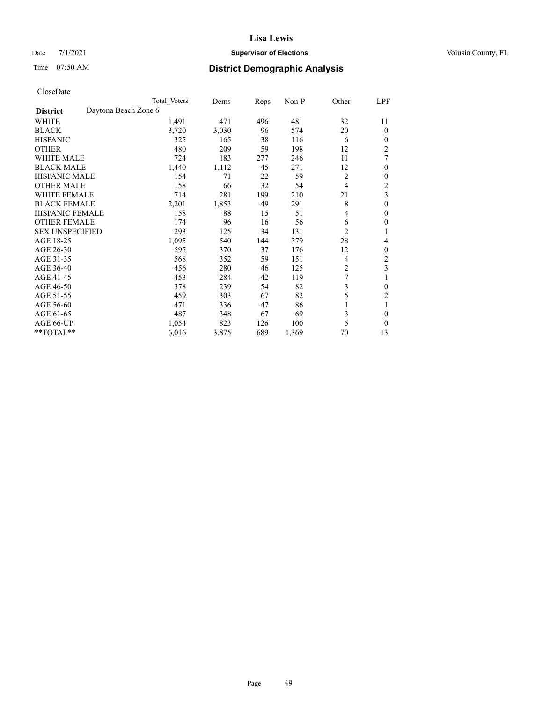# Date 7/1/2021 **Supervisor of Elections Supervisor of Elections** Volusia County, FL

| CloseDate |
|-----------|
|-----------|

|                        |                      | Total Voters | Dems  | Reps | Non-P | Other          | LPF            |
|------------------------|----------------------|--------------|-------|------|-------|----------------|----------------|
| <b>District</b>        | Daytona Beach Zone 6 |              |       |      |       |                |                |
| WHITE                  |                      | 1,491        | 471   | 496  | 481   | 32             | 11             |
| <b>BLACK</b>           |                      | 3,720        | 3,030 | 96   | 574   | 20             | $\theta$       |
| <b>HISPANIC</b>        |                      | 325          | 165   | 38   | 116   | 6              | $\Omega$       |
| <b>OTHER</b>           |                      | 480          | 209   | 59   | 198   | 12             | $\overline{c}$ |
| <b>WHITE MALE</b>      |                      | 724          | 183   | 277  | 246   | 11             | 7              |
| <b>BLACK MALE</b>      |                      | 1,440        | 1,112 | 45   | 271   | 12             | $\mathbf{0}$   |
| <b>HISPANIC MALE</b>   |                      | 154          | 71    | 22   | 59    | $\overline{2}$ | $\theta$       |
| <b>OTHER MALE</b>      |                      | 158          | 66    | 32   | 54    | 4              | $\overline{c}$ |
| <b>WHITE FEMALE</b>    |                      | 714          | 281   | 199  | 210   | 21             | 3              |
| <b>BLACK FEMALE</b>    |                      | 2,201        | 1,853 | 49   | 291   | 8              | $\mathbf{0}$   |
| <b>HISPANIC FEMALE</b> |                      | 158          | 88    | 15   | 51    | 4              | $\mathbf{0}$   |
| <b>OTHER FEMALE</b>    |                      | 174          | 96    | 16   | 56    | 6              | 0              |
| <b>SEX UNSPECIFIED</b> |                      | 293          | 125   | 34   | 131   | $\overline{c}$ |                |
| AGE 18-25              |                      | 1,095        | 540   | 144  | 379   | 28             | 4              |
| AGE 26-30              |                      | 595          | 370   | 37   | 176   | 12             | $\mathbf{0}$   |
| AGE 31-35              |                      | 568          | 352   | 59   | 151   | 4              | $\overline{c}$ |
| AGE 36-40              |                      | 456          | 280   | 46   | 125   | 2              | 3              |
| AGE 41-45              |                      | 453          | 284   | 42   | 119   | 7              |                |
| AGE 46-50              |                      | 378          | 239   | 54   | 82    | 3              | $\theta$       |
| AGE 51-55              |                      | 459          | 303   | 67   | 82    | 5              | 2              |
| AGE 56-60              |                      | 471          | 336   | 47   | 86    | 1              |                |
| AGE 61-65              |                      | 487          | 348   | 67   | 69    | 3              | $\mathbf{0}$   |
| AGE 66-UP              |                      | 1,054        | 823   | 126  | 100   | 5              | $\theta$       |
| **TOTAL**              |                      | 6,016        | 3,875 | 689  | 1,369 | 70             | 13             |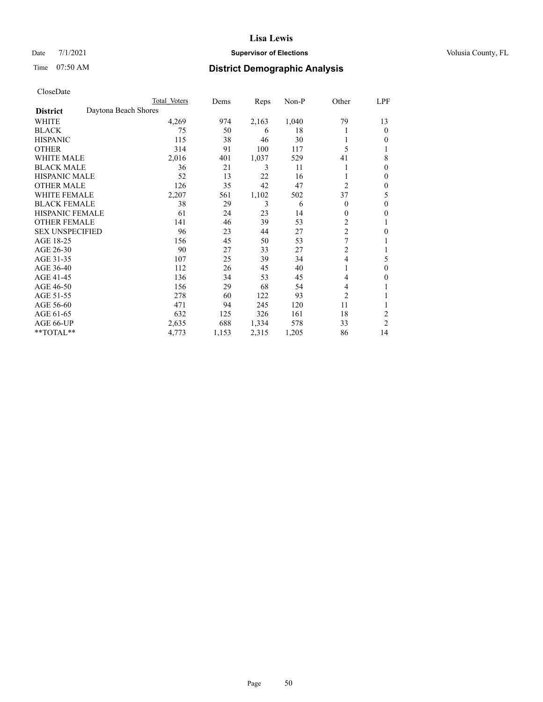# Date 7/1/2021 **Supervisor of Elections Supervisor of Elections** Volusia County, FL

# Time 07:50 AM **District Demographic Analysis**

| Total Voters | Dems                 | Reps  | $Non-P$ | Other                   | LPF              |
|--------------|----------------------|-------|---------|-------------------------|------------------|
|              |                      |       |         |                         |                  |
| 4,269        | 974                  | 2,163 | 1,040   | 79                      | 13               |
| 75           | 50                   | 6     | 18      |                         | $\theta$         |
| 115          | 38                   | 46    | 30      |                         | 0                |
| 314          | 91                   | 100   | 117     | 5                       | 1                |
| 2,016        | 401                  | 1,037 | 529     | 41                      | 8                |
| 36           | 21                   | 3     | 11      |                         | 0                |
| 52           | 13                   | 22    | 16      |                         | $\theta$         |
| 126          | 35                   | 42    | 47      | $\overline{c}$          | $\mathbf{0}$     |
| 2,207        | 561                  | 1,102 | 502     | 37                      | 5                |
| 38           | 29                   | 3     | 6       | 0                       | $\theta$         |
| 61           | 24                   | 23    | 14      | $\mathbf{0}$            | 0                |
| 141          | 46                   | 39    | 53      | 2                       | 1                |
| 96           | 23                   | 44    | 27      | $\overline{\mathbf{c}}$ | $\boldsymbol{0}$ |
| 156          | 45                   | 50    | 53      | 7                       |                  |
| 90           | 27                   | 33    | 27      | 2                       | 1                |
| 107          | 25                   | 39    | 34      | 4                       | 5                |
| 112          | 26                   | 45    | 40      |                         | $\theta$         |
| 136          | 34                   | 53    | 45      | 4                       | 0                |
| 156          | 29                   | 68    | 54      | 4                       |                  |
| 278          | 60                   | 122   | 93      | 2                       | 1                |
| 471          | 94                   | 245   | 120     | 11                      | 1                |
| 632          | 125                  | 326   | 161     | 18                      | $\overline{2}$   |
| 2,635        | 688                  | 1,334 | 578     | 33                      | $\overline{2}$   |
| 4,773        | 1,153                | 2,315 | 1,205   | 86                      | 14               |
|              | Daytona Beach Shores |       |         |                         |                  |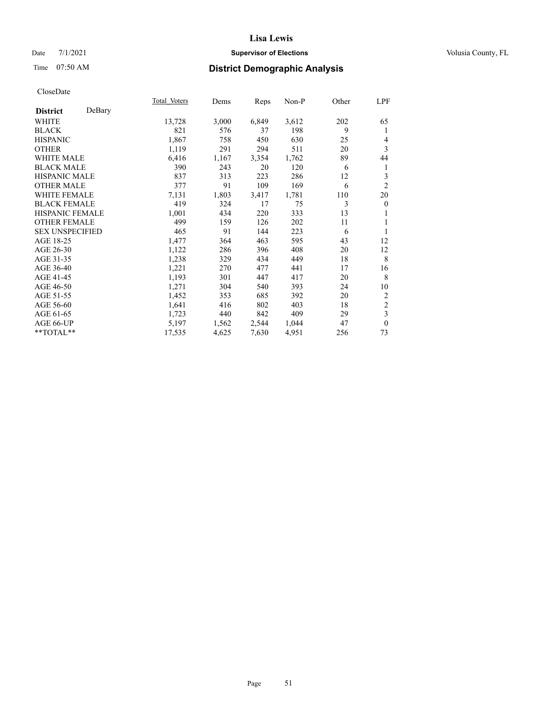# Date 7/1/2021 **Supervisor of Elections Supervisor of Elections** Volusia County, FL

# Time 07:50 AM **District Demographic Analysis**

|                        |        | Total Voters | Dems  | Reps  | Non-P | Other | LPF              |
|------------------------|--------|--------------|-------|-------|-------|-------|------------------|
| <b>District</b>        | DeBary |              |       |       |       |       |                  |
| WHITE                  |        | 13,728       | 3,000 | 6,849 | 3,612 | 202   | 65               |
| <b>BLACK</b>           |        | 821          | 576   | 37    | 198   | 9     | 1                |
| <b>HISPANIC</b>        |        | 1,867        | 758   | 450   | 630   | 25    | 4                |
| <b>OTHER</b>           |        | 1,119        | 291   | 294   | 511   | 20    | 3                |
| WHITE MALE             |        | 6,416        | 1,167 | 3,354 | 1,762 | 89    | 44               |
| <b>BLACK MALE</b>      |        | 390          | 243   | 20    | 120   | 6     | 1                |
| <b>HISPANIC MALE</b>   |        | 837          | 313   | 223   | 286   | 12    | 3                |
| <b>OTHER MALE</b>      |        | 377          | 91    | 109   | 169   | 6     | $\overline{2}$   |
| <b>WHITE FEMALE</b>    |        | 7,131        | 1,803 | 3,417 | 1,781 | 110   | 20               |
| <b>BLACK FEMALE</b>    |        | 419          | 324   | 17    | 75    | 3     | $\boldsymbol{0}$ |
| <b>HISPANIC FEMALE</b> |        | 1,001        | 434   | 220   | 333   | 13    |                  |
| <b>OTHER FEMALE</b>    |        | 499          | 159   | 126   | 202   | 11    | 1                |
| <b>SEX UNSPECIFIED</b> |        | 465          | 91    | 144   | 223   | 6     | 1                |
| AGE 18-25              |        | 1,477        | 364   | 463   | 595   | 43    | 12               |
| AGE 26-30              |        | 1,122        | 286   | 396   | 408   | 20    | 12               |
| AGE 31-35              |        | 1,238        | 329   | 434   | 449   | 18    | 8                |
| AGE 36-40              |        | 1,221        | 270   | 477   | 441   | 17    | 16               |
| AGE 41-45              |        | 1,193        | 301   | 447   | 417   | 20    | 8                |
| AGE 46-50              |        | 1,271        | 304   | 540   | 393   | 24    | 10               |
| AGE 51-55              |        | 1,452        | 353   | 685   | 392   | 20    | 2                |
| AGE 56-60              |        | 1,641        | 416   | 802   | 403   | 18    | $\sqrt{2}$       |
| AGE 61-65              |        | 1,723        | 440   | 842   | 409   | 29    | 3                |
| AGE 66-UP              |        | 5,197        | 1,562 | 2,544 | 1,044 | 47    | $\mathbf{0}$     |
| **TOTAL**              |        | 17,535       | 4,625 | 7,630 | 4,951 | 256   | 73               |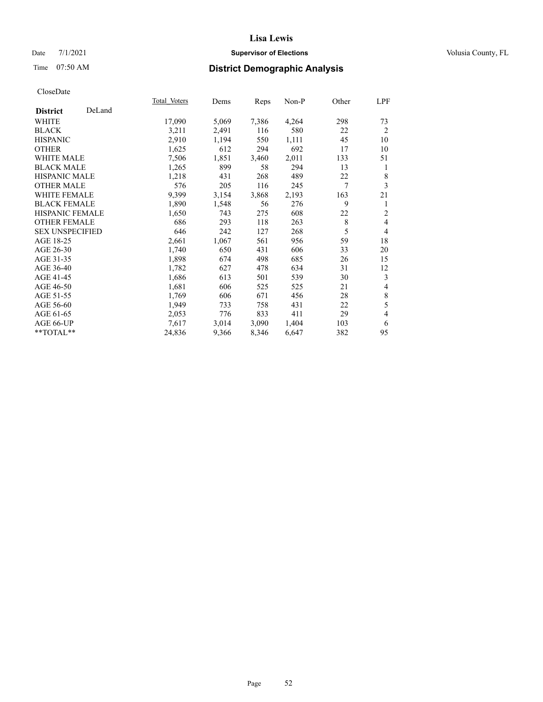# Date 7/1/2021 **Supervisor of Elections Supervisor of Elections** Volusia County, FL

# Time 07:50 AM **District Demographic Analysis**

|                           | Total Voters | Dems  | Reps  | Non-P | Other | LPF            |
|---------------------------|--------------|-------|-------|-------|-------|----------------|
| DeLand<br><b>District</b> |              |       |       |       |       |                |
| WHITE                     | 17,090       | 5,069 | 7,386 | 4,264 | 298   | 73             |
| <b>BLACK</b>              | 3,211        | 2,491 | 116   | 580   | 22    | $\overline{2}$ |
| <b>HISPANIC</b>           | 2,910        | 1,194 | 550   | 1,111 | 45    | 10             |
| <b>OTHER</b>              | 1,625        | 612   | 294   | 692   | 17    | 10             |
| <b>WHITE MALE</b>         | 7,506        | 1,851 | 3,460 | 2,011 | 133   | 51             |
| <b>BLACK MALE</b>         | 1,265        | 899   | 58    | 294   | 13    | 1              |
| <b>HISPANIC MALE</b>      | 1,218        | 431   | 268   | 489   | 22    | 8              |
| <b>OTHER MALE</b>         | 576          | 205   | 116   | 245   | 7     | 3              |
| <b>WHITE FEMALE</b>       | 9,399        | 3,154 | 3,868 | 2,193 | 163   | 21             |
| <b>BLACK FEMALE</b>       | 1,890        | 1,548 | 56    | 276   | 9     | 1              |
| <b>HISPANIC FEMALE</b>    | 1,650        | 743   | 275   | 608   | 22    | $\mathfrak{2}$ |
| <b>OTHER FEMALE</b>       | 686          | 293   | 118   | 263   | 8     | $\overline{4}$ |
| <b>SEX UNSPECIFIED</b>    | 646          | 242   | 127   | 268   | 5     | $\overline{4}$ |
| AGE 18-25                 | 2,661        | 1,067 | 561   | 956   | 59    | 18             |
| AGE 26-30                 | 1,740        | 650   | 431   | 606   | 33    | 20             |
| AGE 31-35                 | 1,898        | 674   | 498   | 685   | 26    | 15             |
| AGE 36-40                 | 1,782        | 627   | 478   | 634   | 31    | 12             |
| AGE 41-45                 | 1,686        | 613   | 501   | 539   | 30    | 3              |
| AGE 46-50                 | 1,681        | 606   | 525   | 525   | 21    | 4              |
| AGE 51-55                 | 1,769        | 606   | 671   | 456   | 28    | $\,$ $\,$      |
| AGE 56-60                 | 1,949        | 733   | 758   | 431   | 22    | 5              |
| AGE 61-65                 | 2,053        | 776   | 833   | 411   | 29    | $\overline{4}$ |
| AGE 66-UP                 | 7,617        | 3,014 | 3,090 | 1,404 | 103   | 6              |
| $*$ TOTAL $*$             | 24,836       | 9,366 | 8,346 | 6,647 | 382   | 95             |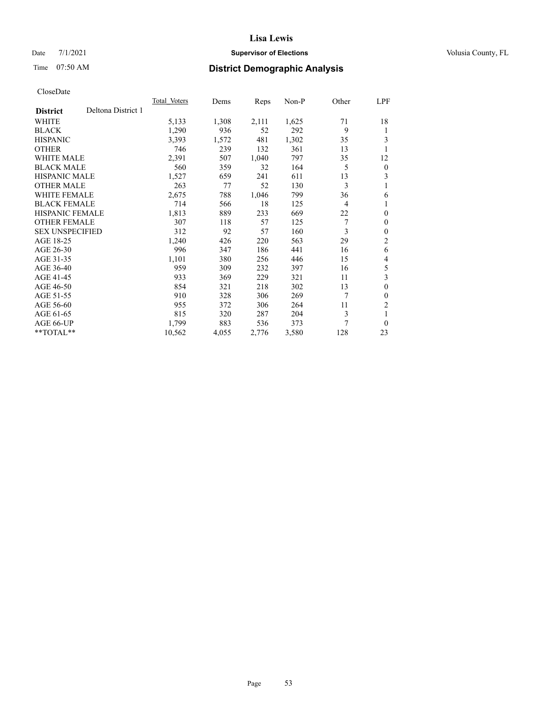# Date 7/1/2021 **Supervisor of Elections Supervisor of Elections** Volusia County, FL

# Time 07:50 AM **District Demographic Analysis**

|                        |                    | Total Voters | Dems  | Reps  | Non-P | Other | LPF              |
|------------------------|--------------------|--------------|-------|-------|-------|-------|------------------|
| <b>District</b>        | Deltona District 1 |              |       |       |       |       |                  |
| WHITE                  |                    | 5,133        | 1,308 | 2,111 | 1,625 | 71    | 18               |
| <b>BLACK</b>           |                    | 1,290        | 936   | 52    | 292   | 9     | 1                |
| <b>HISPANIC</b>        |                    | 3,393        | 1,572 | 481   | 1,302 | 35    | 3                |
| <b>OTHER</b>           |                    | 746          | 239   | 132   | 361   | 13    |                  |
| WHITE MALE             |                    | 2,391        | 507   | 1,040 | 797   | 35    | 12               |
| <b>BLACK MALE</b>      |                    | 560          | 359   | 32    | 164   | 5     | $\boldsymbol{0}$ |
| <b>HISPANIC MALE</b>   |                    | 1,527        | 659   | 241   | 611   | 13    | 3                |
| <b>OTHER MALE</b>      |                    | 263          | 77    | 52    | 130   | 3     | 1                |
| WHITE FEMALE           |                    | 2,675        | 788   | 1,046 | 799   | 36    | 6                |
| <b>BLACK FEMALE</b>    |                    | 714          | 566   | 18    | 125   | 4     | 1                |
| <b>HISPANIC FEMALE</b> |                    | 1,813        | 889   | 233   | 669   | 22    | $\theta$         |
| <b>OTHER FEMALE</b>    |                    | 307          | 118   | 57    | 125   | 7     | $\theta$         |
| <b>SEX UNSPECIFIED</b> |                    | 312          | 92    | 57    | 160   | 3     | $\theta$         |
| AGE 18-25              |                    | 1,240        | 426   | 220   | 563   | 29    | $\overline{2}$   |
| AGE 26-30              |                    | 996          | 347   | 186   | 441   | 16    | 6                |
| AGE 31-35              |                    | 1,101        | 380   | 256   | 446   | 15    | 4                |
| AGE 36-40              |                    | 959          | 309   | 232   | 397   | 16    | 5                |
| AGE 41-45              |                    | 933          | 369   | 229   | 321   | 11    | 3                |
| AGE 46-50              |                    | 854          | 321   | 218   | 302   | 13    | $\theta$         |
| AGE 51-55              |                    | 910          | 328   | 306   | 269   | 7     | $\theta$         |
| AGE 56-60              |                    | 955          | 372   | 306   | 264   | 11    | $\overline{2}$   |
| AGE 61-65              |                    | 815          | 320   | 287   | 204   | 3     | 1                |
| AGE 66-UP              |                    | 1,799        | 883   | 536   | 373   | 7     | $\theta$         |
| $**TOTAL**$            |                    | 10,562       | 4,055 | 2,776 | 3,580 | 128   | 23               |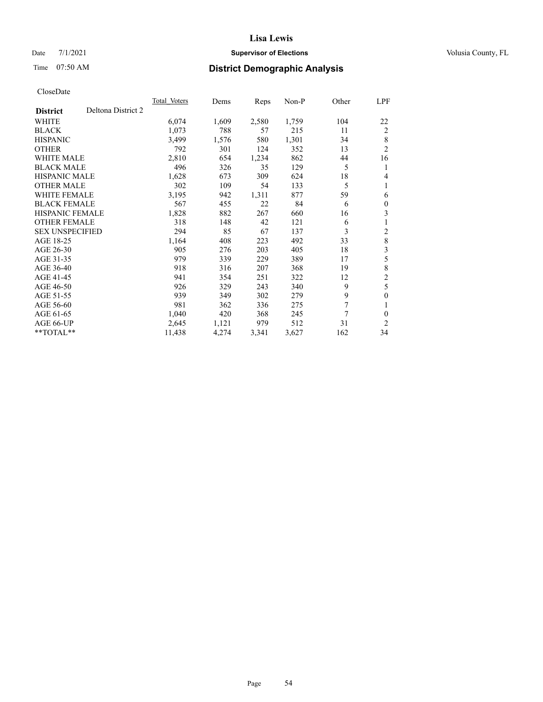# Date 7/1/2021 **Supervisor of Elections Supervisor of Elections** Volusia County, FL

# Time 07:50 AM **District Demographic Analysis**

| Total Voters | Dems  | Reps  | $Non-P$ | Other | LPF            |
|--------------|-------|-------|---------|-------|----------------|
|              |       |       |         |       |                |
| 6,074        | 1,609 | 2,580 | 1,759   | 104   | 22             |
| 1,073        | 788   | 57    | 215     | 11    | 2              |
| 3,499        | 1,576 | 580   | 1,301   | 34    | 8              |
| 792          | 301   | 124   | 352     | 13    | $\overline{2}$ |
| 2,810        | 654   | 1,234 | 862     | 44    | 16             |
| 496          | 326   | 35    | 129     | 5     | 1              |
| 1,628        | 673   | 309   | 624     | 18    | 4              |
| 302          | 109   | 54    | 133     | 5     | 1              |
| 3,195        | 942   | 1,311 | 877     | 59    | 6              |
| 567          | 455   | 22    | 84      | 6     | $\mathbf{0}$   |
| 1,828        | 882   | 267   | 660     | 16    | 3              |
| 318          | 148   | 42    | 121     | 6     | 1              |
| 294          | 85    | 67    | 137     | 3     | $\overline{c}$ |
| 1,164        | 408   | 223   | 492     | 33    | $\,$ 8 $\,$    |
| 905          | 276   | 203   | 405     | 18    | 3              |
| 979          | 339   | 229   | 389     | 17    | 5              |
| 918          | 316   | 207   | 368     | 19    | 8              |
| 941          | 354   | 251   | 322     | 12    | $\overline{c}$ |
| 926          | 329   | 243   | 340     | 9     | 5              |
| 939          | 349   | 302   | 279     | 9     | $\mathbf{0}$   |
| 981          | 362   | 336   | 275     | 7     | 1              |
| 1,040        | 420   | 368   | 245     | 7     | $\theta$       |
| 2,645        | 1,121 | 979   | 512     | 31    | 2              |
| 11,438       | 4,274 | 3,341 | 3,627   | 162   | 34             |
|              |       |       |         |       |                |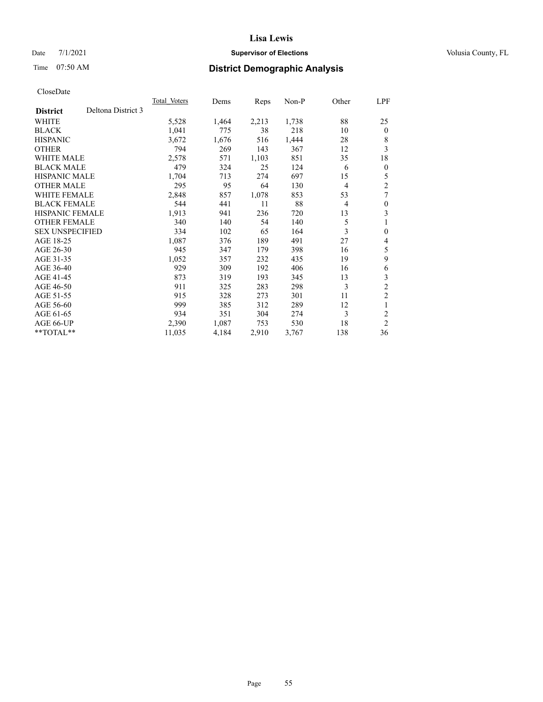# Date 7/1/2021 **Supervisor of Elections Supervisor of Elections** Volusia County, FL

# Time 07:50 AM **District Demographic Analysis**

|                                       | Total Voters | Dems  | Reps  | Non-P | Other          | LPF              |
|---------------------------------------|--------------|-------|-------|-------|----------------|------------------|
| Deltona District 3<br><b>District</b> |              |       |       |       |                |                  |
| WHITE                                 | 5,528        | 1,464 | 2,213 | 1,738 | 88             | 25               |
| <b>BLACK</b>                          | 1,041        | 775   | 38    | 218   | 10             | $\Omega$         |
| <b>HISPANIC</b>                       | 3,672        | 1,676 | 516   | 1,444 | 28             | 8                |
| <b>OTHER</b>                          | 794          | 269   | 143   | 367   | 12             | 3                |
| <b>WHITE MALE</b>                     | 2,578        | 571   | 1,103 | 851   | 35             | 18               |
| <b>BLACK MALE</b>                     | 479          | 324   | 25    | 124   | 6              | 0                |
| <b>HISPANIC MALE</b>                  | 1,704        | 713   | 274   | 697   | 15             | 5                |
| <b>OTHER MALE</b>                     | 295          | 95    | 64    | 130   | $\overline{4}$ | $\overline{2}$   |
| <b>WHITE FEMALE</b>                   | 2,848        | 857   | 1,078 | 853   | 53             | 7                |
| <b>BLACK FEMALE</b>                   | 544          | 441   | 11    | 88    | $\overline{4}$ | $\mathbf{0}$     |
| <b>HISPANIC FEMALE</b>                | 1,913        | 941   | 236   | 720   | 13             | 3                |
| <b>OTHER FEMALE</b>                   | 340          | 140   | 54    | 140   | 5              | 1                |
| <b>SEX UNSPECIFIED</b>                | 334          | 102   | 65    | 164   | 3              | $\boldsymbol{0}$ |
| AGE 18-25                             | 1,087        | 376   | 189   | 491   | 27             | 4                |
| AGE 26-30                             | 945          | 347   | 179   | 398   | 16             | 5                |
| AGE 31-35                             | 1,052        | 357   | 232   | 435   | 19             | 9                |
| AGE 36-40                             | 929          | 309   | 192   | 406   | 16             | 6                |
| AGE 41-45                             | 873          | 319   | 193   | 345   | 13             | 3                |
| AGE 46-50                             | 911          | 325   | 283   | 298   | 3              | $\overline{c}$   |
| AGE 51-55                             | 915          | 328   | 273   | 301   | 11             | $\overline{c}$   |
| AGE 56-60                             | 999          | 385   | 312   | 289   | 12             | 1                |
| AGE 61-65                             | 934          | 351   | 304   | 274   | 3              | $\overline{c}$   |
| AGE 66-UP                             | 2,390        | 1,087 | 753   | 530   | 18             | 2                |
| $*$ $TOTAL**$                         | 11,035       | 4,184 | 2,910 | 3,767 | 138            | 36               |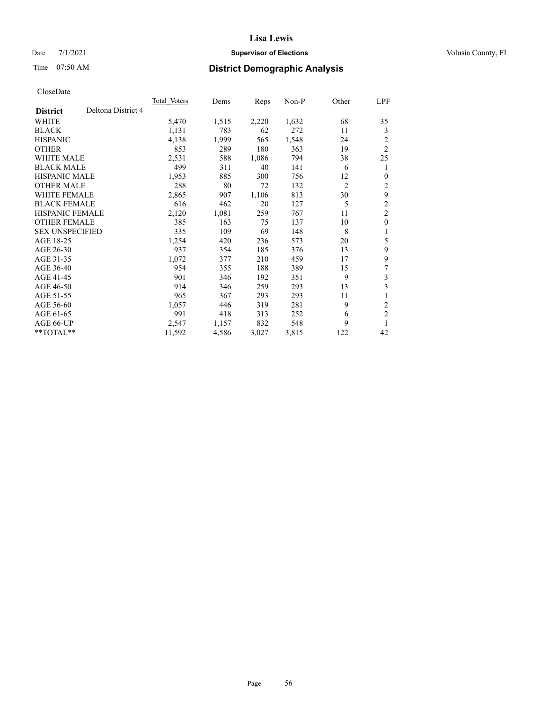# Date 7/1/2021 **Supervisor of Elections Supervisor of Elections** Volusia County, FL

# Time 07:50 AM **District Demographic Analysis**

|                        |                    | Total Voters | Dems  | Reps  | $Non-P$ | Other          | LPF                     |
|------------------------|--------------------|--------------|-------|-------|---------|----------------|-------------------------|
| <b>District</b>        | Deltona District 4 |              |       |       |         |                |                         |
| WHITE                  |                    | 5,470        | 1,515 | 2,220 | 1,632   | 68             | 35                      |
| <b>BLACK</b>           |                    | 1,131        | 783   | 62    | 272     | 11             | 3                       |
| <b>HISPANIC</b>        |                    | 4,138        | 1,999 | 565   | 1,548   | 24             | 2                       |
| <b>OTHER</b>           |                    | 853          | 289   | 180   | 363     | 19             | $\overline{2}$          |
| <b>WHITE MALE</b>      |                    | 2,531        | 588   | 1,086 | 794     | 38             | 25                      |
| <b>BLACK MALE</b>      |                    | 499          | 311   | 40    | 141     | 6              | 1                       |
| <b>HISPANIC MALE</b>   |                    | 1,953        | 885   | 300   | 756     | 12             | $\theta$                |
| <b>OTHER MALE</b>      |                    | 288          | 80    | 72    | 132     | $\overline{2}$ | 2                       |
| <b>WHITE FEMALE</b>    |                    | 2,865        | 907   | 1,106 | 813     | 30             | 9                       |
| <b>BLACK FEMALE</b>    |                    | 616          | 462   | 20    | 127     | 5              | 2                       |
| <b>HISPANIC FEMALE</b> |                    | 2,120        | 1,081 | 259   | 767     | 11             | $\overline{c}$          |
| <b>OTHER FEMALE</b>    |                    | 385          | 163   | 75    | 137     | 10             | $\mathbf{0}$            |
| <b>SEX UNSPECIFIED</b> |                    | 335          | 109   | 69    | 148     | 8              | 1                       |
| AGE 18-25              |                    | 1,254        | 420   | 236   | 573     | 20             | 5                       |
| AGE 26-30              |                    | 937          | 354   | 185   | 376     | 13             | 9                       |
| AGE 31-35              |                    | 1,072        | 377   | 210   | 459     | 17             | 9                       |
| AGE 36-40              |                    | 954          | 355   | 188   | 389     | 15             | 7                       |
| AGE 41-45              |                    | 901          | 346   | 192   | 351     | 9              | 3                       |
| AGE 46-50              |                    | 914          | 346   | 259   | 293     | 13             | 3                       |
| AGE 51-55              |                    | 965          | 367   | 293   | 293     | 11             |                         |
| AGE 56-60              |                    | 1,057        | 446   | 319   | 281     | 9              | 2                       |
| AGE 61-65              |                    | 991          | 418   | 313   | 252     | 6              | $\overline{\mathbf{c}}$ |
| AGE 66-UP              |                    | 2,547        | 1,157 | 832   | 548     | 9              | 1                       |
| $*$ $TOTAL**$          |                    | 11,592       | 4,586 | 3,027 | 3,815   | 122            | 42                      |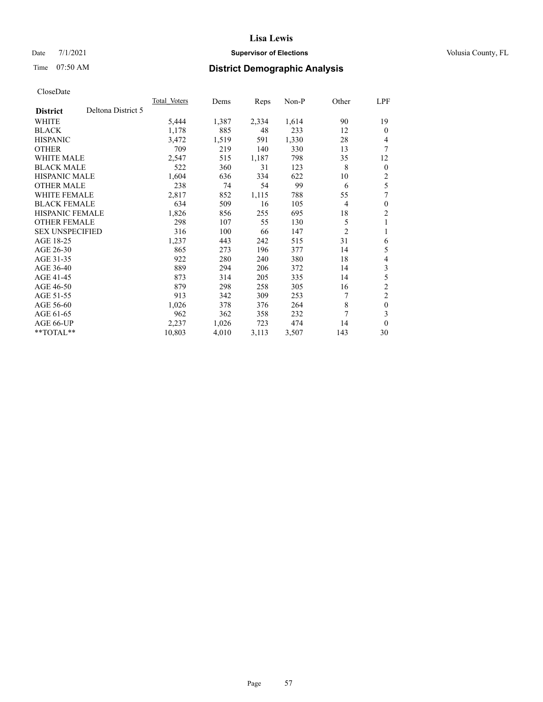# Date 7/1/2021 **Supervisor of Elections Supervisor of Elections** Volusia County, FL

# Time 07:50 AM **District Demographic Analysis**

|                                       | Total Voters | Dems  | Reps  | Non-P | Other          | LPF              |
|---------------------------------------|--------------|-------|-------|-------|----------------|------------------|
| Deltona District 5<br><b>District</b> |              |       |       |       |                |                  |
| WHITE                                 | 5,444        | 1,387 | 2,334 | 1,614 | 90             | 19               |
| <b>BLACK</b>                          | 1,178        | 885   | 48    | 233   | 12             | $\Omega$         |
| <b>HISPANIC</b>                       | 3,472        | 1,519 | 591   | 1,330 | 28             | 4                |
| <b>OTHER</b>                          | 709          | 219   | 140   | 330   | 13             | 7                |
| <b>WHITE MALE</b>                     | 2,547        | 515   | 1,187 | 798   | 35             | 12               |
| <b>BLACK MALE</b>                     | 522          | 360   | 31    | 123   | 8              | $\theta$         |
| <b>HISPANIC MALE</b>                  | 1,604        | 636   | 334   | 622   | 10             | 2                |
| <b>OTHER MALE</b>                     | 238          | 74    | 54    | 99    | 6              | 5                |
| <b>WHITE FEMALE</b>                   | 2,817        | 852   | 1,115 | 788   | 55             | 7                |
| <b>BLACK FEMALE</b>                   | 634          | 509   | 16    | 105   | $\overline{4}$ | $\mathbf{0}$     |
| <b>HISPANIC FEMALE</b>                | 1,826        | 856   | 255   | 695   | 18             | 2                |
| <b>OTHER FEMALE</b>                   | 298          | 107   | 55    | 130   | 5              | 1                |
| <b>SEX UNSPECIFIED</b>                | 316          | 100   | 66    | 147   | $\overline{2}$ | 1                |
| AGE 18-25                             | 1,237        | 443   | 242   | 515   | 31             | 6                |
| AGE 26-30                             | 865          | 273   | 196   | 377   | 14             | 5                |
| AGE 31-35                             | 922          | 280   | 240   | 380   | 18             | 4                |
| AGE 36-40                             | 889          | 294   | 206   | 372   | 14             | 3                |
| AGE 41-45                             | 873          | 314   | 205   | 335   | 14             | 5                |
| AGE 46-50                             | 879          | 298   | 258   | 305   | 16             | $\overline{c}$   |
| AGE 51-55                             | 913          | 342   | 309   | 253   | 7              | $\overline{c}$   |
| AGE 56-60                             | 1,026        | 378   | 376   | 264   | 8              | $\boldsymbol{0}$ |
| AGE 61-65                             | 962          | 362   | 358   | 232   | 7              | 3                |
| AGE 66-UP                             | 2,237        | 1,026 | 723   | 474   | 14             | $\theta$         |
| $*$ $TOTAL**$                         | 10,803       | 4,010 | 3,113 | 3,507 | 143            | 30               |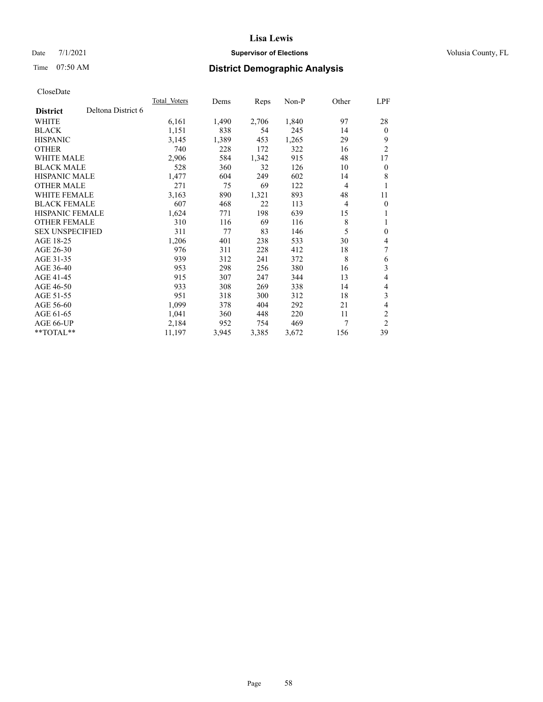# Date 7/1/2021 **Supervisor of Elections Supervisor of Elections** Volusia County, FL

# Time 07:50 AM **District Demographic Analysis**

|                        |                    | Total Voters | Dems  | Reps  | Non-P | Other          | LPF            |
|------------------------|--------------------|--------------|-------|-------|-------|----------------|----------------|
| <b>District</b>        | Deltona District 6 |              |       |       |       |                |                |
| WHITE                  |                    | 6,161        | 1,490 | 2,706 | 1,840 | 97             | 28             |
| <b>BLACK</b>           |                    | 1,151        | 838   | 54    | 245   | 14             | $\mathbf{0}$   |
| <b>HISPANIC</b>        |                    | 3,145        | 1,389 | 453   | 1,265 | 29             | 9              |
| <b>OTHER</b>           |                    | 740          | 228   | 172   | 322   | 16             | $\overline{2}$ |
| WHITE MALE             |                    | 2,906        | 584   | 1,342 | 915   | 48             | 17             |
| <b>BLACK MALE</b>      |                    | 528          | 360   | 32    | 126   | 10             | $\mathbf{0}$   |
| <b>HISPANIC MALE</b>   |                    | 1,477        | 604   | 249   | 602   | 14             | 8              |
| <b>OTHER MALE</b>      |                    | 271          | 75    | 69    | 122   | $\overline{4}$ | 1              |
| <b>WHITE FEMALE</b>    |                    | 3,163        | 890   | 1,321 | 893   | 48             | 11             |
| <b>BLACK FEMALE</b>    |                    | 607          | 468   | 22    | 113   | $\overline{4}$ | $\mathbf{0}$   |
| <b>HISPANIC FEMALE</b> |                    | 1,624        | 771   | 198   | 639   | 15             | 1              |
| <b>OTHER FEMALE</b>    |                    | 310          | 116   | 69    | 116   | 8              | 1              |
| <b>SEX UNSPECIFIED</b> |                    | 311          | 77    | 83    | 146   | 5              | $\mathbf{0}$   |
| AGE 18-25              |                    | 1,206        | 401   | 238   | 533   | 30             | 4              |
| AGE 26-30              |                    | 976          | 311   | 228   | 412   | 18             | 7              |
| AGE 31-35              |                    | 939          | 312   | 241   | 372   | 8              | 6              |
| AGE 36-40              |                    | 953          | 298   | 256   | 380   | 16             | 3              |
| AGE 41-45              |                    | 915          | 307   | 247   | 344   | 13             | 4              |
| AGE 46-50              |                    | 933          | 308   | 269   | 338   | 14             | 4              |
| AGE 51-55              |                    | 951          | 318   | 300   | 312   | 18             | 3              |
| AGE 56-60              |                    | 1,099        | 378   | 404   | 292   | 21             | 4              |
| AGE 61-65              |                    | 1,041        | 360   | 448   | 220   | 11             | $\overline{2}$ |
| AGE 66-UP              |                    | 2,184        | 952   | 754   | 469   | 7              | $\overline{2}$ |
| $**TOTAL**$            |                    | 11,197       | 3,945 | 3,385 | 3,672 | 156            | 39             |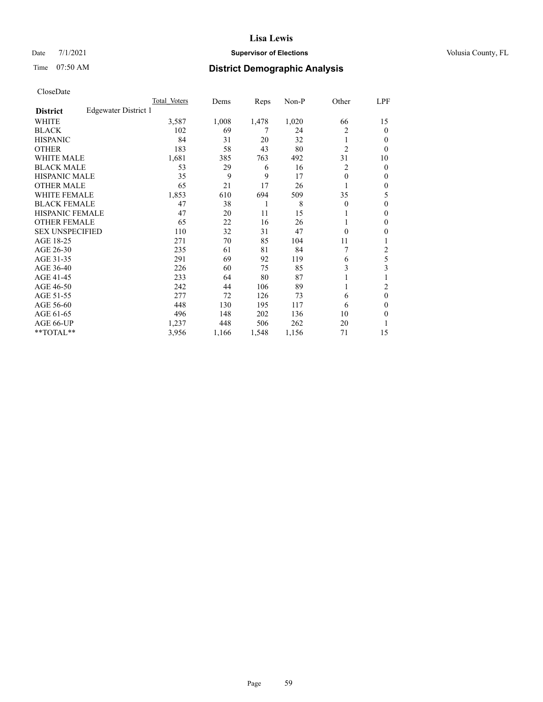# Date 7/1/2021 **Supervisor of Elections Supervisor of Elections** Volusia County, FL

# Time 07:50 AM **District Demographic Analysis**

|                        |                      | Total Voters | Dems  | Reps  | Non-P | Other          | LPF    |
|------------------------|----------------------|--------------|-------|-------|-------|----------------|--------|
| <b>District</b>        | Edgewater District 1 |              |       |       |       |                |        |
| WHITE                  |                      | 3,587        | 1,008 | 1,478 | 1,020 | 66             | 15     |
| <b>BLACK</b>           |                      | 102          | 69    | 7     | 24    | 2              | 0      |
| <b>HISPANIC</b>        |                      | 84           | 31    | 20    | 32    | 1              | $_{0}$ |
| <b>OTHER</b>           |                      | 183          | 58    | 43    | 80    | $\overline{2}$ | 0      |
| WHITE MALE             |                      | 1,681        | 385   | 763   | 492   | 31             | 10     |
| <b>BLACK MALE</b>      |                      | 53           | 29    | 6     | 16    | 2              | 0      |
| <b>HISPANIC MALE</b>   |                      | 35           | 9     | 9     | 17    | $\theta$       | 0      |
| <b>OTHER MALE</b>      |                      | 65           | 21    | 17    | 26    |                | 0      |
| <b>WHITE FEMALE</b>    |                      | 1,853        | 610   | 694   | 509   | 35             | 5      |
| <b>BLACK FEMALE</b>    |                      | 47           | 38    | 1     | 8     | $\Omega$       | 0      |
| <b>HISPANIC FEMALE</b> |                      | 47           | 20    | 11    | 15    |                | 0      |
| <b>OTHER FEMALE</b>    |                      | 65           | 22    | 16    | 26    |                | 0      |
| <b>SEX UNSPECIFIED</b> |                      | 110          | 32    | 31    | 47    | $\Omega$       | 0      |
| AGE 18-25              |                      | 271          | 70    | 85    | 104   | 11             |        |
| AGE 26-30              |                      | 235          | 61    | 81    | 84    | 7              | 2      |
| AGE 31-35              |                      | 291          | 69    | 92    | 119   | 6              | 5      |
| AGE 36-40              |                      | 226          | 60    | 75    | 85    | 3              | 3      |
| AGE 41-45              |                      | 233          | 64    | 80    | 87    |                |        |
| AGE 46-50              |                      | 242          | 44    | 106   | 89    | 1              | 2      |
| AGE 51-55              |                      | 277          | 72    | 126   | 73    | 6              | 0      |
| AGE 56-60              |                      | 448          | 130   | 195   | 117   | 6              | 0      |
| AGE 61-65              |                      | 496          | 148   | 202   | 136   | 10             | 0      |
| AGE 66-UP              |                      | 1,237        | 448   | 506   | 262   | 20             |        |
| **TOTAL**              |                      | 3,956        | 1,166 | 1,548 | 1,156 | 71             | 15     |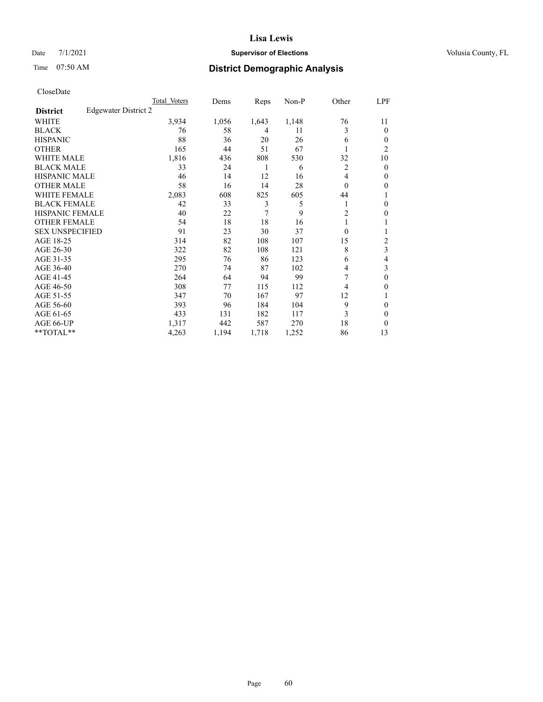# Date 7/1/2021 **Supervisor of Elections Supervisor of Elections** Volusia County, FL

# Time 07:50 AM **District Demographic Analysis**

|                        |                      | Total Voters | Dems  | Reps  | Non-P | Other          | LPF    |
|------------------------|----------------------|--------------|-------|-------|-------|----------------|--------|
| <b>District</b>        | Edgewater District 2 |              |       |       |       |                |        |
| WHITE                  |                      | 3,934        | 1,056 | 1,643 | 1,148 | 76             | 11     |
| <b>BLACK</b>           |                      | 76           | 58    | 4     | 11    | 3              | 0      |
| <b>HISPANIC</b>        |                      | 88           | 36    | 20    | 26    | 6              | $_{0}$ |
| <b>OTHER</b>           |                      | 165          | 44    | 51    | 67    |                | 2      |
| WHITE MALE             |                      | 1,816        | 436   | 808   | 530   | 32             | 10     |
| <b>BLACK MALE</b>      |                      | 33           | 24    | 1     | 6     | 2              | 0      |
| <b>HISPANIC MALE</b>   |                      | 46           | 14    | 12    | 16    | 4              | 0      |
| <b>OTHER MALE</b>      |                      | 58           | 16    | 14    | 28    | $\Omega$       | 0      |
| <b>WHITE FEMALE</b>    |                      | 2,083        | 608   | 825   | 605   | 44             |        |
| <b>BLACK FEMALE</b>    |                      | 42           | 33    | 3     | 5     |                | 0      |
| <b>HISPANIC FEMALE</b> |                      | 40           | 22    | 7     | 9     | $\overline{c}$ | 0      |
| <b>OTHER FEMALE</b>    |                      | 54           | 18    | 18    | 16    |                |        |
| <b>SEX UNSPECIFIED</b> |                      | 91           | 23    | 30    | 37    | $\Omega$       |        |
| AGE 18-25              |                      | 314          | 82    | 108   | 107   | 15             | 2      |
| AGE 26-30              |                      | 322          | 82    | 108   | 121   | 8              | 3      |
| AGE 31-35              |                      | 295          | 76    | 86    | 123   | 6              | 4      |
| AGE 36-40              |                      | 270          | 74    | 87    | 102   | 4              | 3      |
| AGE 41-45              |                      | 264          | 64    | 94    | 99    |                | 0      |
| AGE 46-50              |                      | 308          | 77    | 115   | 112   | 4              | 0      |
| AGE 51-55              |                      | 347          | 70    | 167   | 97    | 12             |        |
| AGE 56-60              |                      | 393          | 96    | 184   | 104   | 9              | 0      |
| AGE 61-65              |                      | 433          | 131   | 182   | 117   | 3              | 0      |
| AGE 66-UP              |                      | 1,317        | 442   | 587   | 270   | 18             | 0      |
| **TOTAL**              |                      | 4,263        | 1,194 | 1,718 | 1,252 | 86             | 13     |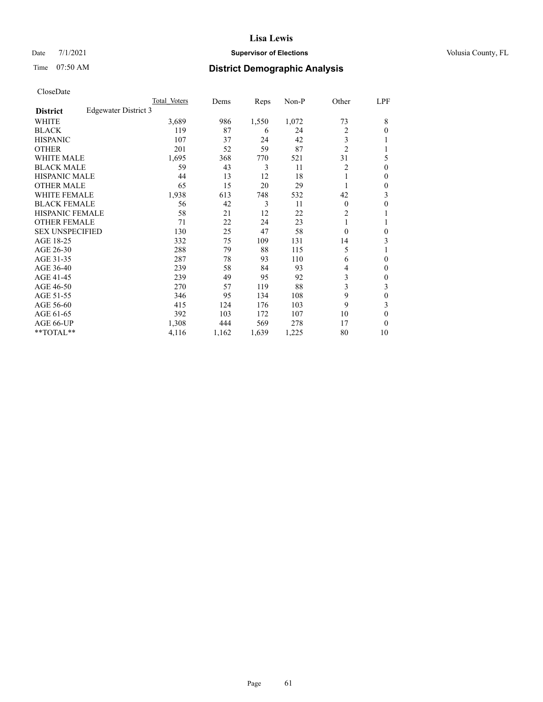# Date 7/1/2021 **Supervisor of Elections Supervisor of Elections** Volusia County, FL

# Time 07:50 AM **District Demographic Analysis**

|                        |                      | Total Voters | Dems  | Reps  | Non-P | Other          | LPF          |
|------------------------|----------------------|--------------|-------|-------|-------|----------------|--------------|
| <b>District</b>        | Edgewater District 3 |              |       |       |       |                |              |
| WHITE                  |                      | 3,689        | 986   | 1,550 | 1,072 | 73             | 8            |
| <b>BLACK</b>           |                      | 119          | 87    | 6     | 24    | 2              | 0            |
| <b>HISPANIC</b>        |                      | 107          | 37    | 24    | 42    | 3              |              |
| <b>OTHER</b>           |                      | 201          | 52    | 59    | 87    | $\overline{2}$ |              |
| <b>WHITE MALE</b>      |                      | 1,695        | 368   | 770   | 521   | 31             | 5            |
| <b>BLACK MALE</b>      |                      | 59           | 43    | 3     | 11    | 2              | $\Omega$     |
| <b>HISPANIC MALE</b>   |                      | 44           | 13    | 12    | 18    | 1              | 0            |
| <b>OTHER MALE</b>      |                      | 65           | 15    | 20    | 29    | 1              | 0            |
| <b>WHITE FEMALE</b>    |                      | 1,938        | 613   | 748   | 532   | 42             | 3            |
| <b>BLACK FEMALE</b>    |                      | 56           | 42    | 3     | 11    | $\theta$       | 0            |
| <b>HISPANIC FEMALE</b> |                      | 58           | 21    | 12    | 22    | 2              |              |
| <b>OTHER FEMALE</b>    |                      | 71           | 22    | 24    | 23    | 1              |              |
| <b>SEX UNSPECIFIED</b> |                      | 130          | 25    | 47    | 58    | $\Omega$       | 0            |
| AGE 18-25              |                      | 332          | 75    | 109   | 131   | 14             | 3            |
| AGE 26-30              |                      | 288          | 79    | 88    | 115   | 5              |              |
| AGE 31-35              |                      | 287          | 78    | 93    | 110   | 6              | 0            |
| AGE 36-40              |                      | 239          | 58    | 84    | 93    | 4              | $\mathbf{0}$ |
| AGE 41-45              |                      | 239          | 49    | 95    | 92    | 3              | 0            |
| AGE 46-50              |                      | 270          | 57    | 119   | 88    | 3              | 3            |
| AGE 51-55              |                      | 346          | 95    | 134   | 108   | 9              | 0            |
| AGE 56-60              |                      | 415          | 124   | 176   | 103   | 9              | 3            |
| AGE 61-65              |                      | 392          | 103   | 172   | 107   | 10             | 0            |
| AGE 66-UP              |                      | 1,308        | 444   | 569   | 278   | 17             | 0            |
| **TOTAL**              |                      | 4,116        | 1,162 | 1,639 | 1,225 | 80             | 10           |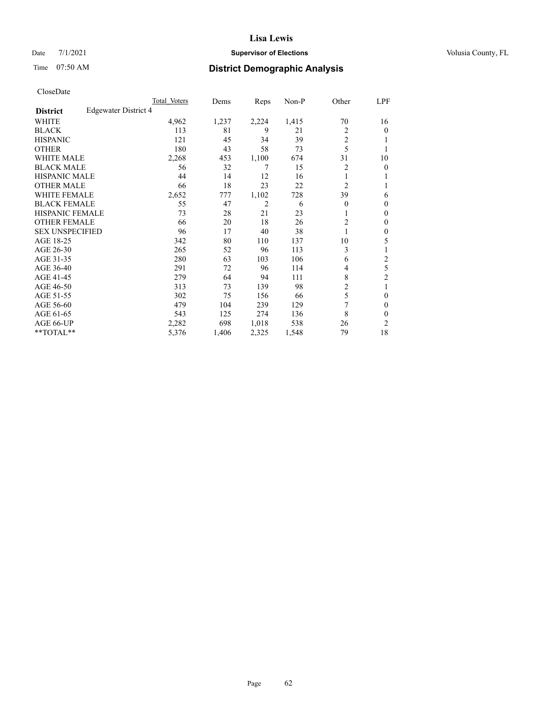# Date 7/1/2021 **Supervisor of Elections Supervisor of Elections** Volusia County, FL

# Time 07:50 AM **District Demographic Analysis**

|                        |                      | Total Voters | Dems  | Reps  | Non-P | Other          | LPF            |
|------------------------|----------------------|--------------|-------|-------|-------|----------------|----------------|
| <b>District</b>        | Edgewater District 4 |              |       |       |       |                |                |
| WHITE                  |                      | 4,962        | 1,237 | 2,224 | 1,415 | 70             | 16             |
| <b>BLACK</b>           |                      | 113          | 81    | 9     | 21    | 2              | 0              |
| <b>HISPANIC</b>        |                      | 121          | 45    | 34    | 39    | 2              |                |
| <b>OTHER</b>           |                      | 180          | 43    | 58    | 73    | 5              |                |
| WHITE MALE             |                      | 2,268        | 453   | 1,100 | 674   | 31             | 10             |
| <b>BLACK MALE</b>      |                      | 56           | 32    | 7     | 15    | $\overline{c}$ | 0              |
| <b>HISPANIC MALE</b>   |                      | 44           | 14    | 12    | 16    |                |                |
| <b>OTHER MALE</b>      |                      | 66           | 18    | 23    | 22    | $\overline{2}$ | 1              |
| <b>WHITE FEMALE</b>    |                      | 2,652        | 777   | 1,102 | 728   | 39             | 6              |
| <b>BLACK FEMALE</b>    |                      | 55           | 47    | 2     | 6     | $\Omega$       | 0              |
| <b>HISPANIC FEMALE</b> |                      | 73           | 28    | 21    | 23    |                | 0              |
| <b>OTHER FEMALE</b>    |                      | 66           | 20    | 18    | 26    | 2              | 0              |
| <b>SEX UNSPECIFIED</b> |                      | 96           | 17    | 40    | 38    |                | 0              |
| AGE 18-25              |                      | 342          | 80    | 110   | 137   | 10             | 5              |
| AGE 26-30              |                      | 265          | 52    | 96    | 113   | 3              |                |
| AGE 31-35              |                      | 280          | 63    | 103   | 106   | 6              | 2              |
| AGE 36-40              |                      | 291          | 72    | 96    | 114   | 4              | 5              |
| AGE 41-45              |                      | 279          | 64    | 94    | 111   | 8              | $\overline{c}$ |
| AGE 46-50              |                      | 313          | 73    | 139   | 98    | 2              | 1              |
| AGE 51-55              |                      | 302          | 75    | 156   | 66    | 5              | 0              |
| AGE 56-60              |                      | 479          | 104   | 239   | 129   | 7              | 0              |
| AGE 61-65              |                      | 543          | 125   | 274   | 136   | 8              | 0              |
| AGE 66-UP              |                      | 2,282        | 698   | 1,018 | 538   | 26             | 2              |
| **TOTAL**              |                      | 5,376        | 1,406 | 2,325 | 1,548 | 79             | 18             |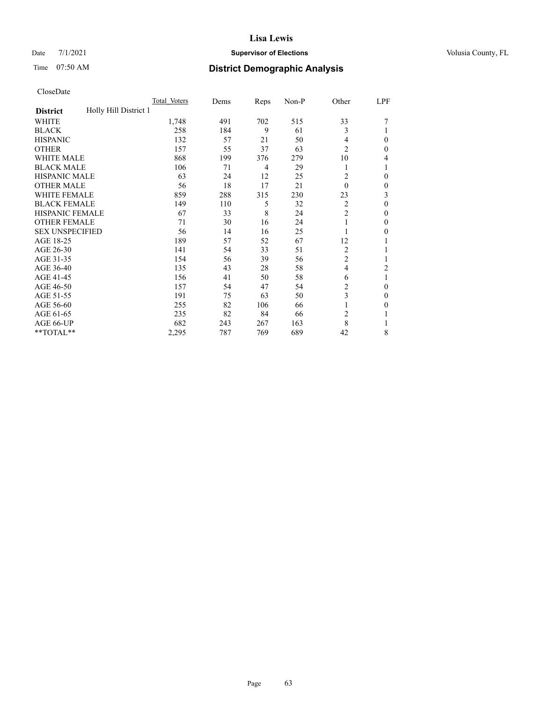# Date 7/1/2021 **Supervisor of Elections Supervisor of Elections** Volusia County, FL

# Time 07:50 AM **District Demographic Analysis**

|                                          | Total Voters | Dems | Reps | Non-P | Other          | LPF          |
|------------------------------------------|--------------|------|------|-------|----------------|--------------|
| Holly Hill District 1<br><b>District</b> |              |      |      |       |                |              |
| WHITE                                    | 1,748        | 491  | 702  | 515   | 33             |              |
| <b>BLACK</b>                             | 258          | 184  | 9    | 61    | 3              |              |
| <b>HISPANIC</b>                          | 132          | 57   | 21   | 50    | 4              | $\Omega$     |
| <b>OTHER</b>                             | 157          | 55   | 37   | 63    | $\overline{c}$ | $\theta$     |
| <b>WHITE MALE</b>                        | 868          | 199  | 376  | 279   | 10             | 4            |
| <b>BLACK MALE</b>                        | 106          | 71   | 4    | 29    |                |              |
| <b>HISPANIC MALE</b>                     | 63           | 24   | 12   | 25    | 2              | $\theta$     |
| <b>OTHER MALE</b>                        | 56           | 18   | 17   | 21    | $\theta$       | $\mathbf{0}$ |
| WHITE FEMALE                             | 859          | 288  | 315  | 230   | 23             | 3            |
| <b>BLACK FEMALE</b>                      | 149          | 110  | 5    | 32    | $\overline{2}$ | $\theta$     |
| <b>HISPANIC FEMALE</b>                   | 67           | 33   | 8    | 24    | $\overline{2}$ | $\Omega$     |
| <b>OTHER FEMALE</b>                      | 71           | 30   | 16   | 24    |                | $\theta$     |
| <b>SEX UNSPECIFIED</b>                   | 56           | 14   | 16   | 25    |                | $\theta$     |
| AGE 18-25                                | 189          | 57   | 52   | 67    | 12             |              |
| AGE 26-30                                | 141          | 54   | 33   | 51    | $\overline{c}$ |              |
| AGE 31-35                                | 154          | 56   | 39   | 56    | $\overline{c}$ |              |
| AGE 36-40                                | 135          | 43   | 28   | 58    | $\overline{4}$ | 2            |
| AGE 41-45                                | 156          | 41   | 50   | 58    | 6              |              |
| AGE 46-50                                | 157          | 54   | 47   | 54    | 2              | $\theta$     |
| AGE 51-55                                | 191          | 75   | 63   | 50    | 3              | $\theta$     |
| AGE 56-60                                | 255          | 82   | 106  | 66    |                | $\theta$     |
| AGE 61-65                                | 235          | 82   | 84   | 66    | $\overline{c}$ |              |
| AGE 66-UP                                | 682          | 243  | 267  | 163   | 8              |              |
| **TOTAL**                                | 2,295        | 787  | 769  | 689   | 42             | 8            |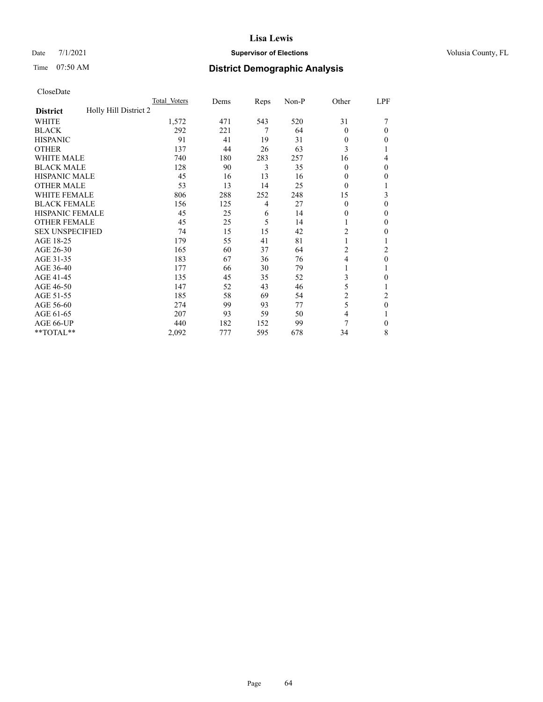# Date 7/1/2021 **Supervisor of Elections Supervisor of Elections** Volusia County, FL

| CloseDate |
|-----------|
|-----------|

|                                          | Total Voters | Dems | Reps | Non-P | Other    | LPF          |
|------------------------------------------|--------------|------|------|-------|----------|--------------|
| Holly Hill District 2<br><b>District</b> |              |      |      |       |          |              |
| <b>WHITE</b>                             | 1,572        | 471  | 543  | 520   | 31       |              |
| <b>BLACK</b>                             | 292          | 221  | 7    | 64    | $\Omega$ | 0            |
| <b>HISPANIC</b>                          | 91           | 41   | 19   | 31    | 0        | 0            |
| <b>OTHER</b>                             | 137          | 44   | 26   | 63    | 3        |              |
| <b>WHITE MALE</b>                        | 740          | 180  | 283  | 257   | 16       | 4            |
| <b>BLACK MALE</b>                        | 128          | 90   | 3    | 35    | 0        | 0            |
| <b>HISPANIC MALE</b>                     | 45           | 16   | 13   | 16    | 0        | 0            |
| <b>OTHER MALE</b>                        | 53           | 13   | 14   | 25    | $\theta$ |              |
| <b>WHITE FEMALE</b>                      | 806          | 288  | 252  | 248   | 15       | 3            |
| <b>BLACK FEMALE</b>                      | 156          | 125  | 4    | 27    | $\theta$ | 0            |
| <b>HISPANIC FEMALE</b>                   | 45           | 25   | 6    | 14    | 0        | 0            |
| <b>OTHER FEMALE</b>                      | 45           | 25   | 5    | 14    |          | 0            |
| <b>SEX UNSPECIFIED</b>                   | 74           | 15   | 15   | 42    | 2        | 0            |
| AGE 18-25                                | 179          | 55   | 41   | 81    |          |              |
| AGE 26-30                                | 165          | 60   | 37   | 64    | 2        | 2            |
| AGE 31-35                                | 183          | 67   | 36   | 76    | 4        | 0            |
| AGE 36-40                                | 177          | 66   | 30   | 79    |          |              |
| AGE 41-45                                | 135          | 45   | 35   | 52    | 3        | 0            |
| AGE 46-50                                | 147          | 52   | 43   | 46    | 5        |              |
| AGE 51-55                                | 185          | 58   | 69   | 54    | 2        | 2            |
| AGE 56-60                                | 274          | 99   | 93   | 77    | 5        | $\mathbf{0}$ |
| AGE 61-65                                | 207          | 93   | 59   | 50    | 4        | 1            |
| AGE 66-UP                                | 440          | 182  | 152  | 99    | 7        | 0            |
| **TOTAL**                                | 2,092        | 777  | 595  | 678   | 34       | 8            |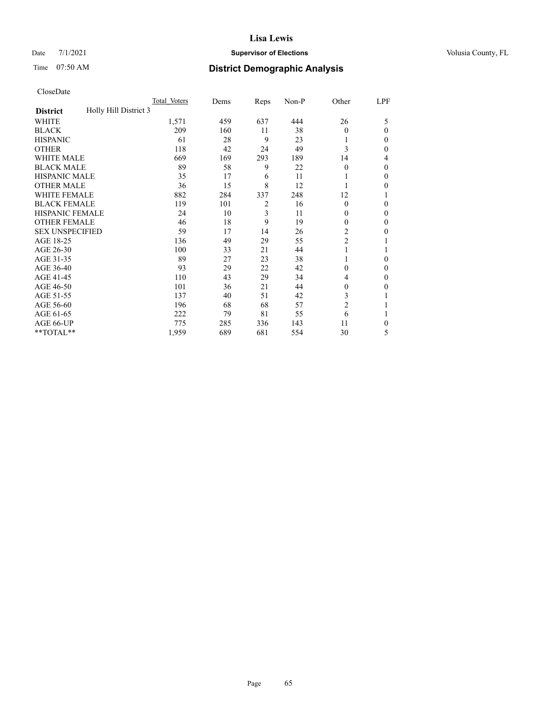# Date 7/1/2021 **Supervisor of Elections Supervisor of Elections** Volusia County, FL

# Time 07:50 AM **District Demographic Analysis**

|                                          | Total Voters | Dems | Reps           | Non-P | Other          | LPF    |
|------------------------------------------|--------------|------|----------------|-------|----------------|--------|
| Holly Hill District 3<br><b>District</b> |              |      |                |       |                |        |
| WHITE                                    | 1,571        | 459  | 637            | 444   | 26             | 5      |
| <b>BLACK</b>                             | 209          | 160  | 11             | 38    | $\Omega$       | 0      |
| <b>HISPANIC</b>                          | 61           | 28   | 9              | 23    |                | $_{0}$ |
| <b>OTHER</b>                             | 118          | 42   | 24             | 49    | 3              | 0      |
| WHITE MALE                               | 669          | 169  | 293            | 189   | 14             | 4      |
| <b>BLACK MALE</b>                        | 89           | 58   | 9              | 22    | $\Omega$       | 0      |
| <b>HISPANIC MALE</b>                     | 35           | 17   | 6              | 11    |                | 0      |
| <b>OTHER MALE</b>                        | 36           | 15   | 8              | 12    |                | 0      |
| WHITE FEMALE                             | 882          | 284  | 337            | 248   | 12             |        |
| <b>BLACK FEMALE</b>                      | 119          | 101  | $\overline{2}$ | 16    | $\Omega$       | 0      |
| <b>HISPANIC FEMALE</b>                   | 24           | 10   | 3              | 11    | 0              | 0      |
| <b>OTHER FEMALE</b>                      | 46           | 18   | 9              | 19    | 0              | 0      |
| <b>SEX UNSPECIFIED</b>                   | 59           | 17   | 14             | 26    | $\overline{2}$ | 0      |
| AGE 18-25                                | 136          | 49   | 29             | 55    | $\overline{c}$ |        |
| AGE 26-30                                | 100          | 33   | 21             | 44    | 1              |        |
| AGE 31-35                                | 89           | 27   | 23             | 38    |                | 0      |
| AGE 36-40                                | 93           | 29   | 22             | 42    | 0              | 0      |
| AGE 41-45                                | 110          | 43   | 29             | 34    | 4              | 0      |
| AGE 46-50                                | 101          | 36   | 21             | 44    | 0              | 0      |
| AGE 51-55                                | 137          | 40   | 51             | 42    | 3              |        |
| AGE 56-60                                | 196          | 68   | 68             | 57    | $\overline{c}$ |        |
| AGE 61-65                                | 222          | 79   | 81             | 55    | 6              |        |
| AGE 66-UP                                | 775          | 285  | 336            | 143   | 11             | 0      |
| **TOTAL**                                | 1,959        | 689  | 681            | 554   | 30             | 5      |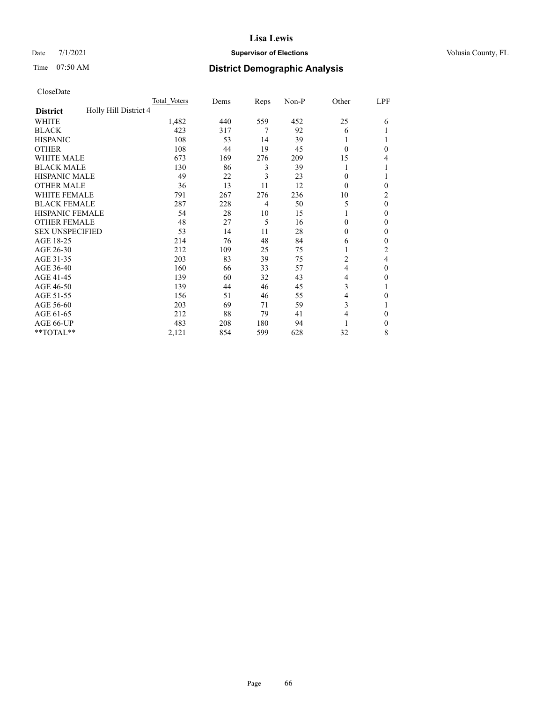# Date 7/1/2021 **Supervisor of Elections Supervisor of Elections** Volusia County, FL

# Time 07:50 AM **District Demographic Analysis**

|                                          | Total Voters | Dems | Reps | Non-P | Other          | LPF |
|------------------------------------------|--------------|------|------|-------|----------------|-----|
| Holly Hill District 4<br><b>District</b> |              |      |      |       |                |     |
| WHITE                                    | 1,482        | 440  | 559  | 452   | 25             | 6   |
| <b>BLACK</b>                             | 423          | 317  | 7    | 92    | 6              |     |
| <b>HISPANIC</b>                          | 108          | 53   | 14   | 39    | 1              |     |
| <b>OTHER</b>                             | 108          | 44   | 19   | 45    | $\Omega$       | 0   |
| WHITE MALE                               | 673          | 169  | 276  | 209   | 15             | 4   |
| <b>BLACK MALE</b>                        | 130          | 86   | 3    | 39    |                |     |
| <b>HISPANIC MALE</b>                     | 49           | 22   | 3    | 23    | 0              |     |
| <b>OTHER MALE</b>                        | 36           | 13   | 11   | 12    | $\Omega$       | 0   |
| WHITE FEMALE                             | 791          | 267  | 276  | 236   | 10             | 2   |
| <b>BLACK FEMALE</b>                      | 287          | 228  | 4    | 50    | 5              | 0   |
| <b>HISPANIC FEMALE</b>                   | 54           | 28   | 10   | 15    |                | 0   |
| <b>OTHER FEMALE</b>                      | 48           | 27   | 5    | 16    | 0              | 0   |
| <b>SEX UNSPECIFIED</b>                   | 53           | 14   | 11   | 28    | 0              | 0   |
| AGE 18-25                                | 214          | 76   | 48   | 84    | 6              | 0   |
| AGE 26-30                                | 212          | 109  | 25   | 75    | 1              | 2   |
| AGE 31-35                                | 203          | 83   | 39   | 75    | $\overline{c}$ | 4   |
| AGE 36-40                                | 160          | 66   | 33   | 57    | 4              | 0   |
| AGE 41-45                                | 139          | 60   | 32   | 43    | 4              | 0   |
| AGE 46-50                                | 139          | 44   | 46   | 45    | 3              |     |
| AGE 51-55                                | 156          | 51   | 46   | 55    | 4              | 0   |
| AGE 56-60                                | 203          | 69   | 71   | 59    | 3              |     |
| AGE 61-65                                | 212          | 88   | 79   | 41    | 4              | 0   |
| AGE 66-UP                                | 483          | 208  | 180  | 94    |                | 0   |
| **TOTAL**                                | 2,121        | 854  | 599  | 628   | 32             | 8   |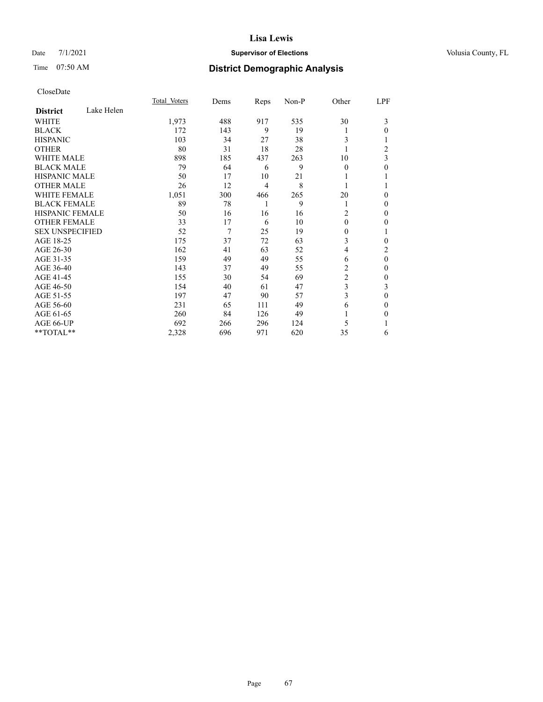### Date  $7/1/2021$  **Supervisor of Elections** Volusia County, FL

# Time 07:50 AM **District Demographic Analysis**

|                               | Total Voters | Dems | Reps | Non-P | Other          | LPF            |
|-------------------------------|--------------|------|------|-------|----------------|----------------|
| Lake Helen<br><b>District</b> |              |      |      |       |                |                |
| WHITE                         | 1,973        | 488  | 917  | 535   | 30             | 3              |
| <b>BLACK</b>                  | 172          | 143  | 9    | 19    |                | 0              |
| <b>HISPANIC</b>               | 103          | 34   | 27   | 38    | 3              |                |
| <b>OTHER</b>                  | 80           | 31   | 18   | 28    |                | $\overline{c}$ |
| <b>WHITE MALE</b>             | 898          | 185  | 437  | 263   | 10             | 3              |
| <b>BLACK MALE</b>             | 79           | 64   | 6    | 9     | $\Omega$       | 0              |
| <b>HISPANIC MALE</b>          | 50           | 17   | 10   | 21    |                |                |
| <b>OTHER MALE</b>             | 26           | 12   | 4    | 8     |                |                |
| <b>WHITE FEMALE</b>           | 1,051        | 300  | 466  | 265   | 20             | 0              |
| <b>BLACK FEMALE</b>           | 89           | 78   | 1    | 9     | 1              | 0              |
| <b>HISPANIC FEMALE</b>        | 50           | 16   | 16   | 16    | 2              | 0              |
| <b>OTHER FEMALE</b>           | 33           | 17   | 6    | 10    | $\theta$       | 0              |
| <b>SEX UNSPECIFIED</b>        | 52           | 7    | 25   | 19    | $\Omega$       |                |
| AGE 18-25                     | 175          | 37   | 72   | 63    | 3              | 0              |
| AGE 26-30                     | 162          | 41   | 63   | 52    | 4              | 2              |
| AGE 31-35                     | 159          | 49   | 49   | 55    | 6              | $\theta$       |
| AGE 36-40                     | 143          | 37   | 49   | 55    | 2              | 0              |
| AGE 41-45                     | 155          | 30   | 54   | 69    | $\overline{c}$ | 0              |
| AGE 46-50                     | 154          | 40   | 61   | 47    | 3              | 3              |
| AGE 51-55                     | 197          | 47   | 90   | 57    | 3              | $\mathbf{0}$   |
| AGE 56-60                     | 231          | 65   | 111  | 49    | 6              | 0              |
| AGE 61-65                     | 260          | 84   | 126  | 49    |                | 0              |
| AGE 66-UP                     | 692          | 266  | 296  | 124   | 5              |                |
| **TOTAL**                     | 2,328        | 696  | 971  | 620   | 35             | 6              |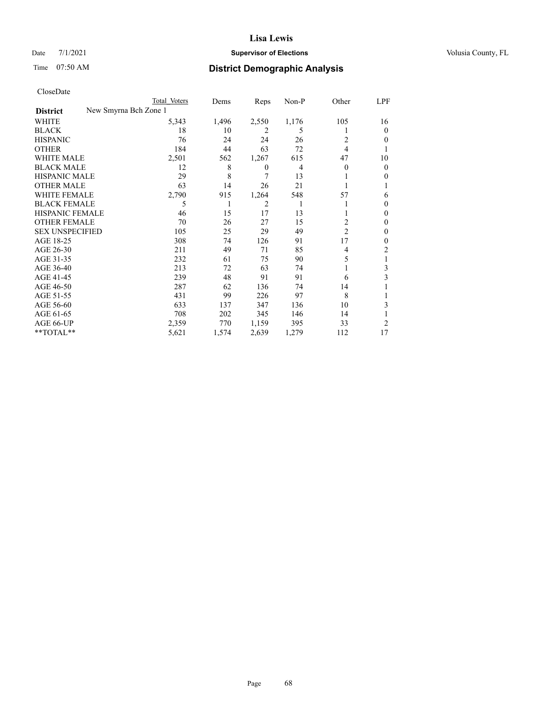# Date 7/1/2021 **Supervisor of Elections Supervisor of Elections** Volusia County, FL

| CloseDate |
|-----------|
|-----------|

|                        | Total Voters          | Dems  | Reps  | Non-P | Other          | LPF    |
|------------------------|-----------------------|-------|-------|-------|----------------|--------|
| <b>District</b>        | New Smyrna Bch Zone 1 |       |       |       |                |        |
| WHITE                  | 5,343                 | 1,496 | 2,550 | 1,176 | 105            | 16     |
| <b>BLACK</b>           | 18                    | 10    | 2     | 5     | 1              | 0      |
| <b>HISPANIC</b>        | 76                    | 24    | 24    | 26    | 2              | 0      |
| <b>OTHER</b>           | 184                   | 44    | 63    | 72    | 4              |        |
| <b>WHITE MALE</b>      | 2,501                 | 562   | 1,267 | 615   | 47             | 10     |
| <b>BLACK MALE</b>      | 12                    | 8     | 0     | 4     | $\theta$       | 0      |
| <b>HISPANIC MALE</b>   | 29                    | 8     | 7     | 13    |                | 0      |
| <b>OTHER MALE</b>      | 63                    | 14    | 26    | 21    |                |        |
| <b>WHITE FEMALE</b>    | 2,790                 | 915   | 1,264 | 548   | 57             | 6      |
| <b>BLACK FEMALE</b>    | 5                     | 1     | 2     |       |                | $_{0}$ |
| <b>HISPANIC FEMALE</b> | 46                    | 15    | 17    | 13    |                | 0      |
| <b>OTHER FEMALE</b>    | 70                    | 26    | 27    | 15    | 2              | 0      |
| <b>SEX UNSPECIFIED</b> | 105                   | 25    | 29    | 49    | $\overline{c}$ | $_{0}$ |
| AGE 18-25              | 308                   | 74    | 126   | 91    | 17             | 0      |
| AGE 26-30              | 211                   | 49    | 71    | 85    | 4              | 2      |
| AGE 31-35              | 232                   | 61    | 75    | 90    | 5              |        |
| AGE 36-40              | 213                   | 72    | 63    | 74    |                | 3      |
| AGE 41-45              | 239                   | 48    | 91    | 91    | 6              | 3      |
| AGE 46-50              | 287                   | 62    | 136   | 74    | 14             |        |
| AGE 51-55              | 431                   | 99    | 226   | 97    | 8              |        |
| AGE 56-60              | 633                   | 137   | 347   | 136   | 10             | 3      |
| AGE 61-65              | 708                   | 202   | 345   | 146   | 14             |        |
| AGE 66-UP              | 2,359                 | 770   | 1,159 | 395   | 33             | 2      |
| **TOTAL**              | 5,621                 | 1,574 | 2,639 | 1,279 | 112            | 17     |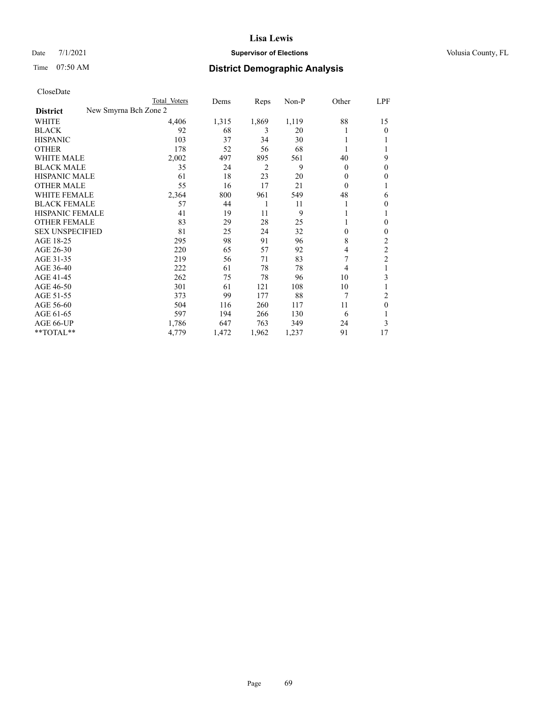# Date 7/1/2021 **Supervisor of Elections Supervisor of Elections** Volusia County, FL

|                                          | Total Voters | Dems  | Reps  | Non-P | Other    | LPF            |
|------------------------------------------|--------------|-------|-------|-------|----------|----------------|
| New Smyrna Bch Zone 2<br><b>District</b> |              |       |       |       |          |                |
| WHITE                                    | 4,406        | 1,315 | 1,869 | 1,119 | 88       | 15             |
| <b>BLACK</b>                             | 92           | 68    | 3     | 20    |          | 0              |
| <b>HISPANIC</b>                          | 103          | 37    | 34    | 30    |          |                |
| <b>OTHER</b>                             | 178          | 52    | 56    | 68    |          |                |
| <b>WHITE MALE</b>                        | 2,002        | 497   | 895   | 561   | 40       | 9              |
| <b>BLACK MALE</b>                        | 35           | 24    | 2     | 9     | $\Omega$ | 0              |
| <b>HISPANIC MALE</b>                     | 61           | 18    | 23    | 20    | 0        | 0              |
| <b>OTHER MALE</b>                        | 55           | 16    | 17    | 21    | $\theta$ |                |
| <b>WHITE FEMALE</b>                      | 2,364        | 800   | 961   | 549   | 48       | 6              |
| <b>BLACK FEMALE</b>                      | 57           | 44    | 1     | 11    |          | 0              |
| <b>HISPANIC FEMALE</b>                   | 41           | 19    | 11    | 9     |          |                |
| <b>OTHER FEMALE</b>                      | 83           | 29    | 28    | 25    |          | 0              |
| <b>SEX UNSPECIFIED</b>                   | 81           | 25    | 24    | 32    | 0        | 0              |
| AGE 18-25                                | 295          | 98    | 91    | 96    | 8        | 2              |
| AGE 26-30                                | 220          | 65    | 57    | 92    | 4        | $\overline{c}$ |
| AGE 31-35                                | 219          | 56    | 71    | 83    |          | $\overline{c}$ |
| AGE 36-40                                | 222          | 61    | 78    | 78    | 4        |                |
| AGE 41-45                                | 262          | 75    | 78    | 96    | 10       | 3              |
| AGE 46-50                                | 301          | 61    | 121   | 108   | 10       |                |
| AGE 51-55                                | 373          | 99    | 177   | 88    | 7        | 2              |
| AGE 56-60                                | 504          | 116   | 260   | 117   | 11       | 0              |
| AGE 61-65                                | 597          | 194   | 266   | 130   | 6        |                |
| AGE 66-UP                                | 1,786        | 647   | 763   | 349   | 24       | 3              |
| **TOTAL**                                | 4,779        | 1,472 | 1,962 | 1,237 | 91       | 17             |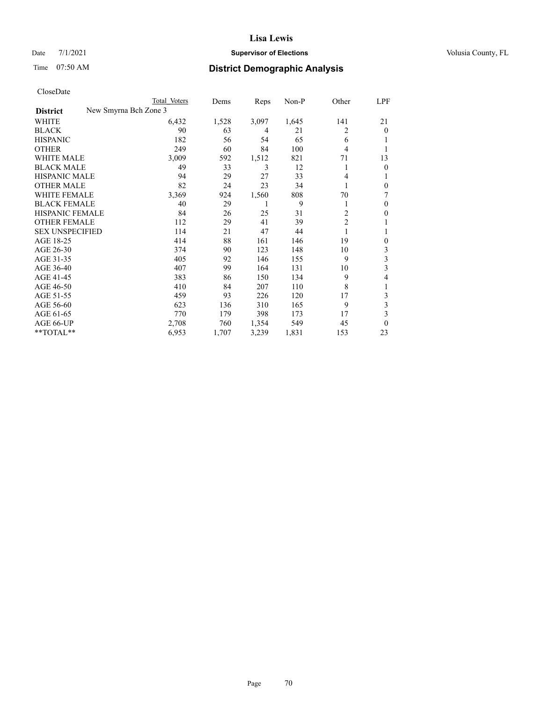# Date 7/1/2021 **Supervisor of Elections Supervisor of Elections** Volusia County, FL

|                                          | Total Voters | Dems  | Reps  | Non-P | Other          | LPF          |
|------------------------------------------|--------------|-------|-------|-------|----------------|--------------|
| New Smyrna Bch Zone 3<br><b>District</b> |              |       |       |       |                |              |
| WHITE                                    | 6,432        | 1,528 | 3,097 | 1,645 | 141            | 21           |
| <b>BLACK</b>                             | 90           | 63    | 4     | 21    | 2              | $\theta$     |
| <b>HISPANIC</b>                          | 182          | 56    | 54    | 65    | 6              |              |
| <b>OTHER</b>                             | 249          | 60    | 84    | 100   | 4              |              |
| <b>WHITE MALE</b>                        | 3,009        | 592   | 1,512 | 821   | 71             | 13           |
| <b>BLACK MALE</b>                        | 49           | 33    | 3     | 12    | 1              | $\theta$     |
| <b>HISPANIC MALE</b>                     | 94           | 29    | 27    | 33    | 4              |              |
| <b>OTHER MALE</b>                        | 82           | 24    | 23    | 34    |                | $\Omega$     |
| <b>WHITE FEMALE</b>                      | 3,369        | 924   | 1,560 | 808   | 70             | 7            |
| <b>BLACK FEMALE</b>                      | 40           | 29    |       | 9     | 1              | $\Omega$     |
| <b>HISPANIC FEMALE</b>                   | 84           | 26    | 25    | 31    | 2              | $\Omega$     |
| <b>OTHER FEMALE</b>                      | 112          | 29    | 41    | 39    | $\overline{2}$ |              |
| <b>SEX UNSPECIFIED</b>                   | 114          | 21    | 47    | 44    | 1              | 1            |
| AGE 18-25                                | 414          | 88    | 161   | 146   | 19             | $\mathbf{0}$ |
| AGE 26-30                                | 374          | 90    | 123   | 148   | 10             | 3            |
| AGE 31-35                                | 405          | 92    | 146   | 155   | 9              | 3            |
| AGE 36-40                                | 407          | 99    | 164   | 131   | 10             | 3            |
| AGE 41-45                                | 383          | 86    | 150   | 134   | 9              | 4            |
| AGE 46-50                                | 410          | 84    | 207   | 110   | 8              |              |
| AGE 51-55                                | 459          | 93    | 226   | 120   | 17             | 3            |
| AGE 56-60                                | 623          | 136   | 310   | 165   | 9              | 3            |
| AGE 61-65                                | 770          | 179   | 398   | 173   | 17             | 3            |
| AGE 66-UP                                | 2,708        | 760   | 1,354 | 549   | 45             | $\theta$     |
| **TOTAL**                                | 6,953        | 1,707 | 3,239 | 1,831 | 153            | 23           |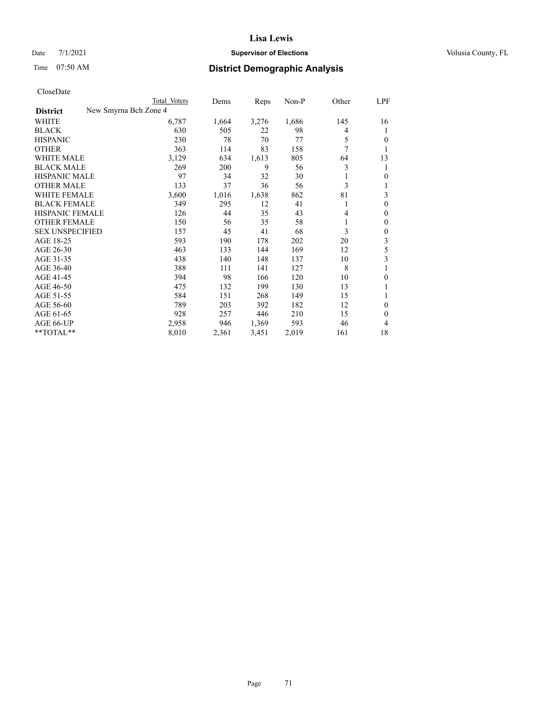# Date 7/1/2021 **Supervisor of Elections Supervisor of Elections** Volusia County, FL

|                                          | Total Voters | Dems  | Reps  | Non-P | Other | LPF            |
|------------------------------------------|--------------|-------|-------|-------|-------|----------------|
| New Smyrna Bch Zone 4<br><b>District</b> |              |       |       |       |       |                |
| WHITE                                    | 6,787        | 1,664 | 3,276 | 1,686 | 145   | 16             |
| <b>BLACK</b>                             | 630          | 505   | 22    | 98    | 4     | 1              |
| <b>HISPANIC</b>                          | 230          | 78    | 70    | 77    | 5     | 0              |
| <b>OTHER</b>                             | 363          | 114   | 83    | 158   | 7     | 1              |
| <b>WHITE MALE</b>                        | 3,129        | 634   | 1,613 | 805   | 64    | 13             |
| <b>BLACK MALE</b>                        | 269          | 200   | 9     | 56    | 3     | 1              |
| <b>HISPANIC MALE</b>                     | 97           | 34    | 32    | 30    | 1     | 0              |
| <b>OTHER MALE</b>                        | 133          | 37    | 36    | 56    | 3     |                |
| <b>WHITE FEMALE</b>                      | 3,600        | 1,016 | 1,638 | 862   | 81    | 3              |
| <b>BLACK FEMALE</b>                      | 349          | 295   | 12    | 41    | 1     | $\overline{0}$ |
| HISPANIC FEMALE                          | 126          | 44    | 35    | 43    | 4     | 0              |
| <b>OTHER FEMALE</b>                      | 150          | 56    | 35    | 58    | 1     | 0              |
| <b>SEX UNSPECIFIED</b>                   | 157          | 45    | 41    | 68    | 3     | 0              |
| AGE 18-25                                | 593          | 190   | 178   | 202   | 20    | 3              |
| AGE 26-30                                | 463          | 133   | 144   | 169   | 12    | 5              |
| AGE 31-35                                | 438          | 140   | 148   | 137   | 10    | 3              |
| AGE 36-40                                | 388          | 111   | 141   | 127   | 8     | 1              |
| AGE 41-45                                | 394          | 98    | 166   | 120   | 10    | 0              |
| AGE 46-50                                | 475          | 132   | 199   | 130   | 13    |                |
| AGE 51-55                                | 584          | 151   | 268   | 149   | 15    | 1              |
| AGE 56-60                                | 789          | 203   | 392   | 182   | 12    | 0              |
| AGE 61-65                                | 928          | 257   | 446   | 210   | 15    | 0              |
| AGE 66-UP                                | 2,958        | 946   | 1,369 | 593   | 46    | 4              |
| **TOTAL**                                | 8,010        | 2,361 | 3,451 | 2,019 | 161   | 18             |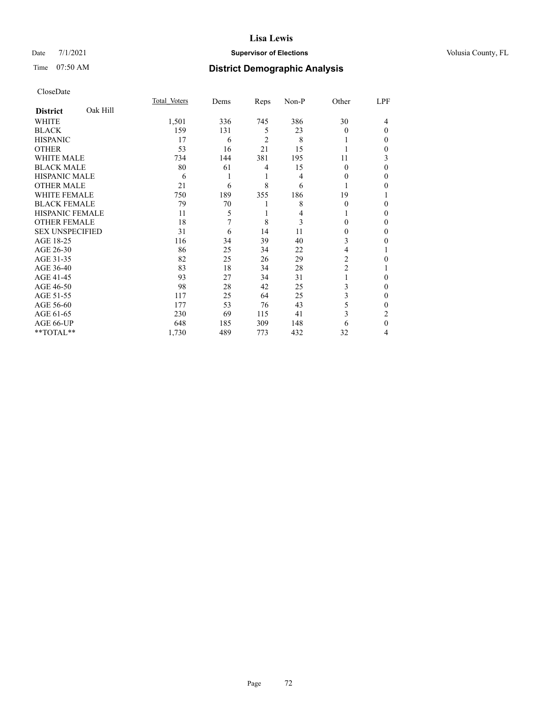# Date 7/1/2021 **Supervisor of Elections Supervisor of Elections** Volusia County, FL

# Time 07:50 AM **District Demographic Analysis**

|                        |          | Total Voters | Dems | Reps | Non-P | Other    | LPF          |
|------------------------|----------|--------------|------|------|-------|----------|--------------|
| <b>District</b>        | Oak Hill |              |      |      |       |          |              |
| WHITE                  |          | 1,501        | 336  | 745  | 386   | 30       | 4            |
| <b>BLACK</b>           |          | 159          | 131  | 5    | 23    | $\Omega$ | $\Omega$     |
| <b>HISPANIC</b>        |          | 17           | 6    | 2    | 8     |          | 0            |
| <b>OTHER</b>           |          | 53           | 16   | 21   | 15    |          | 0            |
| WHITE MALE             |          | 734          | 144  | 381  | 195   | 11       | 3            |
| <b>BLACK MALE</b>      |          | 80           | 61   | 4    | 15    | $\theta$ | $\Omega$     |
| <b>HISPANIC MALE</b>   |          | 6            | 1    | 1    | 4     | 0        | 0            |
| <b>OTHER MALE</b>      |          | 21           | 6    | 8    | 6     | 1        | 0            |
| WHITE FEMALE           |          | 750          | 189  | 355  | 186   | 19       |              |
| <b>BLACK FEMALE</b>    |          | 79           | 70   | 1    | 8     | $\Omega$ | 0            |
| <b>HISPANIC FEMALE</b> |          | 11           | 5    | 1    | 4     |          | 0            |
| <b>OTHER FEMALE</b>    |          | 18           | 7    | 8    | 3     | 0        | 0            |
| <b>SEX UNSPECIFIED</b> |          | 31           | 6    | 14   | 11    | $\Omega$ | 0            |
| AGE 18-25              |          | 116          | 34   | 39   | 40    | 3        | 0            |
| AGE 26-30              |          | 86           | 25   | 34   | 22    | 4        |              |
| AGE 31-35              |          | 82           | 25   | 26   | 29    | 2        | 0            |
| AGE 36-40              |          | 83           | 18   | 34   | 28    | 2        |              |
| AGE 41-45              |          | 93           | 27   | 34   | 31    |          | 0            |
| AGE 46-50              |          | 98           | 28   | 42   | 25    | 3        | 0            |
| AGE 51-55              |          | 117          | 25   | 64   | 25    | 3        | $\mathbf{0}$ |
| AGE 56-60              |          | 177          | 53   | 76   | 43    | 5        | 0            |
| AGE 61-65              |          | 230          | 69   | 115  | 41    | 3        | 2            |
| AGE 66-UP              |          | 648          | 185  | 309  | 148   | 6        | $\theta$     |
| **TOTAL**              |          | 1,730        | 489  | 773  | 432   | 32       | 4            |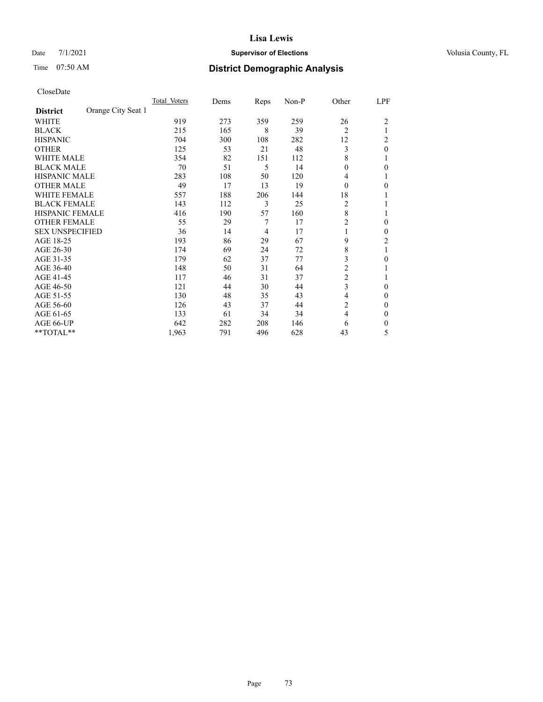# Date 7/1/2021 **Supervisor of Elections Supervisor of Elections** Volusia County, FL

# Time 07:50 AM **District Demographic Analysis**

|                        |                    | Total Voters | Dems | Reps | Non-P | Other          | LPF            |
|------------------------|--------------------|--------------|------|------|-------|----------------|----------------|
| <b>District</b>        | Orange City Seat 1 |              |      |      |       |                |                |
| WHITE                  |                    | 919          | 273  | 359  | 259   | 26             | $\overline{2}$ |
| <b>BLACK</b>           |                    | 215          | 165  | 8    | 39    | 2              |                |
| <b>HISPANIC</b>        |                    | 704          | 300  | 108  | 282   | 12             | 2              |
| <b>OTHER</b>           |                    | 125          | 53   | 21   | 48    | 3              | $\theta$       |
| WHITE MALE             |                    | 354          | 82   | 151  | 112   | 8              |                |
| <b>BLACK MALE</b>      |                    | 70           | 51   | 5    | 14    | $\Omega$       | 0              |
| HISPANIC MALE          |                    | 283          | 108  | 50   | 120   | 4              |                |
| <b>OTHER MALE</b>      |                    | 49           | 17   | 13   | 19    | $\Omega$       | 0              |
| WHITE FEMALE           |                    | 557          | 188  | 206  | 144   | 18             |                |
| <b>BLACK FEMALE</b>    |                    | 143          | 112  | 3    | 25    | 2              |                |
| <b>HISPANIC FEMALE</b> |                    | 416          | 190  | 57   | 160   | 8              |                |
| <b>OTHER FEMALE</b>    |                    | 55           | 29   | 7    | 17    | $\overline{2}$ | 0              |
| <b>SEX UNSPECIFIED</b> |                    | 36           | 14   | 4    | 17    | 1              | 0              |
| AGE 18-25              |                    | 193          | 86   | 29   | 67    | 9              | $\overline{2}$ |
| AGE 26-30              |                    | 174          | 69   | 24   | 72    | 8              | 1              |
| AGE 31-35              |                    | 179          | 62   | 37   | 77    | 3              | 0              |
| AGE 36-40              |                    | 148          | 50   | 31   | 64    | $\overline{c}$ |                |
| AGE 41-45              |                    | 117          | 46   | 31   | 37    | $\overline{c}$ |                |
| AGE 46-50              |                    | 121          | 44   | 30   | 44    | 3              | $\Omega$       |
| AGE 51-55              |                    | 130          | 48   | 35   | 43    | 4              | 0              |
| AGE 56-60              |                    | 126          | 43   | 37   | 44    | 2              | 0              |
| AGE 61-65              |                    | 133          | 61   | 34   | 34    | 4              | 0              |
| AGE 66-UP              |                    | 642          | 282  | 208  | 146   | 6              | 0              |
| **TOTAL**              |                    | 1,963        | 791  | 496  | 628   | 43             | 5              |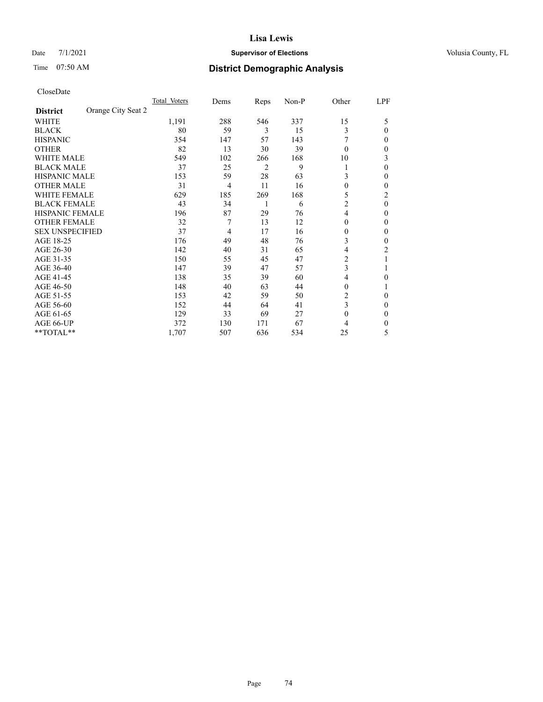# Date 7/1/2021 **Supervisor of Elections Supervisor of Elections** Volusia County, FL

# Time 07:50 AM **District Demographic Analysis**

|                        | Total Voters       | Dems           | Reps | Non-P | Other          | LPF      |
|------------------------|--------------------|----------------|------|-------|----------------|----------|
| <b>District</b>        | Orange City Seat 2 |                |      |       |                |          |
| WHITE                  | 1,191              | 288            | 546  | 337   | 15             | 5        |
| <b>BLACK</b>           | 80                 | 59             | 3    | 15    | 3              | $\Omega$ |
| <b>HISPANIC</b>        | 354                | 147            | 57   | 143   |                | 0        |
| <b>OTHER</b>           | 82                 | 13             | 30   | 39    | $\theta$       | 0        |
| WHITE MALE             | 549                | 102            | 266  | 168   | 10             | 3        |
| <b>BLACK MALE</b>      | 37                 | 25             | 2    | 9     | 1              | $\Omega$ |
| <b>HISPANIC MALE</b>   | 153                | 59             | 28   | 63    | 3              | 0        |
| <b>OTHER MALE</b>      | 31                 | $\overline{4}$ | 11   | 16    | $\mathbf{0}$   | 0        |
| <b>WHITE FEMALE</b>    | 629                | 185            | 269  | 168   | 5              | 2        |
| <b>BLACK FEMALE</b>    | 43                 | 34             | 1    | 6     | $\overline{2}$ | $\theta$ |
| <b>HISPANIC FEMALE</b> | 196                | 87             | 29   | 76    | $\overline{4}$ | 0        |
| <b>OTHER FEMALE</b>    | 32                 | 7              | 13   | 12    | $\theta$       | 0        |
| <b>SEX UNSPECIFIED</b> | 37                 | 4              | 17   | 16    | $\theta$       | 0        |
| AGE 18-25              | 176                | 49             | 48   | 76    | 3              | 0        |
| AGE 26-30              | 142                | 40             | 31   | 65    | 4              | 2        |
| AGE 31-35              | 150                | 55             | 45   | 47    | 2              |          |
| AGE 36-40              | 147                | 39             | 47   | 57    | 3              |          |
| AGE 41-45              | 138                | 35             | 39   | 60    | $\overline{4}$ | 0        |
| AGE 46-50              | 148                | 40             | 63   | 44    | $\theta$       |          |
| AGE 51-55              | 153                | 42             | 59   | 50    | 2              | 0        |
| AGE 56-60              | 152                | 44             | 64   | 41    | 3              | 0        |
| AGE 61-65              | 129                | 33             | 69   | 27    | $\mathbf{0}$   | 0        |
| AGE 66-UP              | 372                | 130            | 171  | 67    | 4              | 0        |
| **TOTAL**              | 1,707              | 507            | 636  | 534   | 25             | 5        |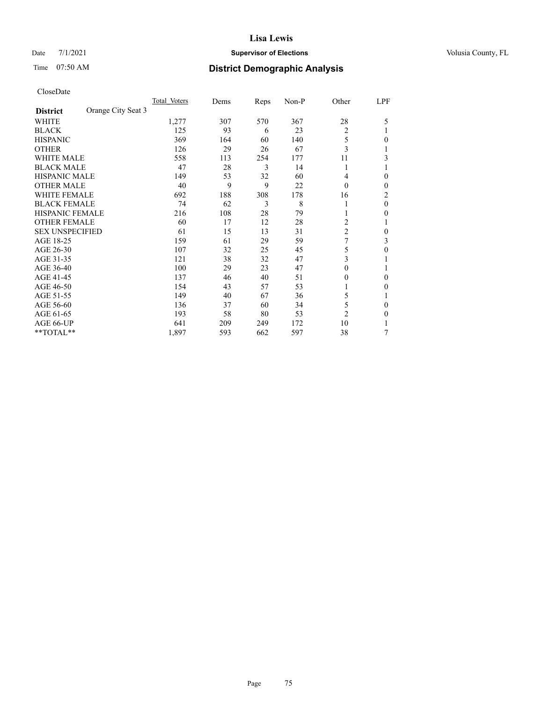# Date 7/1/2021 **Supervisor of Elections Supervisor of Elections** Volusia County, FL

# Time 07:50 AM **District Demographic Analysis**

|                        |                    | Total Voters | Dems | Reps | Non-P | Other          | LPF            |
|------------------------|--------------------|--------------|------|------|-------|----------------|----------------|
| <b>District</b>        | Orange City Seat 3 |              |      |      |       |                |                |
| WHITE                  |                    | 1,277        | 307  | 570  | 367   | 28             | 5              |
| <b>BLACK</b>           |                    | 125          | 93   | 6    | 23    | $\overline{2}$ |                |
| <b>HISPANIC</b>        |                    | 369          | 164  | 60   | 140   | 5              | 0              |
| <b>OTHER</b>           |                    | 126          | 29   | 26   | 67    | 3              |                |
| <b>WHITE MALE</b>      |                    | 558          | 113  | 254  | 177   | 11             | 3              |
| <b>BLACK MALE</b>      |                    | 47           | 28   | 3    | 14    | 1              |                |
| <b>HISPANIC MALE</b>   |                    | 149          | 53   | 32   | 60    | 4              | 0              |
| <b>OTHER MALE</b>      |                    | 40           | 9    | 9    | 22    | $\Omega$       | $\mathbf{0}$   |
| WHITE FEMALE           |                    | 692          | 188  | 308  | 178   | 16             | $\overline{2}$ |
| <b>BLACK FEMALE</b>    |                    | 74           | 62   | 3    | 8     |                | $\theta$       |
| <b>HISPANIC FEMALE</b> |                    | 216          | 108  | 28   | 79    |                | 0              |
| <b>OTHER FEMALE</b>    |                    | 60           | 17   | 12   | 28    | 2              |                |
| <b>SEX UNSPECIFIED</b> |                    | 61           | 15   | 13   | 31    | $\overline{c}$ | 0              |
| AGE 18-25              |                    | 159          | 61   | 29   | 59    | 7              | 3              |
| AGE 26-30              |                    | 107          | 32   | 25   | 45    | 5              | $\theta$       |
| AGE 31-35              |                    | 121          | 38   | 32   | 47    | 3              |                |
| AGE 36-40              |                    | 100          | 29   | 23   | 47    | 0              |                |
| AGE 41-45              |                    | 137          | 46   | 40   | 51    | 0              | $\Omega$       |
| AGE 46-50              |                    | 154          | 43   | 57   | 53    |                | $\Omega$       |
| AGE 51-55              |                    | 149          | 40   | 67   | 36    | 5              |                |
| AGE 56-60              |                    | 136          | 37   | 60   | 34    | 5              | $\theta$       |
| AGE 61-65              |                    | 193          | 58   | 80   | 53    | $\overline{2}$ | $\theta$       |
| AGE 66-UP              |                    | 641          | 209  | 249  | 172   | 10             |                |
| **TOTAL**              |                    | 1,897        | 593  | 662  | 597   | 38             | 7              |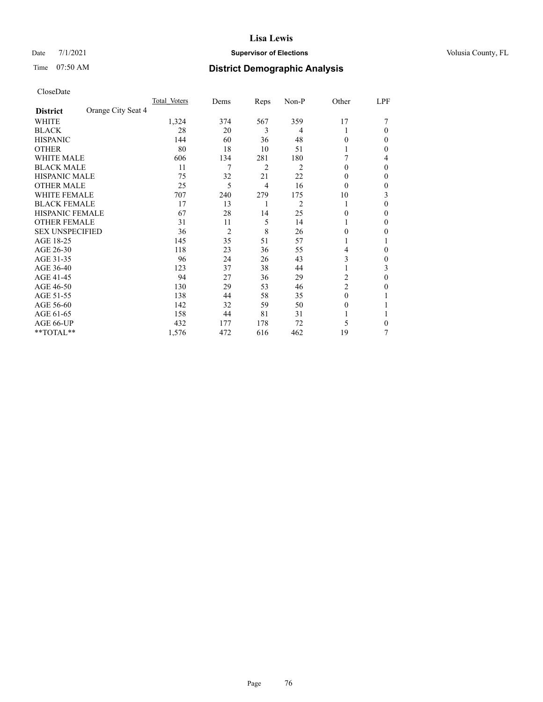# Date 7/1/2021 **Supervisor of Elections Supervisor of Elections** Volusia County, FL

# Time 07:50 AM **District Demographic Analysis**

|                        |                    | Total Voters | Dems           | Reps | Non-P          | Other          | LPF    |
|------------------------|--------------------|--------------|----------------|------|----------------|----------------|--------|
| <b>District</b>        | Orange City Seat 4 |              |                |      |                |                |        |
| WHITE                  |                    | 1,324        | 374            | 567  | 359            | 17             |        |
| <b>BLACK</b>           |                    | 28           | 20             | 3    | 4              |                | 0      |
| <b>HISPANIC</b>        |                    | 144          | 60             | 36   | 48             | 0              | $_{0}$ |
| <b>OTHER</b>           |                    | 80           | 18             | 10   | 51             |                | 0      |
| <b>WHITE MALE</b>      |                    | 606          | 134            | 281  | 180            |                | 4      |
| <b>BLACK MALE</b>      |                    | 11           | 7              | 2    | $\overline{c}$ | $\theta$       | 0      |
| <b>HISPANIC MALE</b>   |                    | 75           | 32             | 21   | 22             | $_{0}$         | 0      |
| <b>OTHER MALE</b>      |                    | 25           | 5              | 4    | 16             | $\theta$       | 0      |
| WHITE FEMALE           |                    | 707          | 240            | 279  | 175            | 10             | 3      |
| <b>BLACK FEMALE</b>    |                    | 17           | 13             | 1    | $\overline{c}$ |                | 0      |
| <b>HISPANIC FEMALE</b> |                    | 67           | 28             | 14   | 25             | 0              | 0      |
| <b>OTHER FEMALE</b>    |                    | 31           | 11             | 5    | 14             |                | 0      |
| <b>SEX UNSPECIFIED</b> |                    | 36           | $\overline{2}$ | 8    | 26             | 0              | 0      |
| AGE 18-25              |                    | 145          | 35             | 51   | 57             |                |        |
| AGE 26-30              |                    | 118          | 23             | 36   | 55             | 4              | 0      |
| AGE 31-35              |                    | 96           | 24             | 26   | 43             | 3              | 0      |
| AGE 36-40              |                    | 123          | 37             | 38   | 44             |                | 3      |
| AGE 41-45              |                    | 94           | 27             | 36   | 29             | 2              | 0      |
| AGE 46-50              |                    | 130          | 29             | 53   | 46             | $\overline{2}$ | 0      |
| AGE 51-55              |                    | 138          | 44             | 58   | 35             | $\Omega$       |        |
| AGE 56-60              |                    | 142          | 32             | 59   | 50             | $\theta$       |        |
| AGE 61-65              |                    | 158          | 44             | 81   | 31             |                |        |
| AGE 66-UP              |                    | 432          | 177            | 178  | 72             | 5              | 0      |
| **TOTAL**              |                    | 1,576        | 472            | 616  | 462            | 19             | 7      |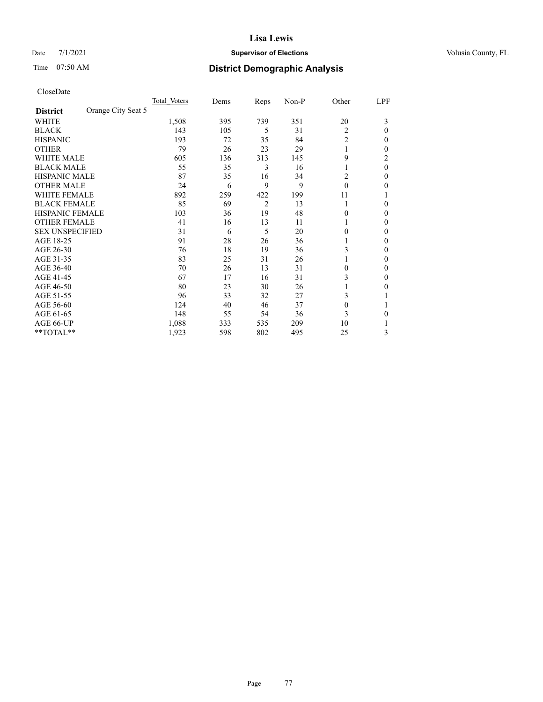# Date 7/1/2021 **Supervisor of Elections Supervisor of Elections** Volusia County, FL

# Time 07:50 AM **District Demographic Analysis**

|                        |                    | Total Voters | Dems | Reps           | Non-P | Other    | LPF      |
|------------------------|--------------------|--------------|------|----------------|-------|----------|----------|
| <b>District</b>        | Orange City Seat 5 |              |      |                |       |          |          |
| WHITE                  |                    | 1,508        | 395  | 739            | 351   | 20       | 3        |
| <b>BLACK</b>           |                    | 143          | 105  | 5              | 31    | 2        | 0        |
| <b>HISPANIC</b>        |                    | 193          | 72   | 35             | 84    | 2        | 0        |
| <b>OTHER</b>           |                    | 79           | 26   | 23             | 29    |          | 0        |
| WHITE MALE             |                    | 605          | 136  | 313            | 145   | 9        | 2        |
| <b>BLACK MALE</b>      |                    | 55           | 35   | 3              | 16    | 1        | $\theta$ |
| <b>HISPANIC MALE</b>   |                    | 87           | 35   | 16             | 34    | 2        | 0        |
| <b>OTHER MALE</b>      |                    | 24           | 6    | 9              | 9     | $\Omega$ | 0        |
| WHITE FEMALE           |                    | 892          | 259  | 422            | 199   | 11       |          |
| <b>BLACK FEMALE</b>    |                    | 85           | 69   | $\overline{2}$ | 13    | 1        | 0        |
| <b>HISPANIC FEMALE</b> |                    | 103          | 36   | 19             | 48    | $\Omega$ | 0        |
| <b>OTHER FEMALE</b>    |                    | 41           | 16   | 13             | 11    | 1        | 0        |
| <b>SEX UNSPECIFIED</b> |                    | 31           | 6    | 5              | 20    | 0        | 0        |
| AGE 18-25              |                    | 91           | 28   | 26             | 36    |          | 0        |
| AGE 26-30              |                    | 76           | 18   | 19             | 36    | 3        | 0        |
| AGE 31-35              |                    | 83           | 25   | 31             | 26    |          | 0        |
| AGE 36-40              |                    | 70           | 26   | 13             | 31    | $\theta$ | 0        |
| AGE 41-45              |                    | 67           | 17   | 16             | 31    | 3        | 0        |
| AGE 46-50              |                    | 80           | 23   | 30             | 26    |          | 0        |
| AGE 51-55              |                    | 96           | 33   | 32             | 27    | 3        |          |
| AGE 56-60              |                    | 124          | 40   | 46             | 37    | $\Omega$ |          |
| AGE 61-65              |                    | 148          | 55   | 54             | 36    | 3        | 0        |
| AGE 66-UP              |                    | 1,088        | 333  | 535            | 209   | 10       |          |
| **TOTAL**              |                    | 1,923        | 598  | 802            | 495   | 25       | 3        |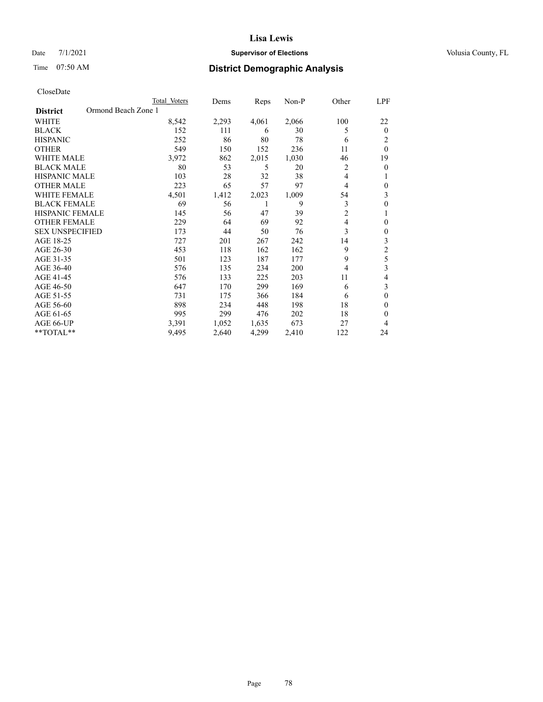# Date 7/1/2021 **Supervisor of Elections Supervisor of Elections** Volusia County, FL

# Time 07:50 AM **District Demographic Analysis**

| Total Voters | Dems                | Reps  | Non-P | Other          | <u>LPF</u>     |
|--------------|---------------------|-------|-------|----------------|----------------|
|              |                     |       |       |                |                |
| 8,542        | 2,293               | 4,061 | 2,066 | 100            | 22             |
| 152          | 111                 | 6     | 30    | 5              | $\theta$       |
| 252          | 86                  | 80    | 78    | 6              | 2              |
| 549          | 150                 | 152   | 236   | 11             | $\theta$       |
| 3,972        | 862                 | 2,015 | 1,030 | 46             | 19             |
| 80           | 53                  | 5     | 20    | 2              | $\theta$       |
| 103          | 28                  | 32    | 38    | 4              | 1              |
| 223          | 65                  | 57    | 97    | 4              | $\mathbf{0}$   |
| 4,501        | 1,412               | 2,023 | 1,009 | 54             | 3              |
| 69           | 56                  | 1     | 9     | 3              | $\mathbf{0}$   |
| 145          | 56                  | 47    | 39    | $\overline{2}$ | 1              |
| 229          | 64                  | 69    | 92    | 4              | $\mathbf{0}$   |
| 173          | 44                  | 50    | 76    | 3              | $\mathbf{0}$   |
| 727          | 201                 | 267   | 242   | 14             | 3              |
| 453          | 118                 | 162   | 162   | 9              | $\overline{c}$ |
| 501          | 123                 | 187   | 177   | 9              | 5              |
| 576          | 135                 | 234   | 200   | 4              | 3              |
| 576          | 133                 | 225   | 203   | 11             | 4              |
| 647          | 170                 | 299   | 169   | 6              | 3              |
| 731          | 175                 | 366   | 184   | 6              | $\mathbf{0}$   |
| 898          | 234                 | 448   | 198   | 18             | $\theta$       |
| 995          | 299                 | 476   | 202   | 18             | $\theta$       |
| 3,391        | 1,052               | 1,635 | 673   | 27             | 4              |
| 9,495        | 2,640               | 4,299 | 2,410 | 122            | 24             |
|              | Ormond Beach Zone 1 |       |       |                |                |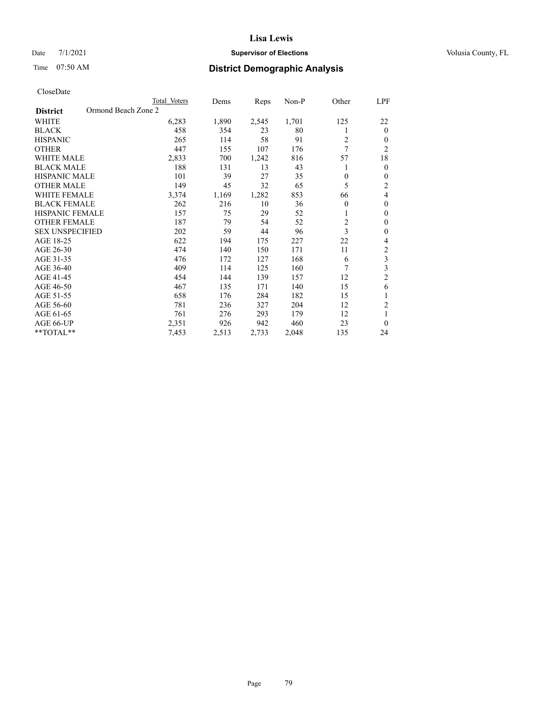# Date 7/1/2021 **Supervisor of Elections Supervisor of Elections** Volusia County, FL

# Time 07:50 AM **District Demographic Analysis**

|                                        | Total Voters | Dems  | Reps  | $Non-P$ | Other          | LPF                     |
|----------------------------------------|--------------|-------|-------|---------|----------------|-------------------------|
| Ormond Beach Zone 2<br><b>District</b> |              |       |       |         |                |                         |
| <b>WHITE</b>                           | 6,283        | 1,890 | 2,545 | 1,701   | 125            | 22                      |
| <b>BLACK</b>                           | 458          | 354   | 23    | 80      | 1              | $\theta$                |
| <b>HISPANIC</b>                        | 265          | 114   | 58    | 91      | $\overline{c}$ | $\theta$                |
| <b>OTHER</b>                           | 447          | 155   | 107   | 176     | 7              | $\overline{2}$          |
| <b>WHITE MALE</b>                      | 2,833        | 700   | 1,242 | 816     | 57             | 18                      |
| <b>BLACK MALE</b>                      | 188          | 131   | 13    | 43      |                | $\mathbf{0}$            |
| <b>HISPANIC MALE</b>                   | 101          | 39    | 27    | 35      | $\mathbf{0}$   | $\theta$                |
| <b>OTHER MALE</b>                      | 149          | 45    | 32    | 65      | 5              | 2                       |
| <b>WHITE FEMALE</b>                    | 3,374        | 1,169 | 1,282 | 853     | 66             | 4                       |
| <b>BLACK FEMALE</b>                    | 262          | 216   | 10    | 36      | $\theta$       | $\theta$                |
| <b>HISPANIC FEMALE</b>                 | 157          | 75    | 29    | 52      | 1              | $\theta$                |
| <b>OTHER FEMALE</b>                    | 187          | 79    | 54    | 52      | $\overline{c}$ | $\theta$                |
| <b>SEX UNSPECIFIED</b>                 | 202          | 59    | 44    | 96      | 3              | $\theta$                |
| AGE 18-25                              | 622          | 194   | 175   | 227     | 22             | 4                       |
| AGE 26-30                              | 474          | 140   | 150   | 171     | 11             | 2                       |
| AGE 31-35                              | 476          | 172   | 127   | 168     | 6              | 3                       |
| AGE 36-40                              | 409          | 114   | 125   | 160     | 7              | $\overline{\mathbf{3}}$ |
| AGE 41-45                              | 454          | 144   | 139   | 157     | 12             | $\overline{2}$          |
| AGE 46-50                              | 467          | 135   | 171   | 140     | 15             | 6                       |
| AGE 51-55                              | 658          | 176   | 284   | 182     | 15             | 1                       |
| AGE 56-60                              | 781          | 236   | 327   | 204     | 12             | 2                       |
| AGE 61-65                              | 761          | 276   | 293   | 179     | 12             | 1                       |
| AGE 66-UP                              | 2,351        | 926   | 942   | 460     | 23             | $\theta$                |
| $*$ $TOTAL**$                          | 7,453        | 2,513 | 2,733 | 2,048   | 135            | 24                      |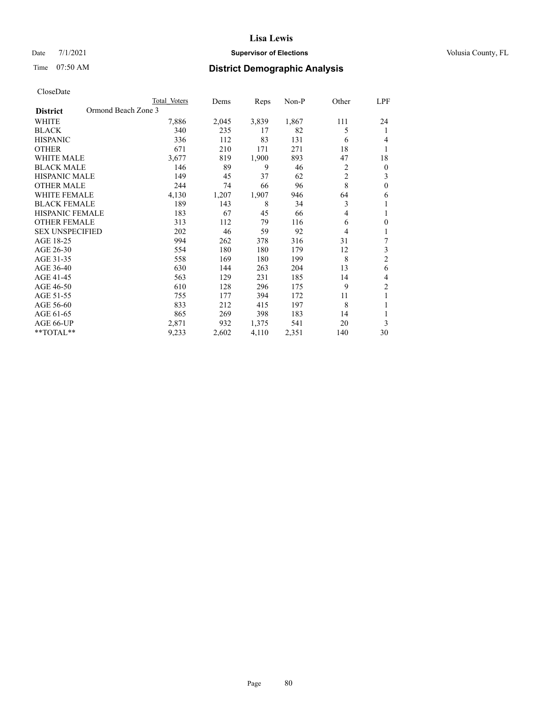# Date 7/1/2021 **Supervisor of Elections Supervisor of Elections** Volusia County, FL

# Time 07:50 AM **District Demographic Analysis**

| CloseDate |
|-----------|
|-----------|

|                                        | Total Voters | Dems  | Reps  | Non-P | Other | LPF              |
|----------------------------------------|--------------|-------|-------|-------|-------|------------------|
| Ormond Beach Zone 3<br><b>District</b> |              |       |       |       |       |                  |
| WHITE                                  | 7,886        | 2,045 | 3,839 | 1,867 | 111   | 24               |
| <b>BLACK</b>                           | 340          | 235   | 17    | 82    | 5     | 1                |
| <b>HISPANIC</b>                        | 336          | 112   | 83    | 131   | 6     | 4                |
| <b>OTHER</b>                           | 671          | 210   | 171   | 271   | 18    | 1                |
| <b>WHITE MALE</b>                      | 3,677        | 819   | 1,900 | 893   | 47    | 18               |
| <b>BLACK MALE</b>                      | 146          | 89    | 9     | 46    | 2     | $\boldsymbol{0}$ |
| <b>HISPANIC MALE</b>                   | 149          | 45    | 37    | 62    | 2     | 3                |
| <b>OTHER MALE</b>                      | 244          | 74    | 66    | 96    | 8     | $\boldsymbol{0}$ |
| <b>WHITE FEMALE</b>                    | 4,130        | 1,207 | 1,907 | 946   | 64    | 6                |
| <b>BLACK FEMALE</b>                    | 189          | 143   | 8     | 34    | 3     | 1                |
| HISPANIC FEMALE                        | 183          | 67    | 45    | 66    | 4     | 1                |
| <b>OTHER FEMALE</b>                    | 313          | 112   | 79    | 116   | 6     | $\theta$         |
| <b>SEX UNSPECIFIED</b>                 | 202          | 46    | 59    | 92    | 4     | 1                |
| AGE 18-25                              | 994          | 262   | 378   | 316   | 31    | 7                |
| AGE 26-30                              | 554          | 180   | 180   | 179   | 12    | 3                |
| AGE 31-35                              | 558          | 169   | 180   | 199   | 8     | $\overline{c}$   |
| AGE 36-40                              | 630          | 144   | 263   | 204   | 13    | 6                |
| AGE 41-45                              | 563          | 129   | 231   | 185   | 14    | 4                |
| AGE 46-50                              | 610          | 128   | 296   | 175   | 9     | $\overline{2}$   |
| AGE 51-55                              | 755          | 177   | 394   | 172   | 11    | 1                |
| AGE 56-60                              | 833          | 212   | 415   | 197   | 8     | 1                |
| AGE 61-65                              | 865          | 269   | 398   | 183   | 14    | 1                |
| AGE 66-UP                              | 2,871        | 932   | 1,375 | 541   | 20    | 3                |
| **TOTAL**                              | 9,233        | 2,602 | 4,110 | 2,351 | 140   | 30               |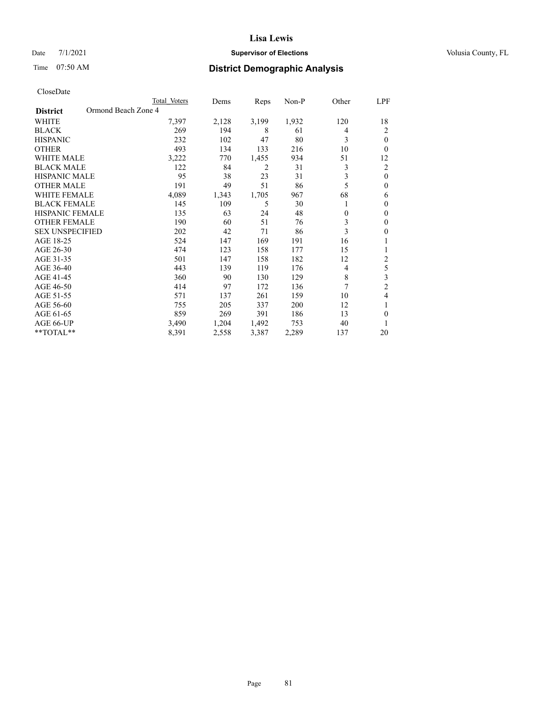# Date 7/1/2021 **Supervisor of Elections Supervisor of Elections** Volusia County, FL

# Time 07:50 AM **District Demographic Analysis**

|                                        | Total Voters | Dems  | Reps  | $Non-P$ | Other          | LPF            |
|----------------------------------------|--------------|-------|-------|---------|----------------|----------------|
| Ormond Beach Zone 4<br><b>District</b> |              |       |       |         |                |                |
| <b>WHITE</b>                           | 7,397        | 2,128 | 3,199 | 1,932   | 120            | 18             |
| <b>BLACK</b>                           | 269          | 194   | 8     | 61      | 4              | $\overline{2}$ |
| <b>HISPANIC</b>                        | 232          | 102   | 47    | 80      | 3              | $\theta$       |
| <b>OTHER</b>                           | 493          | 134   | 133   | 216     | 10             | $\Omega$       |
| <b>WHITE MALE</b>                      | 3,222        | 770   | 1,455 | 934     | 51             | 12             |
| <b>BLACK MALE</b>                      | 122          | 84    | 2     | 31      | 3              | $\overline{c}$ |
| <b>HISPANIC MALE</b>                   | 95           | 38    | 23    | 31      | 3              | $\theta$       |
| <b>OTHER MALE</b>                      | 191          | 49    | 51    | 86      | 5              | $\theta$       |
| <b>WHITE FEMALE</b>                    | 4,089        | 1,343 | 1,705 | 967     | 68             | 6              |
| <b>BLACK FEMALE</b>                    | 145          | 109   | 5     | 30      | 1              | $\theta$       |
| <b>HISPANIC FEMALE</b>                 | 135          | 63    | 24    | 48      | $\mathbf{0}$   | $\theta$       |
| OTHER FEMALE                           | 190          | 60    | 51    | 76      | 3              | $\theta$       |
| <b>SEX UNSPECIFIED</b>                 | 202          | 42    | 71    | 86      | 3              | $\theta$       |
| AGE 18-25                              | 524          | 147   | 169   | 191     | 16             |                |
| AGE 26-30                              | 474          | 123   | 158   | 177     | 15             | 1              |
| AGE 31-35                              | 501          | 147   | 158   | 182     | 12             | $\overline{c}$ |
| AGE 36-40                              | 443          | 139   | 119   | 176     | $\overline{4}$ | 5              |
| AGE 41-45                              | 360          | 90    | 130   | 129     | 8              | 3              |
| AGE 46-50                              | 414          | 97    | 172   | 136     | 7              | $\overline{2}$ |
| AGE 51-55                              | 571          | 137   | 261   | 159     | 10             | 4              |
| AGE 56-60                              | 755          | 205   | 337   | 200     | 12             | 1              |
| AGE 61-65                              | 859          | 269   | 391   | 186     | 13             | $\theta$       |
| AGE 66-UP                              | 3,490        | 1,204 | 1,492 | 753     | 40             | 1              |
| $*$ $TOTAL**$                          | 8,391        | 2,558 | 3,387 | 2,289   | 137            | 20             |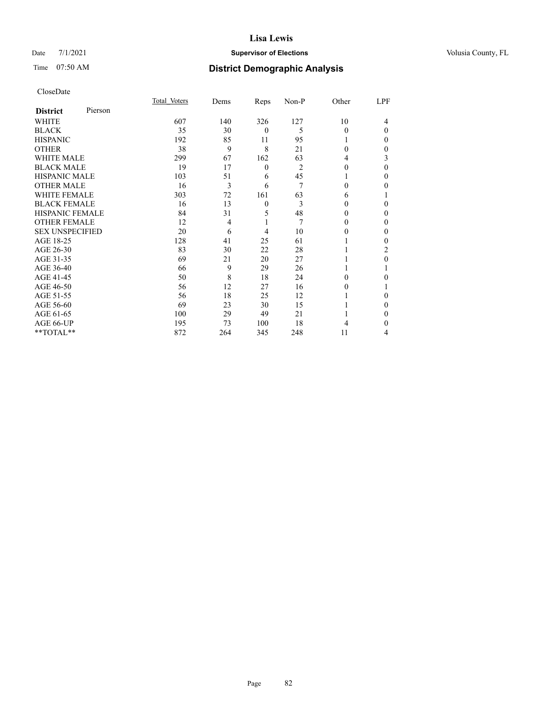# Date 7/1/2021 **Supervisor of Elections Supervisor of Elections** Volusia County, FL

# Time 07:50 AM **District Demographic Analysis**

| CloseDate |
|-----------|
|-----------|

|                        |         | Total Voters | Dems           | Reps             | Non-P | Other | LPF      |
|------------------------|---------|--------------|----------------|------------------|-------|-------|----------|
| <b>District</b>        | Pierson |              |                |                  |       |       |          |
| WHITE                  |         | 607          | 140            | 326              | 127   | 10    | 4        |
| <b>BLACK</b>           |         | 35           | 30             | $\mathbf{0}$     | 5     | 0     | $\Omega$ |
| <b>HISPANIC</b>        |         | 192          | 85             | 11               | 95    |       | 0        |
| <b>OTHER</b>           |         | 38           | 9              | 8                | 21    | 0     | 0        |
| <b>WHITE MALE</b>      |         | 299          | 67             | 162              | 63    | 4     | 3        |
| <b>BLACK MALE</b>      |         | 19           | 17             | $\boldsymbol{0}$ | 2     | 0     | $\Omega$ |
| <b>HISPANIC MALE</b>   |         | 103          | 51             | 6                | 45    |       | 0        |
| <b>OTHER MALE</b>      |         | 16           | 3              | 6                | 7     | 0     | 0        |
| <b>WHITE FEMALE</b>    |         | 303          | 72             | 161              | 63    | 6     |          |
| <b>BLACK FEMALE</b>    |         | 16           | 13             | $\theta$         | 3     | 0     | 0        |
| <b>HISPANIC FEMALE</b> |         | 84           | 31             | 5                | 48    | 0     | 0        |
| <b>OTHER FEMALE</b>    |         | 12           | $\overline{4}$ |                  | 7     | 0     | 0        |
| <b>SEX UNSPECIFIED</b> |         | 20           | 6              | 4                | 10    | 0     | 0        |
| AGE 18-25              |         | 128          | 41             | 25               | 61    |       | 0        |
| AGE 26-30              |         | 83           | 30             | 22               | 28    |       | 2        |
| AGE 31-35              |         | 69           | 21             | 20               | 27    |       | 0        |
| AGE 36-40              |         | 66           | 9              | 29               | 26    |       |          |
| AGE 41-45              |         | 50           | 8              | 18               | 24    | 0     | 0        |
| AGE 46-50              |         | 56           | 12             | 27               | 16    | 0     |          |
| AGE 51-55              |         | 56           | 18             | 25               | 12    |       | 0        |
| AGE 56-60              |         | 69           | 23             | 30               | 15    |       | 0        |
| AGE 61-65              |         | 100          | 29             | 49               | 21    |       | 0        |
| AGE 66-UP              |         | 195          | 73             | 100              | 18    |       | 0        |
| **TOTAL**              |         | 872          | 264            | 345              | 248   | 11    | 4        |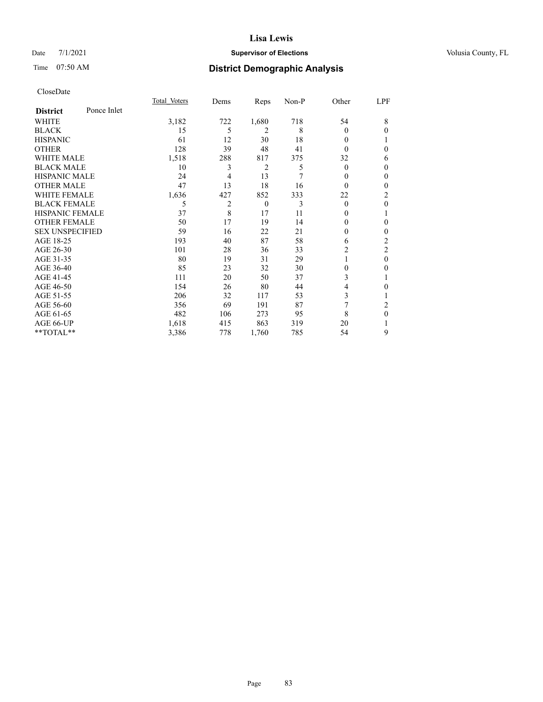# Date 7/1/2021 **Supervisor of Elections Supervisor of Elections** Volusia County, FL

# Time 07:50 AM **District Demographic Analysis**

|                        |             | Total Voters | Dems | Reps           | Non-P | Other    | LPF            |
|------------------------|-------------|--------------|------|----------------|-------|----------|----------------|
| <b>District</b>        | Ponce Inlet |              |      |                |       |          |                |
| WHITE                  |             | 3,182        | 722  | 1,680          | 718   | 54       | 8              |
| <b>BLACK</b>           |             | 15           | 5    | 2              | 8     | $\Omega$ | $\Omega$       |
| <b>HISPANIC</b>        |             | 61           | 12   | 30             | 18    | $\Omega$ |                |
| <b>OTHER</b>           |             | 128          | 39   | 48             | 41    | $\Omega$ | 0              |
| WHITE MALE             |             | 1,518        | 288  | 817            | 375   | 32       | 6              |
| <b>BLACK MALE</b>      |             | 10           | 3    | $\overline{2}$ | 5     | $\Omega$ | $\Omega$       |
| <b>HISPANIC MALE</b>   |             | 24           | 4    | 13             | 7     | 0        | $\mathbf{0}$   |
| <b>OTHER MALE</b>      |             | 47           | 13   | 18             | 16    | $\Omega$ | $\Omega$       |
| WHITE FEMALE           |             | 1,636        | 427  | 852            | 333   | 22       | $\overline{2}$ |
| <b>BLACK FEMALE</b>    |             | 5            | 2    | $\theta$       | 3     | $\theta$ | $\theta$       |
| <b>HISPANIC FEMALE</b> |             | 37           | 8    | 17             | 11    | 0        |                |
| <b>OTHER FEMALE</b>    |             | 50           | 17   | 19             | 14    | $\Omega$ | 0              |
| <b>SEX UNSPECIFIED</b> |             | 59           | 16   | 22             | 21    | 0        | $\theta$       |
| AGE 18-25              |             | 193          | 40   | 87             | 58    | 6        | $\overline{c}$ |
| AGE 26-30              |             | 101          | 28   | 36             | 33    | 2        | 2              |
| AGE 31-35              |             | 80           | 19   | 31             | 29    |          | $\theta$       |
| AGE 36-40              |             | 85           | 23   | 32             | 30    | 0        | 0              |
| AGE 41-45              |             | 111          | 20   | 50             | 37    | 3        |                |
| AGE 46-50              |             | 154          | 26   | 80             | 44    | 4        | 0              |
| AGE 51-55              |             | 206          | 32   | 117            | 53    | 3        |                |
| AGE 56-60              |             | 356          | 69   | 191            | 87    | 7        | 2              |
| AGE 61-65              |             | 482          | 106  | 273            | 95    | 8        | $\theta$       |
| AGE 66-UP              |             | 1,618        | 415  | 863            | 319   | 20       |                |
| **TOTAL**              |             | 3,386        | 778  | 1,760          | 785   | 54       | 9              |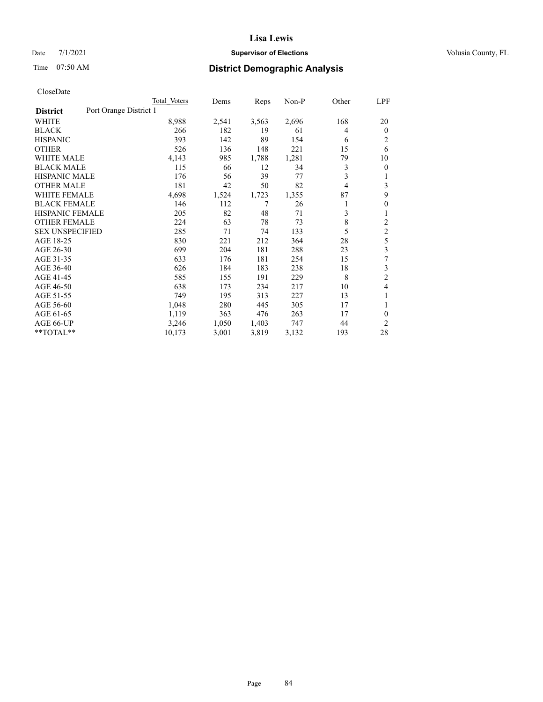# Date 7/1/2021 **Supervisor of Elections Supervisor of Elections** Volusia County, FL

# Time 07:50 AM **District Demographic Analysis**

|                                           | Total Voters | Dems  | Reps  | $Non-P$ | Other | LPF            |
|-------------------------------------------|--------------|-------|-------|---------|-------|----------------|
| Port Orange District 1<br><b>District</b> |              |       |       |         |       |                |
| WHITE                                     | 8,988        | 2,541 | 3,563 | 2,696   | 168   | 20             |
| <b>BLACK</b>                              | 266          | 182   | 19    | 61      | 4     | $\mathbf{0}$   |
| <b>HISPANIC</b>                           | 393          | 142   | 89    | 154     | 6     | 2              |
| <b>OTHER</b>                              | 526          | 136   | 148   | 221     | 15    | 6              |
| <b>WHITE MALE</b>                         | 4,143        | 985   | 1,788 | 1,281   | 79    | 10             |
| <b>BLACK MALE</b>                         | 115          | 66    | 12    | 34      | 3     | $\theta$       |
| <b>HISPANIC MALE</b>                      | 176          | 56    | 39    | 77      | 3     | 1              |
| <b>OTHER MALE</b>                         | 181          | 42    | 50    | 82      | 4     | 3              |
| <b>WHITE FEMALE</b>                       | 4,698        | 1,524 | 1,723 | 1,355   | 87    | 9              |
| <b>BLACK FEMALE</b>                       | 146          | 112   | 7     | 26      |       | $\theta$       |
| <b>HISPANIC FEMALE</b>                    | 205          | 82    | 48    | 71      | 3     | 1              |
| <b>OTHER FEMALE</b>                       | 224          | 63    | 78    | 73      | 8     | 2              |
| <b>SEX UNSPECIFIED</b>                    | 285          | 71    | 74    | 133     | 5     | 2              |
| AGE 18-25                                 | 830          | 221   | 212   | 364     | 28    | 5              |
| AGE 26-30                                 | 699          | 204   | 181   | 288     | 23    | 3              |
| AGE 31-35                                 | 633          | 176   | 181   | 254     | 15    | 7              |
| AGE 36-40                                 | 626          | 184   | 183   | 238     | 18    | 3              |
| AGE 41-45                                 | 585          | 155   | 191   | 229     | 8     | $\overline{2}$ |
| AGE 46-50                                 | 638          | 173   | 234   | 217     | 10    | 4              |
| AGE 51-55                                 | 749          | 195   | 313   | 227     | 13    | 1              |
| AGE 56-60                                 | 1,048        | 280   | 445   | 305     | 17    | 1              |
| AGE 61-65                                 | 1,119        | 363   | 476   | 263     | 17    | 0              |
| AGE 66-UP                                 | 3,246        | 1,050 | 1,403 | 747     | 44    | $\overline{2}$ |
| **TOTAL**                                 | 10,173       | 3,001 | 3,819 | 3,132   | 193   | 28             |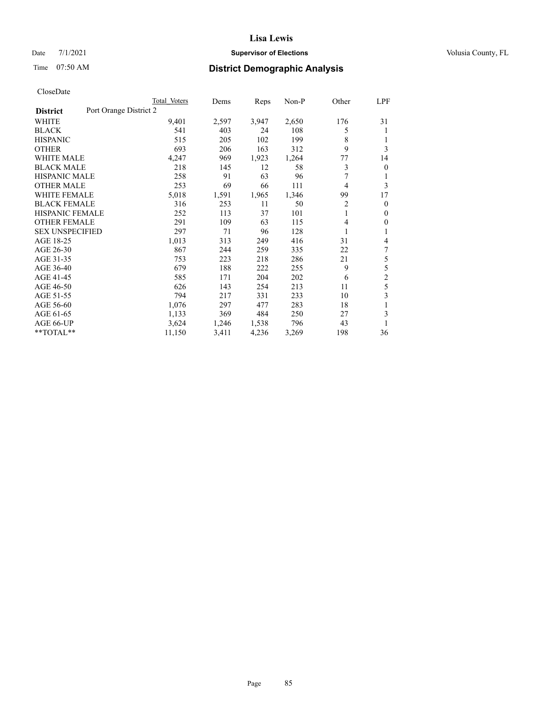# Date 7/1/2021 **Supervisor of Elections Supervisor of Elections** Volusia County, FL

# Time 07:50 AM **District Demographic Analysis**

|                        |                        | Total Voters | Dems  | Reps  | Non-P | Other | LPF            |
|------------------------|------------------------|--------------|-------|-------|-------|-------|----------------|
| <b>District</b>        | Port Orange District 2 |              |       |       |       |       |                |
| WHITE                  |                        | 9,401        | 2,597 | 3,947 | 2,650 | 176   | 31             |
| <b>BLACK</b>           |                        | 541          | 403   | 24    | 108   | 5     | 1              |
| <b>HISPANIC</b>        |                        | 515          | 205   | 102   | 199   | 8     | 1              |
| <b>OTHER</b>           |                        | 693          | 206   | 163   | 312   | 9     | 3              |
| <b>WHITE MALE</b>      |                        | 4,247        | 969   | 1,923 | 1,264 | 77    | 14             |
| <b>BLACK MALE</b>      |                        | 218          | 145   | 12    | 58    | 3     | $\mathbf{0}$   |
| <b>HISPANIC MALE</b>   |                        | 258          | 91    | 63    | 96    | 7     | 1              |
| <b>OTHER MALE</b>      |                        | 253          | 69    | 66    | 111   | 4     | 3              |
| WHITE FEMALE           |                        | 5,018        | 1,591 | 1,965 | 1,346 | 99    | 17             |
| <b>BLACK FEMALE</b>    |                        | 316          | 253   | 11    | 50    | 2     | $\mathbf{0}$   |
| <b>HISPANIC FEMALE</b> |                        | 252          | 113   | 37    | 101   | 1     | $\mathbf{0}$   |
| <b>OTHER FEMALE</b>    |                        | 291          | 109   | 63    | 115   | 4     | $\mathbf{0}$   |
| <b>SEX UNSPECIFIED</b> |                        | 297          | 71    | 96    | 128   | 1     | 1              |
| AGE 18-25              |                        | 1,013        | 313   | 249   | 416   | 31    | 4              |
| AGE 26-30              |                        | 867          | 244   | 259   | 335   | 22    | 7              |
| AGE 31-35              |                        | 753          | 223   | 218   | 286   | 21    | 5              |
| AGE 36-40              |                        | 679          | 188   | 222   | 255   | 9     | 5              |
| AGE 41-45              |                        | 585          | 171   | 204   | 202   | 6     | $\overline{c}$ |
| AGE 46-50              |                        | 626          | 143   | 254   | 213   | 11    | 5              |
| AGE 51-55              |                        | 794          | 217   | 331   | 233   | 10    | 3              |
| AGE 56-60              |                        | 1,076        | 297   | 477   | 283   | 18    | 1              |
| AGE 61-65              |                        | 1,133        | 369   | 484   | 250   | 27    | 3              |
| AGE 66-UP              |                        | 3,624        | 1,246 | 1,538 | 796   | 43    |                |
| **TOTAL**              |                        | 11,150       | 3,411 | 4,236 | 3,269 | 198   | 36             |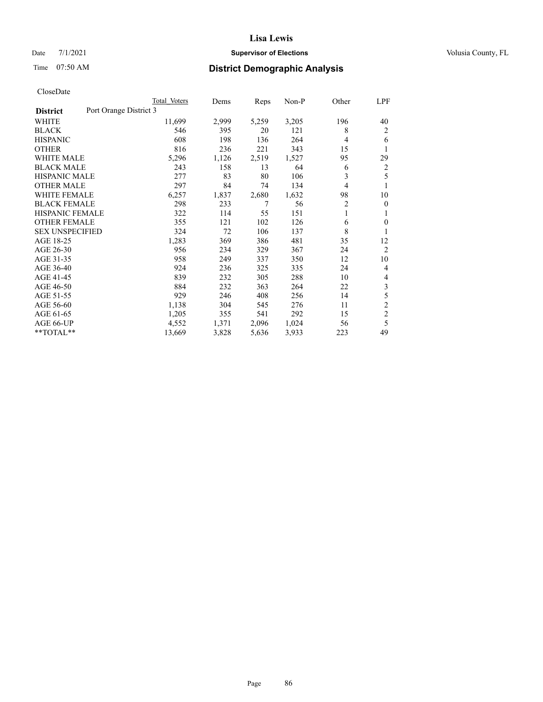# Date 7/1/2021 **Supervisor of Elections Supervisor of Elections** Volusia County, FL

# Time 07:50 AM **District Demographic Analysis**

|                                           | Total Voters | Dems  | Reps  | $Non-P$ | Other | LPF            |
|-------------------------------------------|--------------|-------|-------|---------|-------|----------------|
| Port Orange District 3<br><b>District</b> |              |       |       |         |       |                |
| WHITE                                     | 11,699       | 2,999 | 5,259 | 3,205   | 196   | 40             |
| <b>BLACK</b>                              | 546          | 395   | 20    | 121     | 8     | 2              |
| <b>HISPANIC</b>                           | 608          | 198   | 136   | 264     | 4     | 6              |
| <b>OTHER</b>                              | 816          | 236   | 221   | 343     | 15    | 1              |
| <b>WHITE MALE</b>                         | 5,296        | 1,126 | 2,519 | 1,527   | 95    | 29             |
| <b>BLACK MALE</b>                         | 243          | 158   | 13    | 64      | 6     | 2              |
| <b>HISPANIC MALE</b>                      | 277          | 83    | 80    | 106     | 3     | 5              |
| <b>OTHER MALE</b>                         | 297          | 84    | 74    | 134     | 4     | 1              |
| <b>WHITE FEMALE</b>                       | 6,257        | 1,837 | 2,680 | 1,632   | 98    | 10             |
| <b>BLACK FEMALE</b>                       | 298          | 233   | 7     | 56      | 2     | $\theta$       |
| <b>HISPANIC FEMALE</b>                    | 322          | 114   | 55    | 151     | 1     | 1              |
| <b>OTHER FEMALE</b>                       | 355          | 121   | 102   | 126     | 6     | $\theta$       |
| <b>SEX UNSPECIFIED</b>                    | 324          | 72    | 106   | 137     | 8     | 1              |
| AGE 18-25                                 | 1,283        | 369   | 386   | 481     | 35    | 12             |
| AGE 26-30                                 | 956          | 234   | 329   | 367     | 24    | $\overline{2}$ |
| AGE 31-35                                 | 958          | 249   | 337   | 350     | 12    | 10             |
| AGE 36-40                                 | 924          | 236   | 325   | 335     | 24    | 4              |
| AGE 41-45                                 | 839          | 232   | 305   | 288     | 10    | 4              |
| AGE 46-50                                 | 884          | 232   | 363   | 264     | 22    | 3              |
| AGE 51-55                                 | 929          | 246   | 408   | 256     | 14    | 5              |
| AGE 56-60                                 | 1,138        | 304   | 545   | 276     | 11    | $\overline{2}$ |
| AGE 61-65                                 | 1,205        | 355   | 541   | 292     | 15    | $\overline{c}$ |
| AGE 66-UP                                 | 4,552        | 1,371 | 2,096 | 1,024   | 56    | 5              |
| **TOTAL**                                 | 13,669       | 3,828 | 5,636 | 3,933   | 223   | 49             |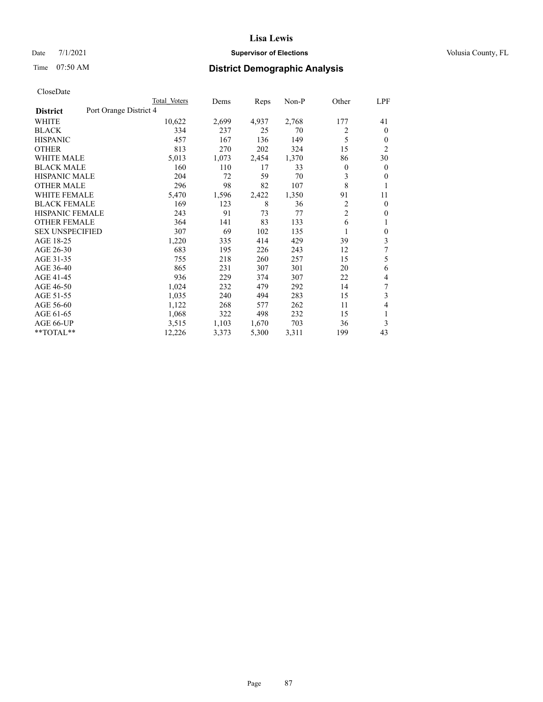# Date 7/1/2021 **Supervisor of Elections Supervisor of Elections** Volusia County, FL

# Time 07:50 AM **District Demographic Analysis**

|                                           | Total Voters | Dems  | Reps  | Non-P | Other          | LPF            |
|-------------------------------------------|--------------|-------|-------|-------|----------------|----------------|
| Port Orange District 4<br><b>District</b> |              |       |       |       |                |                |
| WHITE                                     | 10,622       | 2,699 | 4,937 | 2,768 | 177            | 41             |
| <b>BLACK</b>                              | 334          | 237   | 25    | 70    | 2              | $\mathbf{0}$   |
| <b>HISPANIC</b>                           | 457          | 167   | 136   | 149   | 5              | $\theta$       |
| <b>OTHER</b>                              | 813          | 270   | 202   | 324   | 15             | $\overline{2}$ |
| <b>WHITE MALE</b>                         | 5,013        | 1,073 | 2,454 | 1,370 | 86             | 30             |
| <b>BLACK MALE</b>                         | 160          | 110   | 17    | 33    | 0              | $\mathbf{0}$   |
| <b>HISPANIC MALE</b>                      | 204          | 72    | 59    | 70    | 3              | $\mathbf{0}$   |
| <b>OTHER MALE</b>                         | 296          | 98    | 82    | 107   | 8              | 1              |
| <b>WHITE FEMALE</b>                       | 5,470        | 1,596 | 2,422 | 1,350 | 91             | 11             |
| <b>BLACK FEMALE</b>                       | 169          | 123   | 8     | 36    | 2              | $\mathbf{0}$   |
| <b>HISPANIC FEMALE</b>                    | 243          | 91    | 73    | 77    | $\overline{c}$ | $\Omega$       |
| <b>OTHER FEMALE</b>                       | 364          | 141   | 83    | 133   | 6              | 1              |
| <b>SEX UNSPECIFIED</b>                    | 307          | 69    | 102   | 135   |                | $\theta$       |
| AGE 18-25                                 | 1,220        | 335   | 414   | 429   | 39             | 3              |
| AGE 26-30                                 | 683          | 195   | 226   | 243   | 12             | 7              |
| AGE 31-35                                 | 755          | 218   | 260   | 257   | 15             | 5              |
| AGE 36-40                                 | 865          | 231   | 307   | 301   | 20             | 6              |
| AGE 41-45                                 | 936          | 229   | 374   | 307   | 22             | 4              |
| AGE 46-50                                 | 1,024        | 232   | 479   | 292   | 14             | 7              |
| AGE 51-55                                 | 1,035        | 240   | 494   | 283   | 15             | 3              |
| AGE 56-60                                 | 1,122        | 268   | 577   | 262   | 11             | 4              |
| AGE 61-65                                 | 1,068        | 322   | 498   | 232   | 15             | 1              |
| AGE 66-UP                                 | 3,515        | 1,103 | 1,670 | 703   | 36             | 3              |
| $*$ $TOTAL**$                             | 12,226       | 3,373 | 5,300 | 3,311 | 199            | 43             |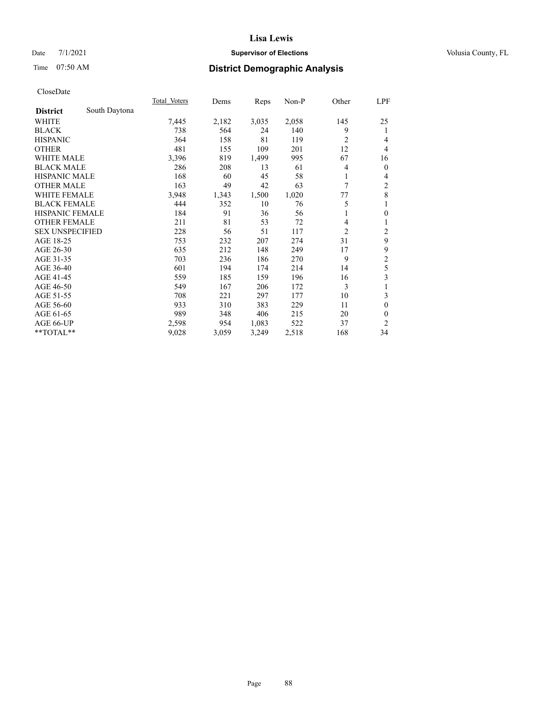# Date 7/1/2021 **Supervisor of Elections Supervisor of Elections** Volusia County, FL

# Time 07:50 AM **District Demographic Analysis**

|                        |               | Total Voters | Dems  | Reps  | Non-P | Other          | LPF            |
|------------------------|---------------|--------------|-------|-------|-------|----------------|----------------|
| <b>District</b>        | South Daytona |              |       |       |       |                |                |
| WHITE                  |               | 7,445        | 2,182 | 3,035 | 2,058 | 145            | 25             |
| <b>BLACK</b>           |               | 738          | 564   | 24    | 140   | 9              | 1              |
| <b>HISPANIC</b>        |               | 364          | 158   | 81    | 119   | $\overline{c}$ | 4              |
| <b>OTHER</b>           |               | 481          | 155   | 109   | 201   | 12             | 4              |
| WHITE MALE             |               | 3,396        | 819   | 1,499 | 995   | 67             | 16             |
| <b>BLACK MALE</b>      |               | 286          | 208   | 13    | 61    | 4              | $\mathbf{0}$   |
| <b>HISPANIC MALE</b>   |               | 168          | 60    | 45    | 58    | 1              | 4              |
| <b>OTHER MALE</b>      |               | 163          | 49    | 42    | 63    | 7              | $\overline{c}$ |
| WHITE FEMALE           |               | 3,948        | 1,343 | 1,500 | 1,020 | 77             | 8              |
| <b>BLACK FEMALE</b>    |               | 444          | 352   | 10    | 76    | 5              | 1              |
| <b>HISPANIC FEMALE</b> |               | 184          | 91    | 36    | 56    |                | $\mathbf{0}$   |
| <b>OTHER FEMALE</b>    |               | 211          | 81    | 53    | 72    | 4              | 1              |
| <b>SEX UNSPECIFIED</b> |               | 228          | 56    | 51    | 117   | $\overline{2}$ | $\overline{c}$ |
| AGE 18-25              |               | 753          | 232   | 207   | 274   | 31             | 9              |
| AGE 26-30              |               | 635          | 212   | 148   | 249   | 17             | 9              |
| AGE 31-35              |               | 703          | 236   | 186   | 270   | 9              | $\overline{c}$ |
| AGE 36-40              |               | 601          | 194   | 174   | 214   | 14             | 5              |
| AGE 41-45              |               | 559          | 185   | 159   | 196   | 16             | 3              |
| AGE 46-50              |               | 549          | 167   | 206   | 172   | 3              | 1              |
| AGE 51-55              |               | 708          | 221   | 297   | 177   | 10             | 3              |
| AGE 56-60              |               | 933          | 310   | 383   | 229   | 11             | $\theta$       |
| AGE 61-65              |               | 989          | 348   | 406   | 215   | 20             | $\mathbf{0}$   |
| AGE 66-UP              |               | 2,598        | 954   | 1,083 | 522   | 37             | 2              |
| $*$ $TOTAL**$          |               | 9,028        | 3,059 | 3,249 | 2,518 | 168            | 34             |